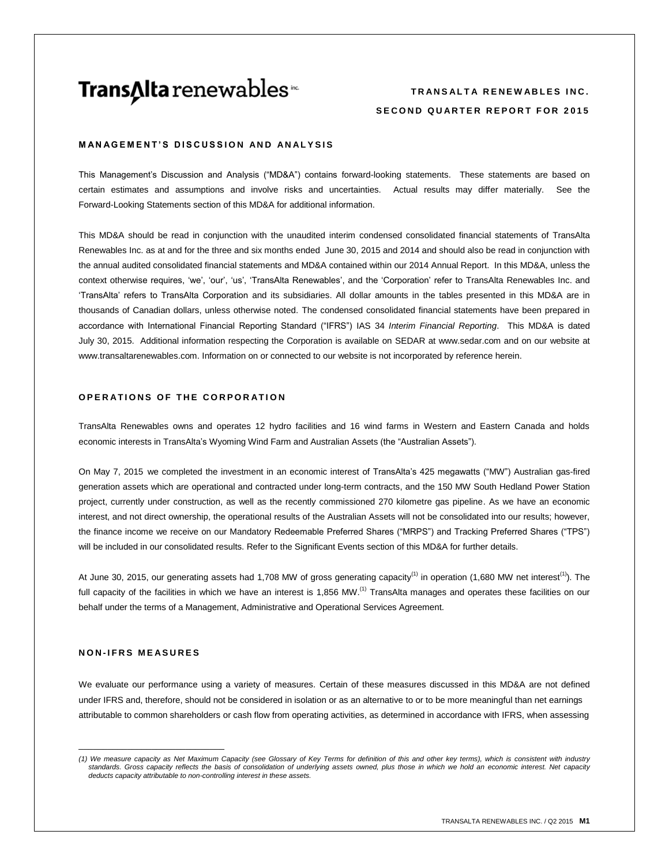# **Trans∆Ita** renewables<sup>™</sup>

# **T R A N S A L T A R E N E W A B L E S I N C . SECOND QUARTER REPORT FOR 2015**

# **MANAGEMENT'S DISCUSSION AND ANALYSIS**

This Management's Discussion and Analysis ("MD&A") contains forward-looking statements. These statements are based on certain estimates and assumptions and involve risks and uncertainties. Actual results may differ materially. See the Forward-Looking Statements section of this MD&A for additional information.

This MD&A should be read in conjunction with the unaudited interim condensed consolidated financial statements of TransAlta Renewables Inc. as at and for the three and six months ended June 30, 2015 and 2014 and should also be read in conjunction with the annual audited consolidated financial statements and MD&A contained within our 2014 Annual Report. In this MD&A, unless the context otherwise requires, 'we', 'our', 'us', 'TransAlta Renewables', and the 'Corporation' refer to TransAlta Renewables Inc. and 'TransAlta' refers to TransAlta Corporation and its subsidiaries. All dollar amounts in the tables presented in this MD&A are in thousands of Canadian dollars, unless otherwise noted. The condensed consolidated financial statements have been prepared in accordance with International Financial Reporting Standard ("IFRS") IAS 34 *Interim Financial Reporting*. This MD&A is dated July 30, 2015. Additional information respecting the Corporation is available on SEDAR at [www.sedar.com](http://www.sedar.com/) and on our website at www.transaltarenewables.com. Information on or connected to our website is not incorporated by reference herein.

# **OPERATIONS OF THE CORPORATION**

TransAlta Renewables owns and operates 12 hydro facilities and 16 wind farms in Western and Eastern Canada and holds economic interests in TransAlta's Wyoming Wind Farm and Australian Assets (the "Australian Assets").

On May 7, 2015 we completed the investment in an economic interest of TransAlta's 425 megawatts ("MW") Australian gas-fired generation assets which are operational and contracted under long-term contracts, and the 150 MW South Hedland Power Station project, currently under construction, as well as the recently commissioned 270 kilometre gas pipeline. As we have an economic interest, and not direct ownership, the operational results of the Australian Assets will not be consolidated into our results; however, the finance income we receive on our Mandatory Redeemable Preferred Shares ("MRPS") and Tracking Preferred Shares ("TPS") will be included in our consolidated results. Refer to the Significant Events section of this MD&A for further details.

At June 30, 2015, our generating assets had 1,708 MW of gross generating capacity<sup>(1)</sup> in operation (1,680 MW net interest<sup>(1)</sup>). The full capacity of the facilities in which we have an interest is 1,856 MW.<sup>(1)</sup> TransAlta manages and operates these facilities on our behalf under the terms of a Management, Administrative and Operational Services Agreement.

## **N O N - I F R S M E A S U R E S**

\_\_\_\_\_\_\_\_\_\_\_\_\_\_\_\_\_\_\_\_\_\_\_\_\_\_\_\_\_\_

We evaluate our performance using a variety of measures. Certain of these measures discussed in this MD&A are not defined under IFRS and, therefore, should not be considered in isolation or as an alternative to or to be more meaningful than net earnings attributable to common shareholders or cash flow from operating activities, as determined in accordance with IFRS, when assessing

*<sup>(1)</sup> We measure capacity as Net Maximum Capacity (see Glossary of Key Terms for definition of this and other key terms), which is consistent with industry standards. Gross capacity reflects the basis of consolidation of underlying assets owned, plus those in which we hold an economic interest. Net capacity deducts capacity attributable to non-controlling interest in these assets.*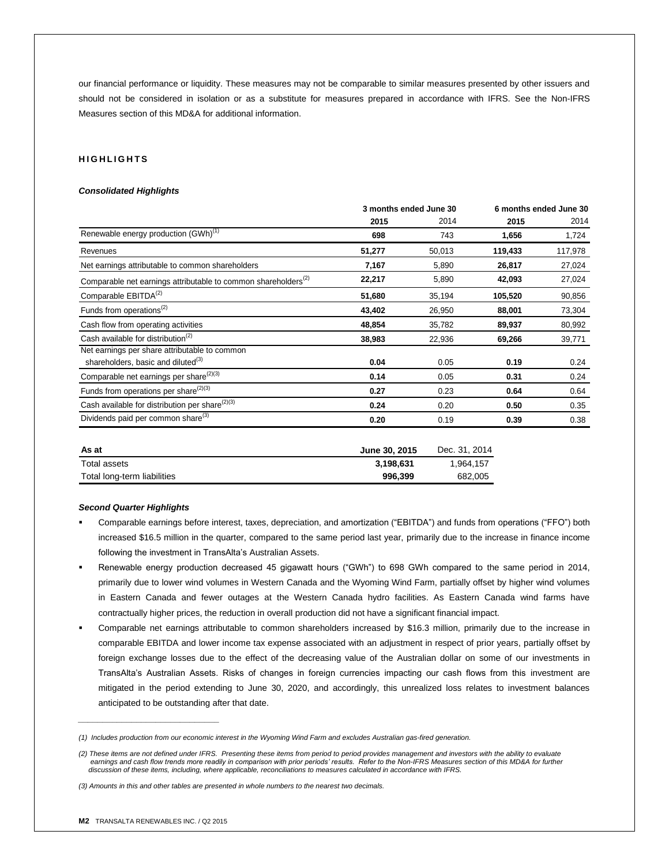our financial performance or liquidity. These measures may not be comparable to similar measures presented by other issuers and should not be considered in isolation or as a substitute for measures prepared in accordance with IFRS. See the Non-IFRS Measures section of this MD&A for additional information.

# **H I G H L I G H T S**

## *Consolidated Highlights*

|                                                                            |        | 3 months ended June 30 |         | 6 months ended June 30 |
|----------------------------------------------------------------------------|--------|------------------------|---------|------------------------|
|                                                                            | 2015   | 2014                   | 2015    | 2014                   |
| Renewable energy production (GWh) <sup>(1)</sup>                           | 698    | 743                    | 1,656   | 1,724                  |
| Revenues                                                                   | 51,277 | 50,013                 | 119,433 | 117,978                |
| Net earnings attributable to common shareholders                           | 7,167  | 5,890                  | 26,817  | 27,024                 |
| Comparable net earnings attributable to common shareholders <sup>(2)</sup> | 22,217 | 5,890                  | 42,093  | 27,024                 |
| Comparable EBITDA <sup>(2)</sup>                                           | 51,680 | 35,194                 | 105,520 | 90,856                 |
| Funds from operations <sup>(2)</sup>                                       | 43,402 | 26,950                 | 88,001  | 73,304                 |
| Cash flow from operating activities                                        | 48,854 | 35,782                 | 89,937  | 80,992                 |
| Cash available for distribution <sup>(2)</sup>                             | 38,983 | 22,936                 | 69,266  | 39,771                 |
| Net earnings per share attributable to common                              |        |                        |         |                        |
| shareholders, basic and diluted <sup>(3)</sup>                             | 0.04   | 0.05                   | 0.19    | 0.24                   |
| Comparable net earnings per share <sup>(2)(3)</sup>                        | 0.14   | 0.05                   | 0.31    | 0.24                   |
| Funds from operations per share $(2)(3)$                                   | 0.27   | 0.23                   | 0.64    | 0.64                   |
| Cash available for distribution per share <sup>(2)(3)</sup>                | 0.24   | 0.20                   | 0.50    | 0.35                   |
| Dividends paid per common share <sup>(3)</sup>                             | 0.20   | 0.19                   | 0.39    | 0.38                   |
|                                                                            |        |                        |         |                        |

| As at                       | June 30, 2015 | Dec. 31, 2014 |
|-----------------------------|---------------|---------------|
| Total assets                | 3.198.631     | 1.964.157     |
| Total long-term liabilities | 996.399       | 682.005       |

#### *Second Quarter Highlights*

- Comparable earnings before interest, taxes, depreciation, and amortization ("EBITDA") and funds from operations ("FFO") both increased \$16.5 million in the quarter, compared to the same period last year, primarily due to the increase in finance income following the investment in TransAlta's Australian Assets.
- Renewable energy production decreased 45 gigawatt hours ("GWh") to 698 GWh compared to the same period in 2014, primarily due to lower wind volumes in Western Canada and the Wyoming Wind Farm, partially offset by higher wind volumes in Eastern Canada and fewer outages at the Western Canada hydro facilities. As Eastern Canada wind farms have contractually higher prices, the reduction in overall production did not have a significant financial impact.
- Comparable net earnings attributable to common shareholders increased by \$16.3 million, primarily due to the increase in comparable EBITDA and lower income tax expense associated with an adjustment in respect of prior years, partially offset by foreign exchange losses due to the effect of the decreasing value of the Australian dollar on some of our investments in TransAlta's Australian Assets. Risks of changes in foreign currencies impacting our cash flows from this investment are mitigated in the period extending to June 30, 2020, and accordingly, this unrealized loss relates to investment balances anticipated to be outstanding after that date.

*\_\_\_\_\_\_\_\_\_\_\_\_\_\_\_\_\_\_\_\_\_\_\_\_\_\_\_\_\_*

*<sup>(1)</sup> Includes production from our economic interest in the Wyoming Wind Farm and excludes Australian gas-fired generation.*

*<sup>(2)</sup> These items are not defined under IFRS. Presenting these items from period to period provides management and investors with the ability to evaluate earnings and cash flow trends more readily in comparison with prior periods' results. Refer to the Non-IFRS Measures section of this MD&A for further discussion of these items, including, where applicable, reconciliations to measures calculated in accordance with IFRS.* 

*<sup>(3)</sup> Amounts in this and other tables are presented in whole numbers to the nearest two decimals.*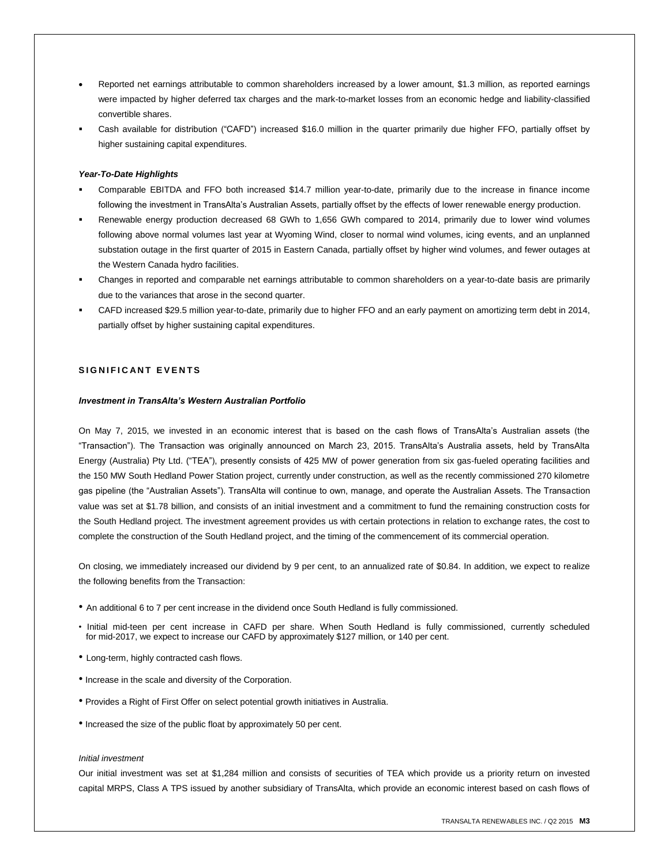- Reported net earnings attributable to common shareholders increased by a lower amount, \$1.3 million, as reported earnings were impacted by higher deferred tax charges and the mark-to-market losses from an economic hedge and liability-classified convertible shares.
- Cash available for distribution ("CAFD") increased \$16.0 million in the quarter primarily due higher FFO, partially offset by higher sustaining capital expenditures.

## *Year-To-Date Highlights*

- Comparable EBITDA and FFO both increased \$14.7 million year-to-date, primarily due to the increase in finance income following the investment in TransAlta's Australian Assets, partially offset by the effects of lower renewable energy production.
- Renewable energy production decreased 68 GWh to 1,656 GWh compared to 2014, primarily due to lower wind volumes following above normal volumes last year at Wyoming Wind, closer to normal wind volumes, icing events, and an unplanned substation outage in the first quarter of 2015 in Eastern Canada, partially offset by higher wind volumes, and fewer outages at the Western Canada hydro facilities.
- Changes in reported and comparable net earnings attributable to common shareholders on a year-to-date basis are primarily due to the variances that arose in the second quarter.
- CAFD increased \$29.5 million year-to-date, primarily due to higher FFO and an early payment on amortizing term debt in 2014, partially offset by higher sustaining capital expenditures.

# **S I G N I F I C A N T E V E N T S**

## *Investment in TransAlta's Western Australian Portfolio*

On May 7, 2015, we invested in an economic interest that is based on the cash flows of TransAlta's Australian assets (the "Transaction"). The Transaction was originally announced on March 23, 2015. TransAlta's Australia assets, held by TransAlta Energy (Australia) Pty Ltd. ("TEA"), presently consists of 425 MW of power generation from six gas-fueled operating facilities and the 150 MW South Hedland Power Station project, currently under construction, as well as the recently commissioned 270 kilometre gas pipeline (the "Australian Assets"). TransAlta will continue to own, manage, and operate the Australian Assets. The Transaction value was set at \$1.78 billion, and consists of an initial investment and a commitment to fund the remaining construction costs for the South Hedland project. The investment agreement provides us with certain protections in relation to exchange rates, the cost to complete the construction of the South Hedland project, and the timing of the commencement of its commercial operation.

On closing, we immediately increased our dividend by 9 per cent, to an annualized rate of \$0.84. In addition, we expect to realize the following benefits from the Transaction:

- An additional 6 to 7 per cent increase in the dividend once South Hedland is fully commissioned.
- Initial mid-teen per cent increase in CAFD per share. When South Hedland is fully commissioned, currently scheduled for mid-2017, we expect to increase our CAFD by approximately \$127 million, or 140 per cent.
- Long-term, highly contracted cash flows.
- Increase in the scale and diversity of the Corporation.
- Provides a Right of First Offer on select potential growth initiatives in Australia.
- Increased the size of the public float by approximately 50 per cent.

#### *Initial investment*

Our initial investment was set at \$1,284 million and consists of securities of TEA which provide us a priority return on invested capital MRPS, Class A TPS issued by another subsidiary of TransAlta, which provide an economic interest based on cash flows of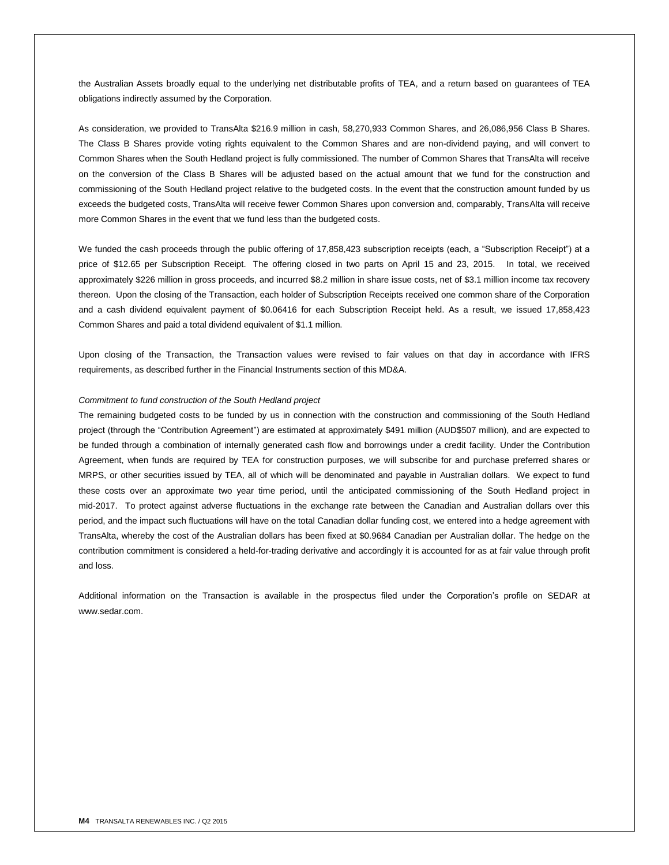the Australian Assets broadly equal to the underlying net distributable profits of TEA, and a return based on guarantees of TEA obligations indirectly assumed by the Corporation.

As consideration, we provided to TransAlta \$216.9 million in cash, 58,270,933 Common Shares, and 26,086,956 Class B Shares. The Class B Shares provide voting rights equivalent to the Common Shares and are non-dividend paying, and will convert to Common Shares when the South Hedland project is fully commissioned. The number of Common Shares that TransAlta will receive on the conversion of the Class B Shares will be adjusted based on the actual amount that we fund for the construction and commissioning of the South Hedland project relative to the budgeted costs. In the event that the construction amount funded by us exceeds the budgeted costs, TransAlta will receive fewer Common Shares upon conversion and, comparably, TransAlta will receive more Common Shares in the event that we fund less than the budgeted costs.

We funded the cash proceeds through the public offering of 17,858,423 subscription receipts (each, a "Subscription Receipt") at a price of \$12.65 per Subscription Receipt. The offering closed in two parts on April 15 and 23, 2015. In total, we received approximately \$226 million in gross proceeds, and incurred \$8.2 million in share issue costs, net of \$3.1 million income tax recovery thereon. Upon the closing of the Transaction, each holder of Subscription Receipts received one common share of the Corporation and a cash dividend equivalent payment of \$0.06416 for each Subscription Receipt held. As a result, we issued 17,858,423 Common Shares and paid a total dividend equivalent of \$1.1 million.

Upon closing of the Transaction, the Transaction values were revised to fair values on that day in accordance with IFRS requirements, as described further in the Financial Instruments section of this MD&A.

## *Commitment to fund construction of the South Hedland project*

The remaining budgeted costs to be funded by us in connection with the construction and commissioning of the South Hedland project (through the "Contribution Agreement") are estimated at approximately \$491 million (AUD\$507 million), and are expected to be funded through a combination of internally generated cash flow and borrowings under a credit facility. Under the Contribution Agreement, when funds are required by TEA for construction purposes, we will subscribe for and purchase preferred shares or MRPS, or other securities issued by TEA, all of which will be denominated and payable in Australian dollars. We expect to fund these costs over an approximate two year time period, until the anticipated commissioning of the South Hedland project in mid-2017. To protect against adverse fluctuations in the exchange rate between the Canadian and Australian dollars over this period, and the impact such fluctuations will have on the total Canadian dollar funding cost, we entered into a hedge agreement with TransAlta, whereby the cost of the Australian dollars has been fixed at \$0.9684 Canadian per Australian dollar. The hedge on the contribution commitment is considered a held-for-trading derivative and accordingly it is accounted for as at fair value through profit and loss.

Additional information on the Transaction is available in the prospectus filed under the Corporation's profile on SEDAR at www.sedar.com.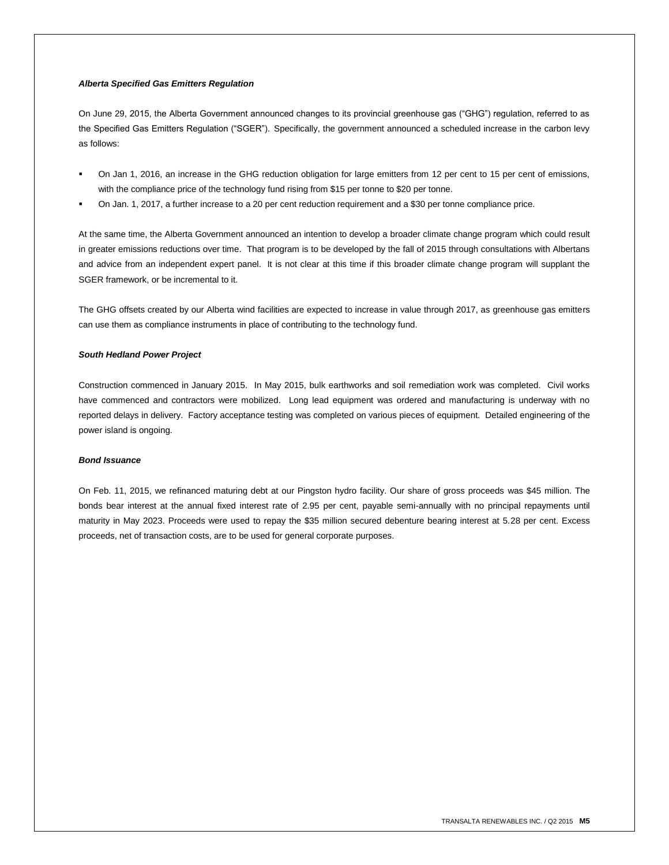## *Alberta Specified Gas Emitters Regulation*

On June 29, 2015, the Alberta Government announced changes to its provincial greenhouse gas ("GHG") regulation, referred to as the Specified Gas Emitters Regulation ("SGER"). Specifically, the government announced a scheduled increase in the carbon levy as follows:

- On Jan 1, 2016, an increase in the GHG reduction obligation for large emitters from 12 per cent to 15 per cent of emissions, with the compliance price of the technology fund rising from \$15 per tonne to \$20 per tonne.
- On Jan. 1, 2017, a further increase to a 20 per cent reduction requirement and a \$30 per tonne compliance price.

At the same time, the Alberta Government announced an intention to develop a broader climate change program which could result in greater emissions reductions over time. That program is to be developed by the fall of 2015 through consultations with Albertans and advice from an independent expert panel. It is not clear at this time if this broader climate change program will supplant the SGER framework, or be incremental to it.

The GHG offsets created by our Alberta wind facilities are expected to increase in value through 2017, as greenhouse gas emitters can use them as compliance instruments in place of contributing to the technology fund.

## *South Hedland Power Project*

Construction commenced in January 2015. In May 2015, bulk earthworks and soil remediation work was completed. Civil works have commenced and contractors were mobilized. Long lead equipment was ordered and manufacturing is underway with no reported delays in delivery. Factory acceptance testing was completed on various pieces of equipment. Detailed engineering of the power island is ongoing.

## *Bond Issuance*

On Feb. 11, 2015, we refinanced maturing debt at our Pingston hydro facility. Our share of gross proceeds was \$45 million. The bonds bear interest at the annual fixed interest rate of 2.95 per cent, payable semi-annually with no principal repayments until maturity in May 2023. Proceeds were used to repay the \$35 million secured debenture bearing interest at 5.28 per cent. Excess proceeds, net of transaction costs, are to be used for general corporate purposes.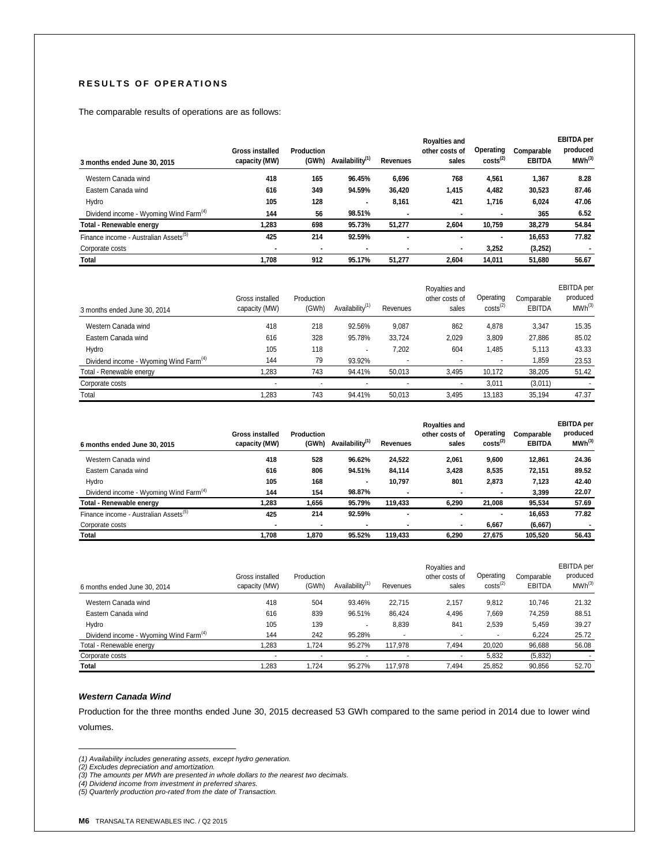# **RESULTS OF OPERATIONS**

The comparable results of operations are as follows:

| 3 months ended June 30, 2015                       | <b>Gross installed</b><br>capacity (MW) | Production<br>(GWh) | Availability <sup>(1)</sup> | Revenues | <b>Royalties and</b><br>other costs of<br>sales | Operating<br>$costs^{(2)}$ | Comparable<br><b>EBITDA</b> | <b>EBITDA</b> per<br>produced<br>MWh <sup>(3)</sup> |
|----------------------------------------------------|-----------------------------------------|---------------------|-----------------------------|----------|-------------------------------------------------|----------------------------|-----------------------------|-----------------------------------------------------|
| Western Canada wind                                | 418                                     | 165                 | 96.45%                      | 6,696    | 768                                             | 4,561                      | 1,367                       | 8.28                                                |
| Eastern Canada wind                                | 616                                     | 349                 | 94.59%                      | 36,420   | 1,415                                           | 4,482                      | 30,523                      | 87.46                                               |
| Hydro                                              | 105                                     | 128                 |                             | 8,161    | 421                                             | 1,716                      | 6,024                       | 47.06                                               |
| Dividend income - Wyoming Wind Farm <sup>(4)</sup> | 144                                     | 56                  | 98.51%                      |          |                                                 |                            | 365                         | 6.52                                                |
| Total - Renewable energy                           | 1.283                                   | 698                 | 95.73%                      | 51.277   | 2,604                                           | 10.759                     | 38.279                      | 54.84                                               |
| Finance income - Australian Assets <sup>(5)</sup>  | 425                                     | 214                 | 92.59%                      |          | ٠                                               | ۰                          | 16,653                      | 77.82                                               |
| Corporate costs                                    |                                         | ۰                   |                             |          | $\blacksquare$                                  | 3,252                      | (3,252)                     |                                                     |
| <b>Total</b>                                       | 1.708                                   | 912                 | 95.17%                      | 51.277   | 2.604                                           | 14.011                     | 51.680                      | 56.67                                               |

| 3 months ended June 30, 2014                       | Gross installed<br>capacity (MW) | Production<br>(GWh)      | Availability <sup>(1)</sup> | Revenues | Royalties and<br>other costs of<br>sales | Operating<br>$costs^{(2)}$ | Comparable<br><b>EBITDA</b> | <b>EBITDA</b> per<br>produced<br>MWh <sup>(3)</sup> |
|----------------------------------------------------|----------------------------------|--------------------------|-----------------------------|----------|------------------------------------------|----------------------------|-----------------------------|-----------------------------------------------------|
| Western Canada wind                                | 418                              | 218                      | 92.56%                      | 9,087    | 862                                      | 4,878                      | 3,347                       | 15.35                                               |
| Eastern Canada wind                                | 616                              | 328                      | 95.78%                      | 33.724   | 2.029                                    | 3,809                      | 27.886                      | 85.02                                               |
| Hydro                                              | 105                              | 118                      |                             | 7,202    | 604                                      | 1,485                      | 5,113                       | 43.33                                               |
| Dividend income - Wyoming Wind Farm <sup>(4)</sup> | 144                              | 79                       | 93.92%                      |          |                                          | $\overline{\phantom{0}}$   | 1,859                       | 23.53                                               |
| Total - Renewable energy                           | .283                             | 743                      | 94.41%                      | 50.013   | 3.495                                    | 10,172                     | 38,205                      | 51.42                                               |
| Corporate costs                                    | $\overline{\phantom{a}}$         | $\overline{\phantom{a}}$ | $\overline{\phantom{a}}$    |          | $\overline{a}$                           | 3.011                      | (3,011)                     |                                                     |
| Total                                              | .283                             | 743                      | 94.41%                      | 50.013   | 3.495                                    | 13.183                     | 35.194                      | 47.37                                               |

| 6 months ended June 30, 2015                       | Gross installed<br>capacity (MW) | Production<br>(GWh) | Availability <sup>(1)</sup> | <b>Revenues</b> | <b>Royalties and</b><br>other costs of<br>sales | Operating<br>$costs^{(2)}$ | Comparable<br><b>EBITDA</b> | <b>EBITDA</b> per<br>produced<br>MWh <sup>(3)</sup> |
|----------------------------------------------------|----------------------------------|---------------------|-----------------------------|-----------------|-------------------------------------------------|----------------------------|-----------------------------|-----------------------------------------------------|
| Western Canada wind                                | 418                              | 528                 | 96.62%                      | 24,522          | 2,061                                           | 9,600                      | 12,861                      | 24.36                                               |
| Eastern Canada wind                                | 616                              | 806                 | 94.51%                      | 84.114          | 3,428                                           | 8,535                      | 72,151                      | 89.52                                               |
| Hydro                                              | 105                              | 168                 | ٠                           | 10,797          | 801                                             | 2,873                      | 7,123                       | 42.40                                               |
| Dividend income - Wyoming Wind Farm <sup>(4)</sup> | 144                              | 154                 | 98.87%                      |                 | $\blacksquare$                                  |                            | 3,399                       | 22.07                                               |
| Total - Renewable energy                           | 283, ا                           | 1,656               | 95.79%                      | 119,433         | 6,290                                           | 21.008                     | 95.534                      | 57.69                                               |
| Finance income - Australian Assets <sup>(5)</sup>  | 425                              | 214                 | 92.59%                      |                 | $\blacksquare$                                  | -                          | 16.653                      | 77.82                                               |
| Corporate costs                                    | $\blacksquare$                   |                     |                             |                 | $\blacksquare$                                  | 6,667                      | (6,667)                     |                                                     |
| Total                                              | .708                             | 1.870               | 95.52%                      | 119.433         | 6.290                                           | 27.675                     | 105,520                     | 56.43                                               |

| 6 months ended June 30, 2014                       | Gross installed<br>capacity (MW) | Production<br>(GWh) | Availability <sup>(1)</sup> | Revenues | Royalties and<br>other costs of<br>sales | Operating<br>$costs^{(2)}$ | Comparable<br><b>EBITDA</b> | EBITDA per<br>produced<br>MWh <sup>(3)</sup> |
|----------------------------------------------------|----------------------------------|---------------------|-----------------------------|----------|------------------------------------------|----------------------------|-----------------------------|----------------------------------------------|
| Western Canada wind                                | 418                              | 504                 | 93.46%                      | 22.715   | 2.157                                    | 9.812                      | 10.746                      | 21.32                                        |
| Eastern Canada wind                                | 616                              | 839                 | 96.51%                      | 86.424   | 4,496                                    | 7.669                      | 74.259                      | 88.51                                        |
| Hydro                                              | 105                              | 139                 |                             | 8,839    | 841                                      | 2,539                      | 5,459                       | 39.27                                        |
| Dividend income - Wyoming Wind Farm <sup>(4)</sup> | 144                              | 242                 | 95.28%                      |          |                                          | $\overline{\phantom{a}}$   | 6.224                       | 25.72                                        |
| Total - Renewable energy                           | .283                             | 1.724               | 95.27%                      | 117.978  | 7.494                                    | 20.020                     | 96.688                      | 56.08                                        |
| Corporate costs                                    |                                  |                     |                             |          |                                          | 5,832                      | (5,832)                     |                                              |
| Total                                              | .283                             | 1.724               | 95.27%                      | 117.978  | 7.494                                    | 25.852                     | 90,856                      | 52.70                                        |

## *Western Canada Wind*

Production for the three months ended June 30, 2015 decreased 53 GWh compared to the same period in 2014 due to lower wind volumes.

<sup>(1)</sup> Availability includes generating assets, except hydro generation.<br>(2) Excludes depreciation and amortization.<br>(3) The amounts per MWh are presented in whole dollars to the nearest two decimals.<br>(4) Dividend income from

*<sup>(5)</sup> Quarterly production pro-rated from the date of Transaction.*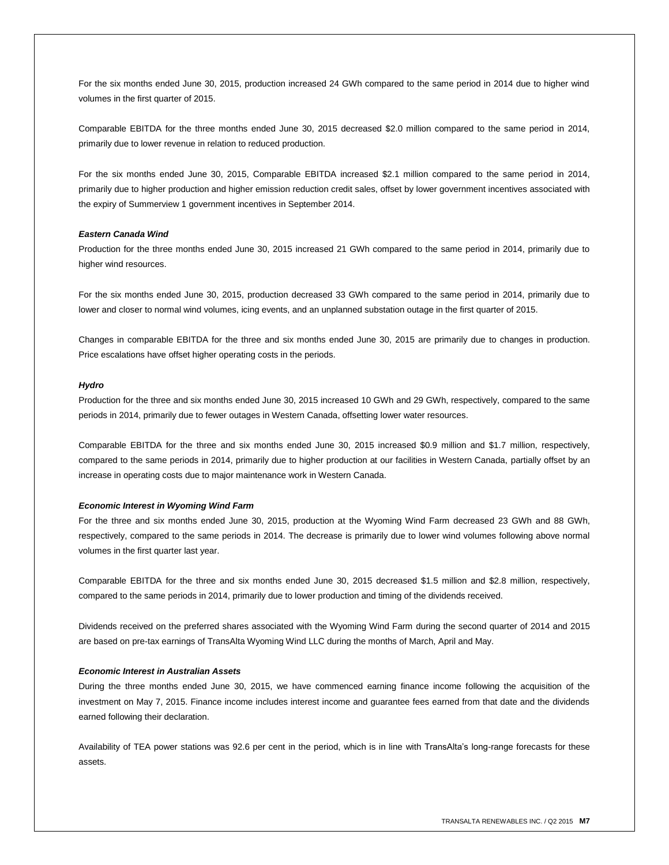For the six months ended June 30, 2015, production increased 24 GWh compared to the same period in 2014 due to higher wind volumes in the first quarter of 2015.

Comparable EBITDA for the three months ended June 30, 2015 decreased \$2.0 million compared to the same period in 2014, primarily due to lower revenue in relation to reduced production.

For the six months ended June 30, 2015, Comparable EBITDA increased \$2.1 million compared to the same period in 2014, primarily due to higher production and higher emission reduction credit sales, offset by lower government incentives associated with the expiry of Summerview 1 government incentives in September 2014.

## *Eastern Canada Wind*

Production for the three months ended June 30, 2015 increased 21 GWh compared to the same period in 2014, primarily due to higher wind resources.

For the six months ended June 30, 2015, production decreased 33 GWh compared to the same period in 2014, primarily due to lower and closer to normal wind volumes, icing events, and an unplanned substation outage in the first quarter of 2015.

Changes in comparable EBITDA for the three and six months ended June 30, 2015 are primarily due to changes in production. Price escalations have offset higher operating costs in the periods.

## *Hydro*

Production for the three and six months ended June 30, 2015 increased 10 GWh and 29 GWh, respectively, compared to the same periods in 2014, primarily due to fewer outages in Western Canada, offsetting lower water resources.

Comparable EBITDA for the three and six months ended June 30, 2015 increased \$0.9 million and \$1.7 million, respectively, compared to the same periods in 2014, primarily due to higher production at our facilities in Western Canada, partially offset by an increase in operating costs due to major maintenance work in Western Canada.

## *Economic Interest in Wyoming Wind Farm*

For the three and six months ended June 30, 2015, production at the Wyoming Wind Farm decreased 23 GWh and 88 GWh, respectively, compared to the same periods in 2014. The decrease is primarily due to lower wind volumes following above normal volumes in the first quarter last year.

Comparable EBITDA for the three and six months ended June 30, 2015 decreased \$1.5 million and \$2.8 million, respectively, compared to the same periods in 2014, primarily due to lower production and timing of the dividends received.

Dividends received on the preferred shares associated with the Wyoming Wind Farm during the second quarter of 2014 and 2015 are based on pre-tax earnings of TransAlta Wyoming Wind LLC during the months of March, April and May.

## *Economic Interest in Australian Assets*

During the three months ended June 30, 2015, we have commenced earning finance income following the acquisition of the investment on May 7, 2015. Finance income includes interest income and guarantee fees earned from that date and the dividends earned following their declaration.

Availability of TEA power stations was 92.6 per cent in the period, which is in line with TransAlta's long-range forecasts for these assets.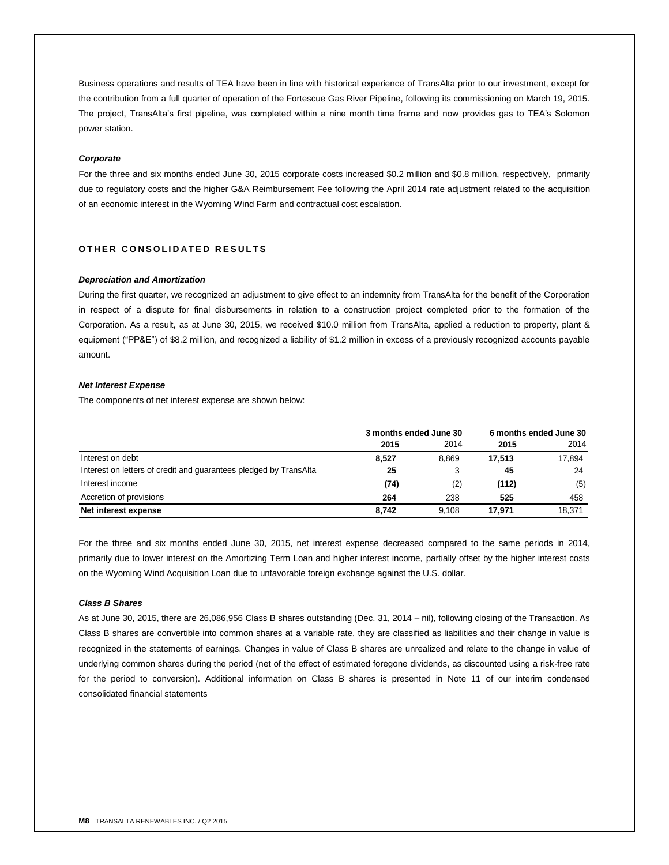Business operations and results of TEA have been in line with historical experience of TransAlta prior to our investment, except for the contribution from a full quarter of operation of the Fortescue Gas River Pipeline, following its commissioning on March 19, 2015. The project, TransAlta's first pipeline, was completed within a nine month time frame and now provides gas to TEA's Solomon power station.

## *Corporate*

For the three and six months ended June 30, 2015 corporate costs increased \$0.2 million and \$0.8 million, respectively, primarily due to regulatory costs and the higher G&A Reimbursement Fee following the April 2014 rate adjustment related to the acquisition of an economic interest in the Wyoming Wind Farm and contractual cost escalation.

# **O T H E R C O N S O L I D A T E D R E S U L T S**

#### *Depreciation and Amortization*

During the first quarter, we recognized an adjustment to give effect to an indemnity from TransAlta for the benefit of the Corporation in respect of a dispute for final disbursements in relation to a construction project completed prior to the formation of the Corporation. As a result, as at June 30, 2015, we received \$10.0 million from TransAlta, applied a reduction to property, plant & equipment ("PP&E") of \$8.2 million, and recognized a liability of \$1.2 million in excess of a previously recognized accounts payable amount.

## *Net Interest Expense*

The components of net interest expense are shown below:

|                                                                   | 3 months ended June 30 |       |        | 6 months ended June 30 |
|-------------------------------------------------------------------|------------------------|-------|--------|------------------------|
|                                                                   | 2015                   | 2014  | 2015   | 2014                   |
| Interest on debt                                                  | 8,527                  | 8.869 | 17.513 | 17.894                 |
| Interest on letters of credit and quarantees pledged by TransAlta | 25                     | 3     | 45     | 24                     |
| Interest income                                                   | (74)                   | (2)   | (112)  | (5)                    |
| Accretion of provisions                                           | 264                    | 238   | 525    | 458                    |
| Net interest expense                                              | 8.742                  | 9.108 | 17.971 | 18.371                 |

For the three and six months ended June 30, 2015, net interest expense decreased compared to the same periods in 2014, primarily due to lower interest on the Amortizing Term Loan and higher interest income, partially offset by the higher interest costs on the Wyoming Wind Acquisition Loan due to unfavorable foreign exchange against the U.S. dollar.

## *Class B Shares*

As at June 30, 2015, there are 26,086,956 Class B shares outstanding (Dec. 31, 2014 – nil), following closing of the Transaction. As Class B shares are convertible into common shares at a variable rate, they are classified as liabilities and their change in value is recognized in the statements of earnings. Changes in value of Class B shares are unrealized and relate to the change in value of underlying common shares during the period (net of the effect of estimated foregone dividends, as discounted using a risk-free rate for the period to conversion). Additional information on Class B shares is presented in Note 11 of our interim condensed consolidated financial statements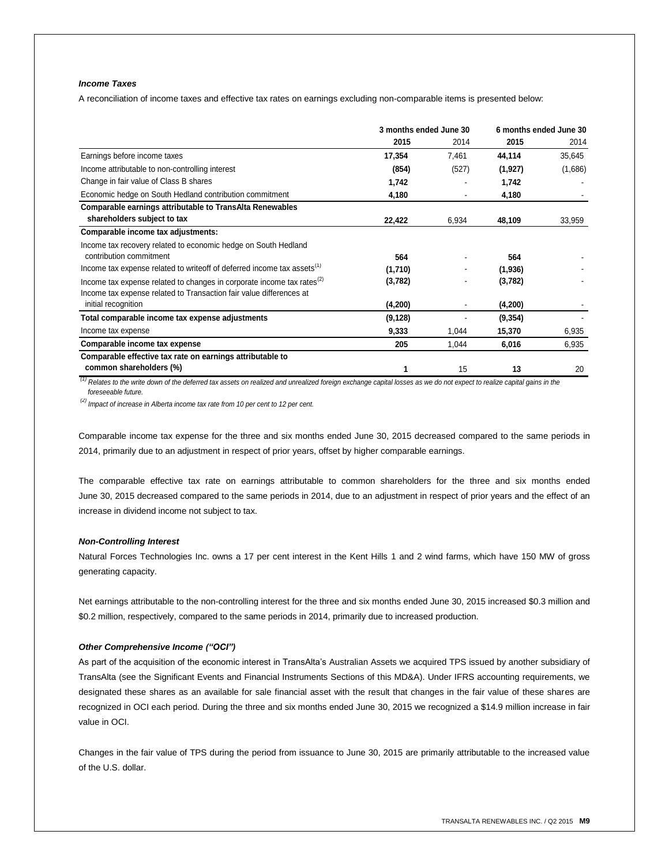# *Income Taxes*

A reconciliation of income taxes and effective tax rates on earnings excluding non-comparable items is presented below:

|                                                                                     | 3 months ended June 30 |       | 6 months ended June 30 |         |
|-------------------------------------------------------------------------------------|------------------------|-------|------------------------|---------|
|                                                                                     | 2015                   | 2014  | 2015                   | 2014    |
| Earnings before income taxes                                                        | 17,354                 | 7,461 | 44,114                 | 35,645  |
| Income attributable to non-controlling interest                                     | (854)                  | (527) | (1, 927)               | (1,686) |
| Change in fair value of Class B shares                                              | 1,742                  |       | 1,742                  |         |
| Economic hedge on South Hedland contribution commitment                             | 4,180                  |       | 4,180                  |         |
| <b>Comparable earnings attributable to TransAlta Renewables</b>                     |                        |       |                        |         |
| shareholders subject to tax                                                         | 22,422                 | 6,934 | 48,109                 | 33,959  |
| Comparable income tax adjustments:                                                  |                        |       |                        |         |
| Income tax recovery related to economic hedge on South Hedland                      |                        |       |                        |         |
| contribution commitment                                                             | 564                    |       | 564                    |         |
| Income tax expense related to writeoff of deferred income tax assets <sup>(1)</sup> | (1,710)                |       | (1,936)                |         |
| Income tax expense related to changes in corporate income tax rates <sup>(2)</sup>  | (3,782)                |       | (3,782)                |         |
| Income tax expense related to Transaction fair value differences at                 |                        |       |                        |         |
| initial recognition                                                                 | (4,200)                |       | (4,200)                |         |
| Total comparable income tax expense adjustments                                     | (9, 128)               |       | (9, 354)               |         |
| Income tax expense                                                                  | 9,333                  | 1,044 | 15,370                 | 6,935   |
| Comparable income tax expense                                                       | 205                    | 1,044 | 6,016                  | 6,935   |
| Comparable effective tax rate on earnings attributable to                           |                        |       |                        |         |
| common shareholders (%)                                                             |                        | 15    | 13                     | 20      |

*(1) Relates to the write down of the deferred tax assets on realized and unrealized foreign exchange capital losses as we do not expect to realize capital gains in the foreseeable future.*

*(2) Impact of increase in Alberta income tax rate from 10 per cent to 12 per cent.*

Comparable income tax expense for the three and six months ended June 30, 2015 decreased compared to the same periods in 2014, primarily due to an adjustment in respect of prior years, offset by higher comparable earnings.

The comparable effective tax rate on earnings attributable to common shareholders for the three and six months ended June 30, 2015 decreased compared to the same periods in 2014, due to an adjustment in respect of prior years and the effect of an increase in dividend income not subject to tax.

## *Non-Controlling Interest*

Natural Forces Technologies Inc. owns a 17 per cent interest in the Kent Hills 1 and 2 wind farms, which have 150 MW of gross generating capacity.

Net earnings attributable to the non-controlling interest for the three and six months ended June 30, 2015 increased \$0.3 million and \$0.2 million, respectively, compared to the same periods in 2014, primarily due to increased production.

## *Other Comprehensive Income ("OCI")*

As part of the acquisition of the economic interest in TransAlta's Australian Assets we acquired TPS issued by another subsidiary of TransAlta (see the Significant Events and Financial Instruments Sections of this MD&A). Under IFRS accounting requirements, we designated these shares as an available for sale financial asset with the result that changes in the fair value of these shares are recognized in OCI each period. During the three and six months ended June 30, 2015 we recognized a \$14.9 million increase in fair value in OCI.

Changes in the fair value of TPS during the period from issuance to June 30, 2015 are primarily attributable to the increased value of the U.S. dollar.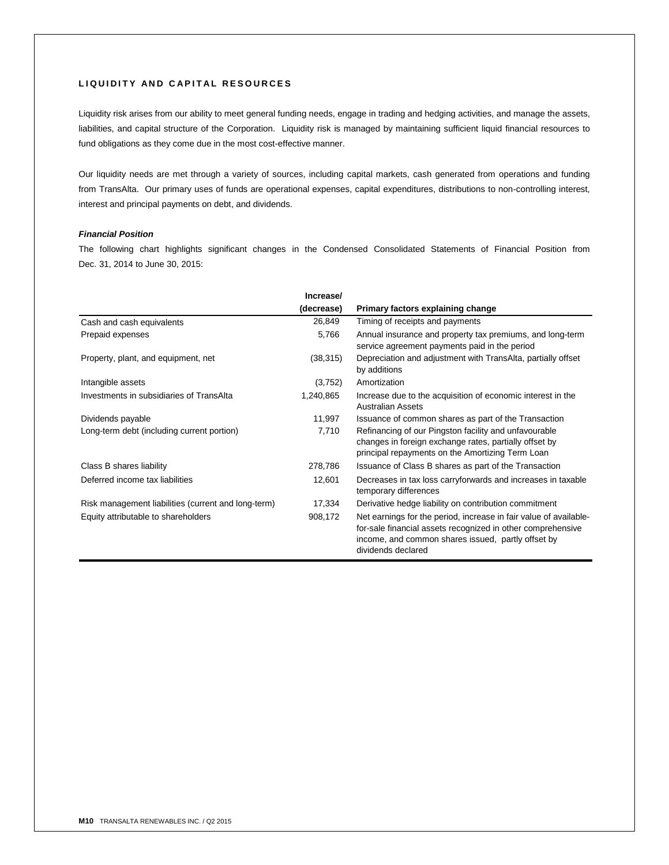# **L I Q U I D I T Y A N D C A P I T A L R E S O U R C E S**

Liquidity risk arises from our ability to meet general funding needs, engage in trading and hedging activities, and manage the assets, liabilities, and capital structure of the Corporation. Liquidity risk is managed by maintaining sufficient liquid financial resources to fund obligations as they come due in the most cost-effective manner.

Our liquidity needs are met through a variety of sources, including capital markets, cash generated from operations and funding from TransAlta. Our primary uses of funds are operational expenses, capital expenditures, distributions to non-controlling interest, interest and principal payments on debt, and dividends.

# *Financial Position*

The following chart highlights significant changes in the Condensed Consolidated Statements of Financial Position from Dec. 31, 2014 to June 30, 2015:

|                                                     | Increase/  |                                                                                                                                                                                                              |
|-----------------------------------------------------|------------|--------------------------------------------------------------------------------------------------------------------------------------------------------------------------------------------------------------|
|                                                     | (decrease) | Primary factors explaining change                                                                                                                                                                            |
| Cash and cash equivalents                           | 26,849     | Timing of receipts and payments                                                                                                                                                                              |
| Prepaid expenses                                    | 5,766      | Annual insurance and property tax premiums, and long-term<br>service agreement payments paid in the period                                                                                                   |
| Property, plant, and equipment, net                 | (38, 315)  | Depreciation and adjustment with TransAlta, partially offset<br>by additions                                                                                                                                 |
| Intangible assets                                   | (3,752)    | Amortization                                                                                                                                                                                                 |
| Investments in subsidiaries of TransAlta            | 1,240,865  | Increase due to the acquisition of economic interest in the<br><b>Australian Assets</b>                                                                                                                      |
| Dividends payable                                   | 11,997     | Issuance of common shares as part of the Transaction                                                                                                                                                         |
| Long-term debt (including current portion)          | 7,710      | Refinancing of our Pingston facility and unfavourable<br>changes in foreign exchange rates, partially offset by<br>principal repayments on the Amortizing Term Loan                                          |
| Class B shares liability                            | 278,786    | Issuance of Class B shares as part of the Transaction                                                                                                                                                        |
| Deferred income tax liabilities                     | 12,601     | Decreases in tax loss carryforwards and increases in taxable<br>temporary differences                                                                                                                        |
| Risk management liabilities (current and long-term) | 17,334     | Derivative hedge liability on contribution commitment                                                                                                                                                        |
| Equity attributable to shareholders                 | 908,172    | Net earnings for the period, increase in fair value of available-<br>for-sale financial assets recognized in other comprehensive<br>income, and common shares issued, partly offset by<br>dividends declared |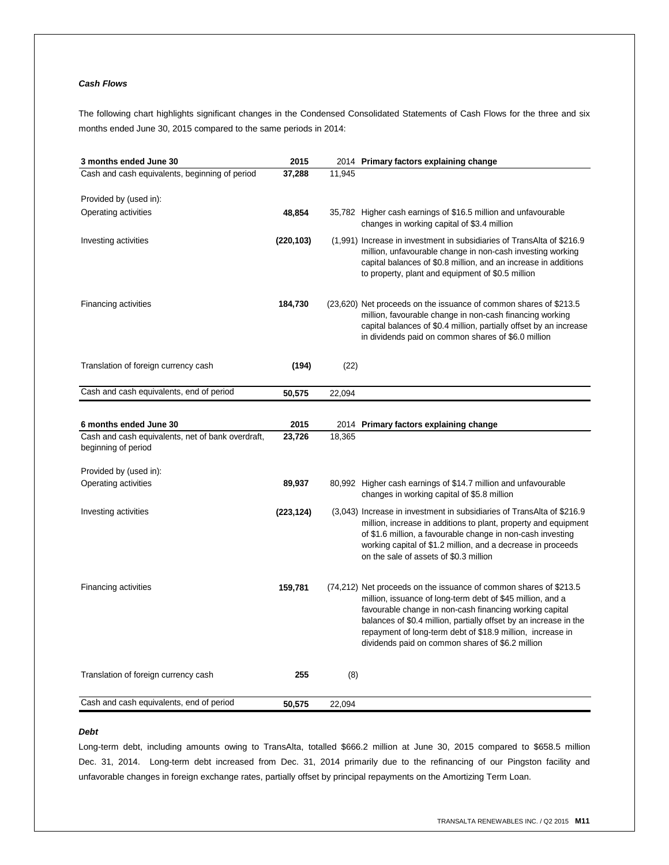# *Cash Flows*

The following chart highlights significant changes in the Condensed Consolidated Statements of Cash Flows for the three and six months ended June 30, 2015 compared to the same periods in 2014:

| 3 months ended June 30                            | 2015       |        | 2014 Primary factors explaining change                                                                                                                                                                                                                                                                                                                                            |
|---------------------------------------------------|------------|--------|-----------------------------------------------------------------------------------------------------------------------------------------------------------------------------------------------------------------------------------------------------------------------------------------------------------------------------------------------------------------------------------|
| Cash and cash equivalents, beginning of period    | 37,288     | 11.945 |                                                                                                                                                                                                                                                                                                                                                                                   |
|                                                   |            |        |                                                                                                                                                                                                                                                                                                                                                                                   |
| Provided by (used in):                            |            |        |                                                                                                                                                                                                                                                                                                                                                                                   |
| Operating activities                              | 48,854     |        | 35,782 Higher cash earnings of \$16.5 million and unfavourable<br>changes in working capital of \$3.4 million                                                                                                                                                                                                                                                                     |
| Investing activities                              | (220, 103) |        | (1,991) Increase in investment in subsidiaries of TransAlta of \$216.9<br>million, unfavourable change in non-cash investing working<br>capital balances of \$0.8 million, and an increase in additions<br>to property, plant and equipment of \$0.5 million                                                                                                                      |
| Financing activities                              | 184,730    |        | (23,620) Net proceeds on the issuance of common shares of \$213.5<br>million, favourable change in non-cash financing working<br>capital balances of \$0.4 million, partially offset by an increase<br>in dividends paid on common shares of \$6.0 million                                                                                                                        |
| Translation of foreign currency cash              | (194)      | (22)   |                                                                                                                                                                                                                                                                                                                                                                                   |
| Cash and cash equivalents, end of period          | 50,575     | 22,094 |                                                                                                                                                                                                                                                                                                                                                                                   |
|                                                   |            |        |                                                                                                                                                                                                                                                                                                                                                                                   |
| 6 months ended June 30                            | 2015       |        | 2014 Primary factors explaining change                                                                                                                                                                                                                                                                                                                                            |
| Cash and cash equivalents, net of bank overdraft, | 23,726     | 18,365 |                                                                                                                                                                                                                                                                                                                                                                                   |
| beginning of period                               |            |        |                                                                                                                                                                                                                                                                                                                                                                                   |
|                                                   |            |        |                                                                                                                                                                                                                                                                                                                                                                                   |
| Provided by (used in):                            |            |        |                                                                                                                                                                                                                                                                                                                                                                                   |
| Operating activities                              | 89,937     |        | 80,992 Higher cash earnings of \$14.7 million and unfavourable<br>changes in working capital of \$5.8 million                                                                                                                                                                                                                                                                     |
| Investing activities                              | (223, 124) |        | (3,043) Increase in investment in subsidiaries of TransAlta of \$216.9<br>million, increase in additions to plant, property and equipment<br>of \$1.6 million, a favourable change in non-cash investing<br>working capital of \$1.2 million, and a decrease in proceeds<br>on the sale of assets of \$0.3 million                                                                |
| <b>Financing activities</b>                       | 159,781    |        | (74,212) Net proceeds on the issuance of common shares of \$213.5<br>million, issuance of long-term debt of \$45 million, and a<br>favourable change in non-cash financing working capital<br>balances of \$0.4 million, partially offset by an increase in the<br>repayment of long-term debt of \$18.9 million, increase in<br>dividends paid on common shares of \$6.2 million |
| Translation of foreign currency cash              | 255        | (8)    |                                                                                                                                                                                                                                                                                                                                                                                   |
| Cash and cash equivalents, end of period          |            |        |                                                                                                                                                                                                                                                                                                                                                                                   |
|                                                   | 50,575     | 22,094 |                                                                                                                                                                                                                                                                                                                                                                                   |

# *Debt*

Long-term debt, including amounts owing to TransAlta, totalled \$666.2 million at June 30, 2015 compared to \$658.5 million Dec. 31, 2014. Long-term debt increased from Dec. 31, 2014 primarily due to the refinancing of our Pingston facility and unfavorable changes in foreign exchange rates, partially offset by principal repayments on the Amortizing Term Loan.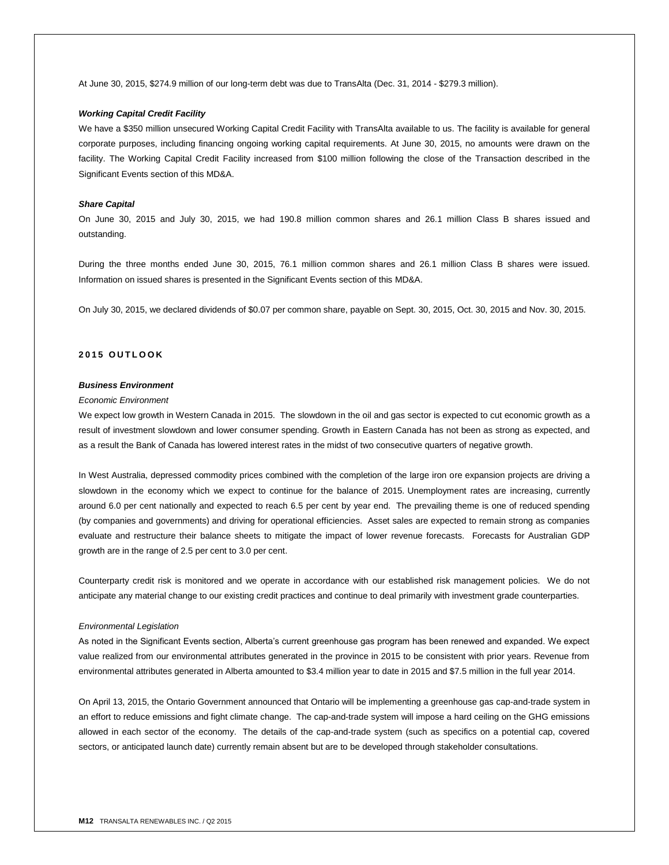At June 30, 2015, \$274.9 million of our long-term debt was due to TransAlta (Dec. 31, 2014 - \$279.3 million).

## *Working Capital Credit Facility*

We have a \$350 million unsecured Working Capital Credit Facility with TransAlta available to us. The facility is available for general corporate purposes, including financing ongoing working capital requirements. At June 30, 2015, no amounts were drawn on the facility. The Working Capital Credit Facility increased from \$100 million following the close of the Transaction described in the Significant Events section of this MD&A.

## *Share Capital*

On June 30, 2015 and July 30, 2015, we had 190.8 million common shares and 26.1 million Class B shares issued and outstanding.

During the three months ended June 30, 2015, 76.1 million common shares and 26.1 million Class B shares were issued. Information on issued shares is presented in the Significant Events section of this MD&A.

On July 30, 2015, we declared dividends of \$0.07 per common share, payable on Sept. 30, 2015, Oct. 30, 2015 and Nov. 30, 2015.

# **2 0 1 5 O U T L O O K**

## *Business Environment*

## *Economic Environment*

We expect low growth in Western Canada in 2015. The slowdown in the oil and gas sector is expected to cut economic growth as a result of investment slowdown and lower consumer spending. Growth in Eastern Canada has not been as strong as expected, and as a result the Bank of Canada has lowered interest rates in the midst of two consecutive quarters of negative growth.

In West Australia, depressed commodity prices combined with the completion of the large iron ore expansion projects are driving a slowdown in the economy which we expect to continue for the balance of 2015. Unemployment rates are increasing, currently around 6.0 per cent nationally and expected to reach 6.5 per cent by year end. The prevailing theme is one of reduced spending (by companies and governments) and driving for operational efficiencies. Asset sales are expected to remain strong as companies evaluate and restructure their balance sheets to mitigate the impact of lower revenue forecasts. Forecasts for Australian GDP growth are in the range of 2.5 per cent to 3.0 per cent.

Counterparty credit risk is monitored and we operate in accordance with our established risk management policies. We do not anticipate any material change to our existing credit practices and continue to deal primarily with investment grade counterparties.

### *Environmental Legislation*

As noted in the Significant Events section, Alberta's current greenhouse gas program has been renewed and expanded. We expect value realized from our environmental attributes generated in the province in 2015 to be consistent with prior years. Revenue from environmental attributes generated in Alberta amounted to \$3.4 million year to date in 2015 and \$7.5 million in the full year 2014.

On April 13, 2015, the Ontario Government announced that Ontario will be implementing a greenhouse gas cap-and-trade system in an effort to reduce emissions and fight climate change. The cap-and-trade system will impose a hard ceiling on the GHG emissions allowed in each sector of the economy. The details of the cap-and-trade system (such as specifics on a potential cap, covered sectors, or anticipated launch date) currently remain absent but are to be developed through stakeholder consultations.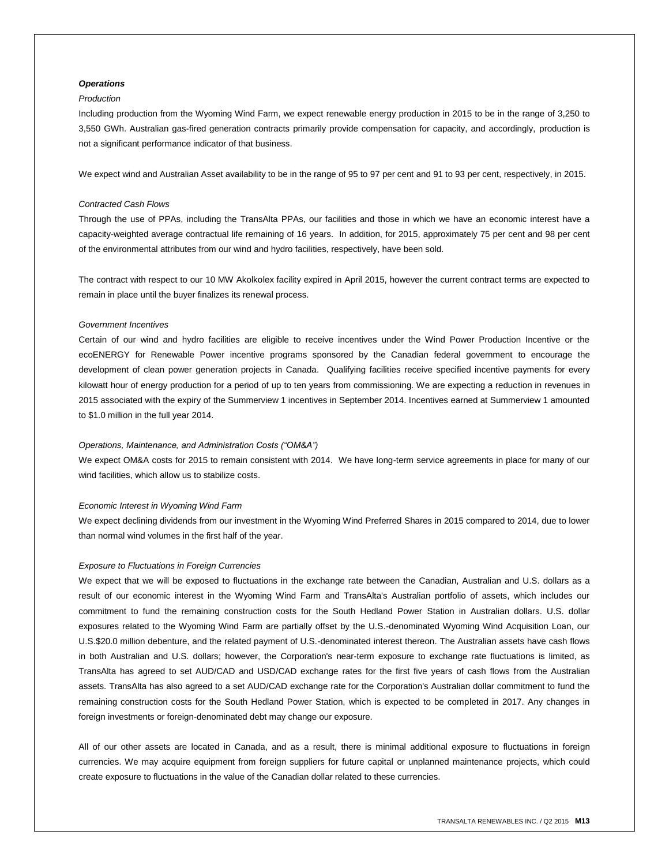# *Operations*

## *Production*

Including production from the Wyoming Wind Farm, we expect renewable energy production in 2015 to be in the range of 3,250 to 3,550 GWh. Australian gas-fired generation contracts primarily provide compensation for capacity, and accordingly, production is not a significant performance indicator of that business.

We expect wind and Australian Asset availability to be in the range of 95 to 97 per cent and 91 to 93 per cent, respectively, in 2015.

## *Contracted Cash Flows*

Through the use of PPAs, including the TransAlta PPAs, our facilities and those in which we have an economic interest have a capacity-weighted average contractual life remaining of 16 years. In addition, for 2015, approximately 75 per cent and 98 per cent of the environmental attributes from our wind and hydro facilities, respectively, have been sold.

The contract with respect to our 10 MW Akolkolex facility expired in April 2015, however the current contract terms are expected to remain in place until the buyer finalizes its renewal process.

#### *Government Incentives*

Certain of our wind and hydro facilities are eligible to receive incentives under the Wind Power Production Incentive or the ecoENERGY for Renewable Power incentive programs sponsored by the Canadian federal government to encourage the development of clean power generation projects in Canada. Qualifying facilities receive specified incentive payments for every kilowatt hour of energy production for a period of up to ten years from commissioning. We are expecting a reduction in revenues in 2015 associated with the expiry of the Summerview 1 incentives in September 2014. Incentives earned at Summerview 1 amounted to \$1.0 million in the full year 2014.

# *Operations, Maintenance, and Administration Costs ("OM&A")*

We expect OM&A costs for 2015 to remain consistent with 2014. We have long-term service agreements in place for many of our wind facilities, which allow us to stabilize costs.

## *Economic Interest in Wyoming Wind Farm*

We expect declining dividends from our investment in the Wyoming Wind Preferred Shares in 2015 compared to 2014, due to lower than normal wind volumes in the first half of the year.

## *Exposure to Fluctuations in Foreign Currencies*

We expect that we will be exposed to fluctuations in the exchange rate between the Canadian, Australian and U.S. dollars as a result of our economic interest in the Wyoming Wind Farm and TransAlta's Australian portfolio of assets, which includes our commitment to fund the remaining construction costs for the South Hedland Power Station in Australian dollars. U.S. dollar exposures related to the Wyoming Wind Farm are partially offset by the U.S.-denominated Wyoming Wind Acquisition Loan, our U.S.\$20.0 million debenture, and the related payment of U.S.-denominated interest thereon. The Australian assets have cash flows in both Australian and U.S. dollars; however, the Corporation's near-term exposure to exchange rate fluctuations is limited, as TransAlta has agreed to set AUD/CAD and USD/CAD exchange rates for the first five years of cash flows from the Australian assets. TransAlta has also agreed to a set AUD/CAD exchange rate for the Corporation's Australian dollar commitment to fund the remaining construction costs for the South Hedland Power Station, which is expected to be completed in 2017. Any changes in foreign investments or foreign-denominated debt may change our exposure.

All of our other assets are located in Canada, and as a result, there is minimal additional exposure to fluctuations in foreign currencies. We may acquire equipment from foreign suppliers for future capital or unplanned maintenance projects, which could create exposure to fluctuations in the value of the Canadian dollar related to these currencies.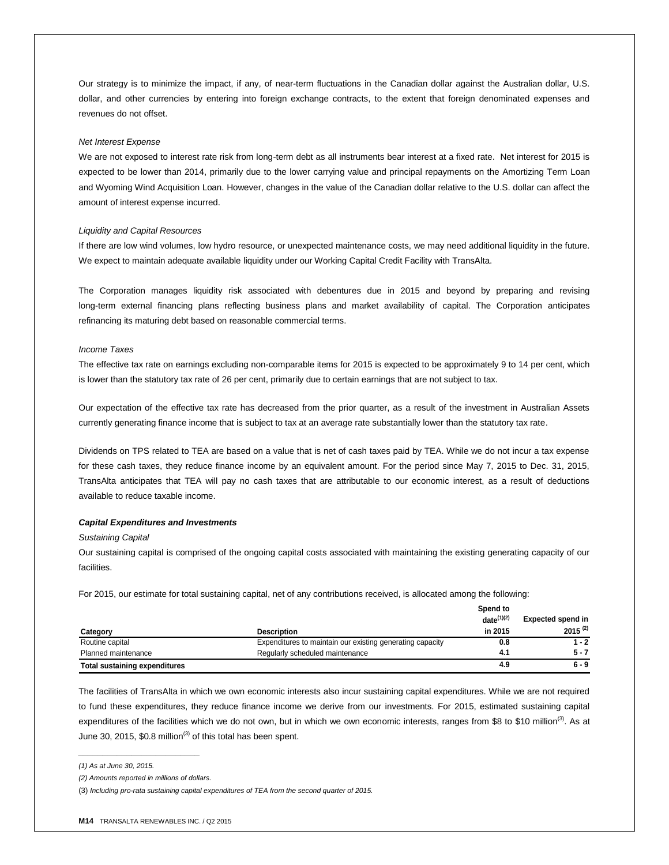Our strategy is to minimize the impact, if any, of near-term fluctuations in the Canadian dollar against the Australian dollar, U.S. dollar, and other currencies by entering into foreign exchange contracts, to the extent that foreign denominated expenses and revenues do not offset.

## *Net Interest Expense*

We are not exposed to interest rate risk from long-term debt as all instruments bear interest at a fixed rate. Net interest for 2015 is expected to be lower than 2014, primarily due to the lower carrying value and principal repayments on the Amortizing Term Loan and Wyoming Wind Acquisition Loan. However, changes in the value of the Canadian dollar relative to the U.S. dollar can affect the amount of interest expense incurred.

## *Liquidity and Capital Resources*

If there are low wind volumes, low hydro resource, or unexpected maintenance costs, we may need additional liquidity in the future. We expect to maintain adequate available liquidity under our Working Capital Credit Facility with TransAlta.

The Corporation manages liquidity risk associated with debentures due in 2015 and beyond by preparing and revising long-term external financing plans reflecting business plans and market availability of capital. The Corporation anticipates refinancing its maturing debt based on reasonable commercial terms.

## *Income Taxes*

The effective tax rate on earnings excluding non-comparable items for 2015 is expected to be approximately 9 to 14 per cent, which is lower than the statutory tax rate of 26 per cent, primarily due to certain earnings that are not subject to tax.

Our expectation of the effective tax rate has decreased from the prior quarter, as a result of the investment in Australian Assets currently generating finance income that is subject to tax at an average rate substantially lower than the statutory tax rate.

Dividends on TPS related to TEA are based on a value that is net of cash taxes paid by TEA. While we do not incur a tax expense for these cash taxes, they reduce finance income by an equivalent amount. For the period since May 7, 2015 to Dec. 31, 2015, TransAlta anticipates that TEA will pay no cash taxes that are attributable to our economic interest, as a result of deductions available to reduce taxable income.

### *Capital Expenditures and Investments*

#### *Sustaining Capital*

Our sustaining capital is comprised of the ongoing capital costs associated with maintaining the existing generating capacity of our facilities.

For 2015, our estimate for total sustaining capital, net of any contributions received, is allocated among the following:

|                                      |                                                           | Spend to        |                          |
|--------------------------------------|-----------------------------------------------------------|-----------------|--------------------------|
|                                      |                                                           | $date^{(1)(2)}$ | <b>Expected spend in</b> |
| Category                             | <b>Description</b>                                        | in 2015         | $2015^{(2)}$             |
| Routine capital                      | Expenditures to maintain our existing generating capacity | 0.8             | 1 - 2                    |
| Planned maintenance                  | Regularly scheduled maintenance                           | 4.1             | 5 - 7                    |
| <b>Total sustaining expenditures</b> |                                                           | 4.9             | $6 - 9$                  |

The facilities of TransAlta in which we own economic interests also incur sustaining capital expenditures. While we are not required to fund these expenditures, they reduce finance income we derive from our investments. For 2015, estimated sustaining capital expenditures of the facilities which we do not own, but in which we own economic interests, ranges from \$8 to \$10 million<sup>(3)</sup>. As at June 30, 2015, \$0.8 million<sup>(3)</sup> of this total has been spent.

*\_\_\_\_\_\_\_\_\_\_\_\_\_\_\_\_\_\_\_\_\_\_\_\_\_*

*<sup>(1)</sup> As at June 30, 2015.*

*<sup>(2)</sup> Amounts reported in millions of dollars.*

<sup>(3)</sup> *Including pro-rata sustaining capital expenditures of TEA from the second quarter of 2015.*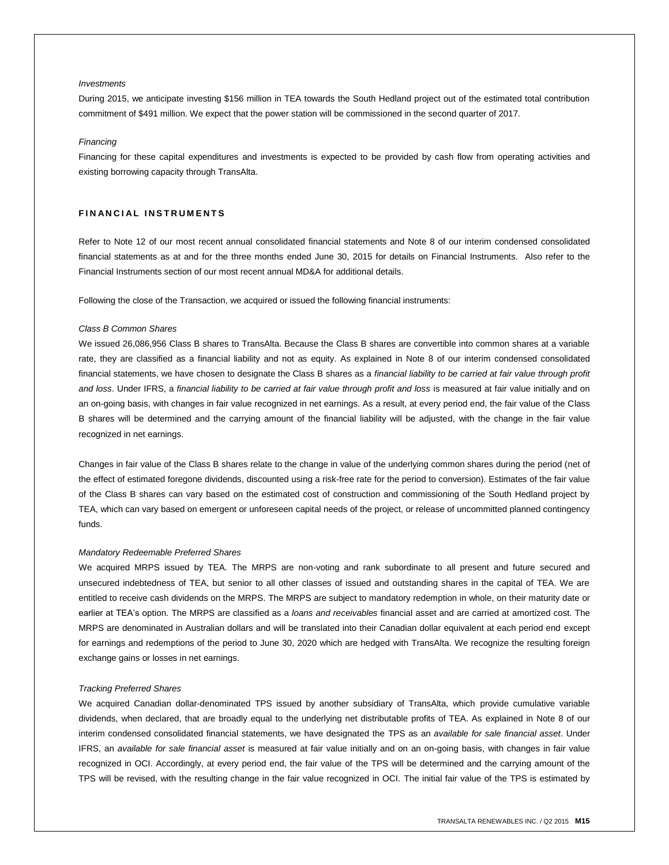## *Investments*

During 2015, we anticipate investing \$156 million in TEA towards the South Hedland project out of the estimated total contribution commitment of \$491 million. We expect that the power station will be commissioned in the second quarter of 2017.

## *Financing*

Financing for these capital expenditures and investments is expected to be provided by cash flow from operating activities and existing borrowing capacity through TransAlta.

## **FINANCIAL INSTRUMENTS**

Refer to Note 12 of our most recent annual consolidated financial statements and Note 8 of our interim condensed consolidated financial statements as at and for the three months ended June 30, 2015 for details on Financial Instruments. Also refer to the Financial Instruments section of our most recent annual MD&A for additional details.

Following the close of the Transaction, we acquired or issued the following financial instruments:

## *Class B Common Shares*

We issued 26,086,956 Class B shares to TransAlta. Because the Class B shares are convertible into common shares at a variable rate, they are classified as a financial liability and not as equity. As explained in Note 8 of our interim condensed consolidated financial statements, we have chosen to designate the Class B shares as a *financial liability to be carried at fair value through profit and loss*. Under IFRS, a *financial liability to be carried at fair value through profit and loss* is measured at fair value initially and on an on-going basis, with changes in fair value recognized in net earnings. As a result, at every period end, the fair value of the Class B shares will be determined and the carrying amount of the financial liability will be adjusted, with the change in the fair value recognized in net earnings.

Changes in fair value of the Class B shares relate to the change in value of the underlying common shares during the period (net of the effect of estimated foregone dividends, discounted using a risk-free rate for the period to conversion). Estimates of the fair value of the Class B shares can vary based on the estimated cost of construction and commissioning of the South Hedland project by TEA, which can vary based on emergent or unforeseen capital needs of the project, or release of uncommitted planned contingency funds.

## *Mandatory Redeemable Preferred Shares*

We acquired MRPS issued by TEA. The MRPS are non-voting and rank subordinate to all present and future secured and unsecured indebtedness of TEA, but senior to all other classes of issued and outstanding shares in the capital of TEA. We are entitled to receive cash dividends on the MRPS. The MRPS are subject to mandatory redemption in whole, on their maturity date or earlier at TEA's option. The MRPS are classified as a *loans and receivables* financial asset and are carried at amortized cost. The MRPS are denominated in Australian dollars and will be translated into their Canadian dollar equivalent at each period end except for earnings and redemptions of the period to June 30, 2020 which are hedged with TransAlta. We recognize the resulting foreign exchange gains or losses in net earnings.

#### *Tracking Preferred Shares*

We acquired Canadian dollar-denominated TPS issued by another subsidiary of TransAlta, which provide cumulative variable dividends, when declared, that are broadly equal to the underlying net distributable profits of TEA. As explained in Note 8 of our interim condensed consolidated financial statements, we have designated the TPS as an *available for sale financial asset*. Under IFRS, an *available for sale financial asset* is measured at fair value initially and on an on-going basis, with changes in fair value recognized in OCI. Accordingly, at every period end, the fair value of the TPS will be determined and the carrying amount of the TPS will be revised, with the resulting change in the fair value recognized in OCI. The initial fair value of the TPS is estimated by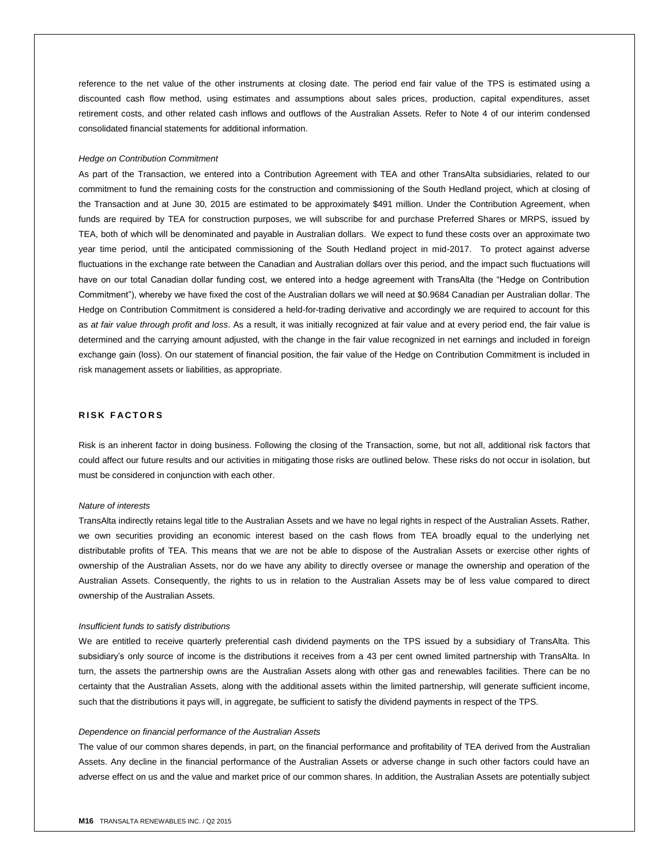reference to the net value of the other instruments at closing date. The period end fair value of the TPS is estimated using a discounted cash flow method, using estimates and assumptions about sales prices, production, capital expenditures, asset retirement costs, and other related cash inflows and outflows of the Australian Assets. Refer to Note 4 of our interim condensed consolidated financial statements for additional information.

#### *Hedge on Contribution Commitment*

As part of the Transaction, we entered into a Contribution Agreement with TEA and other TransAlta subsidiaries, related to our commitment to fund the remaining costs for the construction and commissioning of the South Hedland project, which at closing of the Transaction and at June 30, 2015 are estimated to be approximately \$491 million. Under the Contribution Agreement, when funds are required by TEA for construction purposes, we will subscribe for and purchase Preferred Shares or MRPS, issued by TEA, both of which will be denominated and payable in Australian dollars. We expect to fund these costs over an approximate two year time period, until the anticipated commissioning of the South Hedland project in mid-2017. To protect against adverse fluctuations in the exchange rate between the Canadian and Australian dollars over this period, and the impact such fluctuations will have on our total Canadian dollar funding cost, we entered into a hedge agreement with TransAlta (the "Hedge on Contribution Commitment"), whereby we have fixed the cost of the Australian dollars we will need at \$0.9684 Canadian per Australian dollar. The Hedge on Contribution Commitment is considered a held-for-trading derivative and accordingly we are required to account for this as *at fair value through profit and loss*. As a result, it was initially recognized at fair value and at every period end, the fair value is determined and the carrying amount adjusted, with the change in the fair value recognized in net earnings and included in foreign exchange gain (loss). On our statement of financial position, the fair value of the Hedge on Contribution Commitment is included in risk management assets or liabilities, as appropriate.

# **RISK FACTORS**

Risk is an inherent factor in doing business. Following the closing of the Transaction, some, but not all, additional risk factors that could affect our future results and our activities in mitigating those risks are outlined below. These risks do not occur in isolation, but must be considered in conjunction with each other.

#### *Nature of interests*

TransAlta indirectly retains legal title to the Australian Assets and we have no legal rights in respect of the Australian Assets. Rather, we own securities providing an economic interest based on the cash flows from TEA broadly equal to the underlying net distributable profits of TEA. This means that we are not be able to dispose of the Australian Assets or exercise other rights of ownership of the Australian Assets, nor do we have any ability to directly oversee or manage the ownership and operation of the Australian Assets. Consequently, the rights to us in relation to the Australian Assets may be of less value compared to direct ownership of the Australian Assets.

### *Insufficient funds to satisfy distributions*

We are entitled to receive quarterly preferential cash dividend payments on the TPS issued by a subsidiary of TransAlta. This subsidiary's only source of income is the distributions it receives from a 43 per cent owned limited partnership with TransAlta. In turn, the assets the partnership owns are the Australian Assets along with other gas and renewables facilities. There can be no certainty that the Australian Assets, along with the additional assets within the limited partnership, will generate sufficient income, such that the distributions it pays will, in aggregate, be sufficient to satisfy the dividend payments in respect of the TPS.

## *Dependence on financial performance of the Australian Assets*

The value of our common shares depends, in part, on the financial performance and profitability of TEA derived from the Australian Assets. Any decline in the financial performance of the Australian Assets or adverse change in such other factors could have an adverse effect on us and the value and market price of our common shares. In addition, the Australian Assets are potentially subject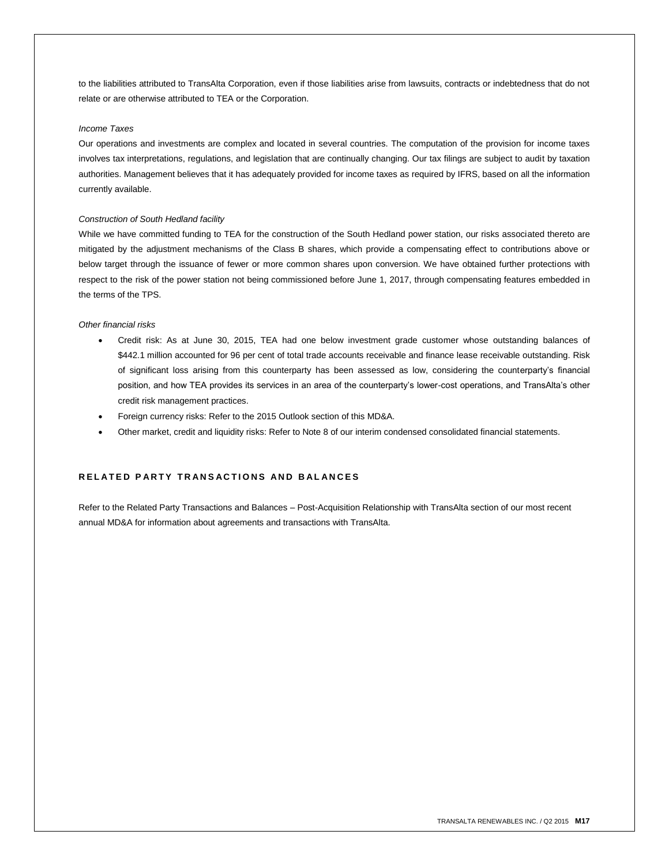to the liabilities attributed to TransAlta Corporation, even if those liabilities arise from lawsuits, contracts or indebtedness that do not relate or are otherwise attributed to TEA or the Corporation.

## *Income Taxes*

Our operations and investments are complex and located in several countries. The computation of the provision for income taxes involves tax interpretations, regulations, and legislation that are continually changing. Our tax filings are subject to audit by taxation authorities. Management believes that it has adequately provided for income taxes as required by IFRS, based on all the information currently available.

## *Construction of South Hedland facility*

While we have committed funding to TEA for the construction of the South Hedland power station, our risks associated thereto are mitigated by the adjustment mechanisms of the Class B shares, which provide a compensating effect to contributions above or below target through the issuance of fewer or more common shares upon conversion. We have obtained further protections with respect to the risk of the power station not being commissioned before June 1, 2017, through compensating features embedded in the terms of the TPS.

## *Other financial risks*

- Credit risk: As at June 30, 2015, TEA had one below investment grade customer whose outstanding balances of \$442.1 million accounted for 96 per cent of total trade accounts receivable and finance lease receivable outstanding. Risk of significant loss arising from this counterparty has been assessed as low, considering the counterparty's financial position, and how TEA provides its services in an area of the counterparty's lower-cost operations, and TransAlta's other credit risk management practices.
- Foreign currency risks: Refer to the 2015 Outlook section of this MD&A.
- Other market, credit and liquidity risks: Refer to Note 8 of our interim condensed consolidated financial statements.

# **R E L A T E D P A R T Y T R A N S A C T I O N S A N D B A L A N C E S**

Refer to the Related Party Transactions and Balances – Post-Acquisition Relationship with TransAlta section of our most recent annual MD&A for information about agreements and transactions with TransAlta.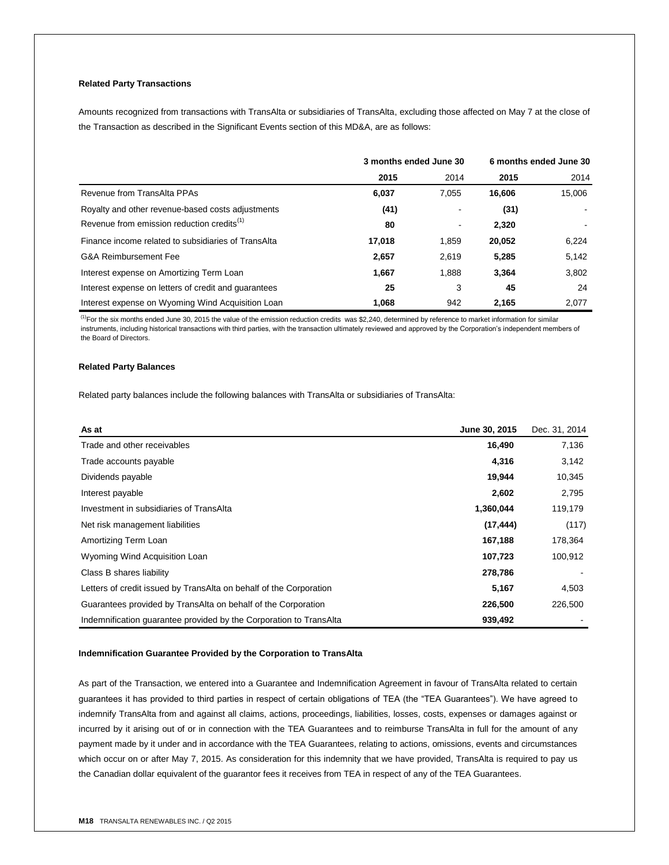# **Related Party Transactions**

Amounts recognized from transactions with TransAlta or subsidiaries of TransAlta, excluding those affected on May 7 at the close of the Transaction as described in the Significant Events section of this MD&A, are as follows:

|                                                        | 3 months ended June 30 |       |        | 6 months ended June 30 |
|--------------------------------------------------------|------------------------|-------|--------|------------------------|
|                                                        | 2015                   | 2014  | 2015   | 2014                   |
| Revenue from TransAlta PPAs                            | 6,037                  | 7.055 | 16.606 | 15.006                 |
| Royalty and other revenue-based costs adjustments      | (41)                   |       | (31)   |                        |
| Revenue from emission reduction credits <sup>(1)</sup> | 80                     |       | 2,320  |                        |
| Finance income related to subsidiaries of TransAlta    | 17,018                 | 1.859 | 20,052 | 6.224                  |
| G&A Reimbursement Fee                                  | 2,657                  | 2.619 | 5,285  | 5,142                  |
| Interest expense on Amortizing Term Loan               | 1,667                  | 1,888 | 3.364  | 3,802                  |
| Interest expense on letters of credit and quarantees   | 25                     | 3     | 45     | 24                     |
| Interest expense on Wyoming Wind Acquisition Loan      | 1.068                  | 942   | 2.165  | 2.077                  |

 $^{(1)}$ For the six months ended June 30, 2015 the value of the emission reduction credits was \$2,240, determined by reference to market information for similar instruments, including historical transactions with third parties, with the transaction ultimately reviewed and approved by the Corporation's independent members of the Board of Directors.

# **Related Party Balances**

Related party balances include the following balances with TransAlta or subsidiaries of TransAlta:

| As at                                                              | June 30, 2015 | Dec. 31, 2014 |
|--------------------------------------------------------------------|---------------|---------------|
| Trade and other receivables                                        | 16,490        | 7,136         |
| Trade accounts payable                                             | 4,316         | 3,142         |
| Dividends payable                                                  | 19,944        | 10,345        |
| Interest payable                                                   | 2,602         | 2,795         |
| Investment in subsidiaries of TransAlta                            | 1,360,044     | 119,179       |
| Net risk management liabilities                                    | (17, 444)     | (117)         |
| Amortizing Term Loan                                               | 167,188       | 178,364       |
| Wyoming Wind Acquisition Loan                                      | 107,723       | 100,912       |
| Class B shares liability                                           | 278,786       |               |
| Letters of credit issued by TransAlta on behalf of the Corporation | 5,167         | 4,503         |
| Guarantees provided by TransAlta on behalf of the Corporation      | 226,500       | 226,500       |
| Indemnification guarantee provided by the Corporation to TransAlta | 939,492       |               |

## **Indemnification Guarantee Provided by the Corporation to TransAlta**

As part of the Transaction, we entered into a Guarantee and Indemnification Agreement in favour of TransAlta related to certain guarantees it has provided to third parties in respect of certain obligations of TEA (the "TEA Guarantees"). We have agreed to indemnify TransAlta from and against all claims, actions, proceedings, liabilities, losses, costs, expenses or damages against or incurred by it arising out of or in connection with the TEA Guarantees and to reimburse TransAlta in full for the amount of any payment made by it under and in accordance with the TEA Guarantees, relating to actions, omissions, events and circumstances which occur on or after May 7, 2015. As consideration for this indemnity that we have provided, TransAlta is required to pay us the Canadian dollar equivalent of the guarantor fees it receives from TEA in respect of any of the TEA Guarantees.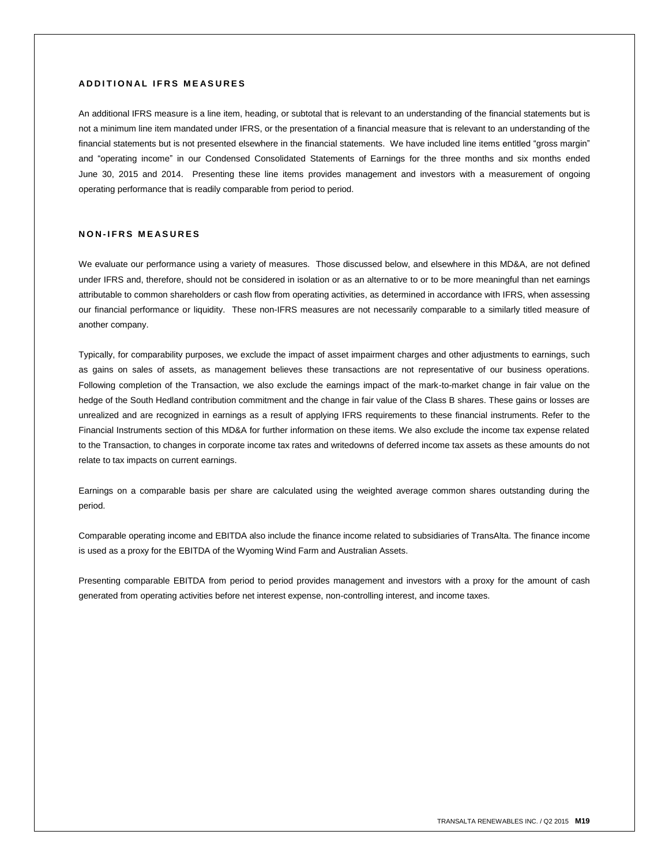# **A D D I T I O N A L I F R S M E A S U R E S**

An additional IFRS measure is a line item, heading, or subtotal that is relevant to an understanding of the financial statements but is not a minimum line item mandated under IFRS, or the presentation of a financial measure that is relevant to an understanding of the financial statements but is not presented elsewhere in the financial statements. We have included line items entitled "gross margin" and "operating income" in our Condensed Consolidated Statements of Earnings for the three months and six months ended June 30, 2015 and 2014. Presenting these line items provides management and investors with a measurement of ongoing operating performance that is readily comparable from period to period.

# **N O N - I F R S M E A S U R E S**

We evaluate our performance using a variety of measures. Those discussed below, and elsewhere in this MD&A, are not defined under IFRS and, therefore, should not be considered in isolation or as an alternative to or to be more meaningful than net earnings attributable to common shareholders or cash flow from operating activities, as determined in accordance with IFRS, when assessing our financial performance or liquidity. These non-IFRS measures are not necessarily comparable to a similarly titled measure of another company.

Typically, for comparability purposes, we exclude the impact of asset impairment charges and other adjustments to earnings, such as gains on sales of assets, as management believes these transactions are not representative of our business operations. Following completion of the Transaction, we also exclude the earnings impact of the mark-to-market change in fair value on the hedge of the South Hedland contribution commitment and the change in fair value of the Class B shares. These gains or losses are unrealized and are recognized in earnings as a result of applying IFRS requirements to these financial instruments. Refer to the Financial Instruments section of this MD&A for further information on these items. We also exclude the income tax expense related to the Transaction, to changes in corporate income tax rates and writedowns of deferred income tax assets as these amounts do not relate to tax impacts on current earnings.

Earnings on a comparable basis per share are calculated using the weighted average common shares outstanding during the period.

Comparable operating income and EBITDA also include the finance income related to subsidiaries of TransAlta. The finance income is used as a proxy for the EBITDA of the Wyoming Wind Farm and Australian Assets.

Presenting comparable EBITDA from period to period provides management and investors with a proxy for the amount of cash generated from operating activities before net interest expense, non-controlling interest, and income taxes.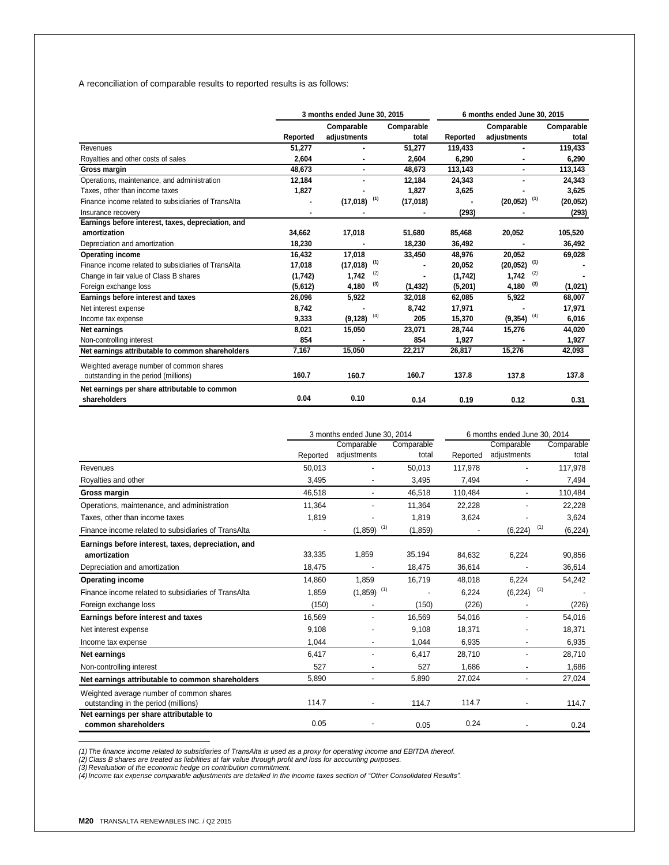A reconciliation of comparable results to reported results is as follows:

|                                                     |          | 3 months ended June 30, 2015 |                     | 6 months ended June 30, 2015 |                           |                     |
|-----------------------------------------------------|----------|------------------------------|---------------------|------------------------------|---------------------------|---------------------|
|                                                     | Reported | Comparable<br>adjustments    | Comparable<br>total | Reported                     | Comparable<br>adjustments | Comparable<br>total |
| Revenues                                            | 51.277   |                              | 51.277              | 119.433                      |                           | 119,433             |
| Royalties and other costs of sales                  | 2,604    |                              | 2,604               | 6,290                        |                           | 6,290               |
| Gross margin                                        | 48,673   |                              | 48,673              | 113,143                      | ٠                         | 113,143             |
| Operations, maintenance, and administration         | 12,184   |                              | 12,184              | 24,343                       | ٠                         | 24,343              |
| Taxes, other than income taxes                      | 1,827    |                              | 1,827               | 3,625                        |                           | 3,625               |
| Finance income related to subsidiaries of TransAlta |          | $(17,018)$ <sup>(1)</sup>    | (17,018)            |                              | $(20,052)$ <sup>(1)</sup> | (20, 052)           |
| Insurance recovery                                  |          |                              |                     | (293)                        |                           | (293)               |
| Earnings before interest, taxes, depreciation, and  |          |                              |                     |                              |                           |                     |
| amortization                                        | 34,662   | 17,018                       | 51,680              | 85,468                       | 20,052                    | 105,520             |
| Depreciation and amortization                       | 18,230   |                              | 18,230              | 36,492                       |                           | 36,492              |
| <b>Operating income</b>                             | 16,432   | 17,018                       | 33,450              | 48,976                       | 20,052                    | 69,028              |
| Finance income related to subsidiaries of TransAlta | 17,018   | (1)<br>(17, 018)             |                     | 20,052                       | $(20,052)$ <sup>(1)</sup> |                     |
| Change in fair value of Class B shares              | (1,742)  | (2)<br>1,742                 |                     | (1,742)                      | (2)<br>1,742              |                     |
| Foreign exchange loss                               | (5,612)  | (3)<br>4,180                 | (1, 432)            | (5,201)                      | (3)<br>4,180              | (1,021)             |
| Earnings before interest and taxes                  | 26,096   | 5,922                        | 32,018              | 62,085                       | 5,922                     | 68,007              |
| Net interest expense                                | 8,742    |                              | 8,742               | 17,971                       |                           | 17,971              |
| Income tax expense                                  | 9,333    | $(9,128)$ <sup>(4)</sup>     | 205                 | 15,370                       | $(9,354)$ <sup>(4)</sup>  | 6,016               |
| Net earnings                                        | 8,021    | 15,050                       | 23,071              | 28,744                       | 15,276                    | 44,020              |
| Non-controlling interest                            | 854      |                              | 854                 | 1.927                        |                           | 1,927               |
| Net earnings attributable to common shareholders    | 7,167    | 15.050                       | 22,217              | 26,817                       | 15,276                    | 42,093              |
| Weighted average number of common shares            |          |                              |                     |                              |                           |                     |
| outstanding in the period (millions)                | 160.7    | 160.7                        | 160.7               | 137.8                        | 137.8                     | 137.8               |
| Net earnings per share attributable to common       |          |                              |                     |                              |                           |                     |
| shareholders                                        | 0.04     | 0.10                         | 0.14                | 0.19                         | 0.12                      | 0.31                |

|                                                     | 3 months ended June 30, 2014 |                          |            | 6 months ended June 30, 2014 |                          |                 |
|-----------------------------------------------------|------------------------------|--------------------------|------------|------------------------------|--------------------------|-----------------|
|                                                     |                              | Comparable               | Comparable |                              | Comparable               | Comparable      |
|                                                     | Reported                     | adjustments              | total      | Reported                     | adjustments              | total           |
| Revenues                                            | 50,013                       |                          | 50,013     | 117,978                      |                          | 117,978         |
| Royalties and other                                 | 3,495                        | $\overline{\phantom{a}}$ | 3,495      | 7,494                        |                          | 7,494           |
| Gross margin                                        | 46,518                       | -                        | 46,518     | 110,484                      | $\overline{\phantom{0}}$ | 110,484         |
| Operations, maintenance, and administration         | 11,364                       | $\overline{a}$           | 11,364     | 22,228                       |                          | 22,228          |
| Taxes, other than income taxes                      | 1,819                        |                          | 1,819      | 3,624                        |                          | 3,624           |
| Finance income related to subsidiaries of TransAlta |                              | $(1,859)$ <sup>(1)</sup> | (1, 859)   |                              | (6, 224)                 | (1)<br>(6, 224) |
| Earnings before interest, taxes, depreciation, and  |                              |                          |            |                              |                          |                 |
| amortization                                        | 33,335                       | 1,859                    | 35,194     | 84,632                       | 6,224                    | 90,856          |
| Depreciation and amortization                       | 18,475                       |                          | 18,475     | 36,614                       |                          | 36,614          |
| <b>Operating income</b>                             | 14,860                       | 1,859                    | 16,719     | 48,018                       | 6,224                    | 54,242          |
| Finance income related to subsidiaries of TransAlta | 1,859                        | $(1,859)$ <sup>(1)</sup> |            | 6,224                        | (6, 224)                 | (1)             |
| Foreign exchange loss                               | (150)                        |                          | (150)      | (226)                        |                          | (226)           |
| Earnings before interest and taxes                  | 16,569                       |                          | 16,569     | 54,016                       |                          | 54,016          |
| Net interest expense                                | 9,108                        |                          | 9,108      | 18,371                       |                          | 18,371          |
| Income tax expense                                  | 1,044                        | $\overline{\phantom{a}}$ | 1,044      | 6,935                        |                          | 6,935           |
| Net earnings                                        | 6,417                        | ٠                        | 6,417      | 28,710                       |                          | 28,710          |
| Non-controlling interest                            | 527                          | ٠                        | 527        | 1,686                        | $\overline{\phantom{a}}$ | 1,686           |
| Net earnings attributable to common shareholders    | 5,890                        | $\overline{\phantom{a}}$ | 5,890      | 27,024                       | $\blacksquare$           | 27,024          |
| Weighted average number of common shares            |                              |                          |            |                              |                          |                 |
| outstanding in the period (millions)                | 114.7                        |                          | 114.7      | 114.7                        | $\overline{\phantom{a}}$ | 114.7           |
| Net earnings per share attributable to              |                              |                          |            |                              |                          |                 |
| common shareholders                                 | 0.05                         |                          | 0.05       | 0.24                         |                          | 0.24            |

(1) The finance income related to subsidiaries of TransAlta is used as a proxy for operating income and EBITDA thereof.<br>(2) Class B shares are treated as liabilities at fair value through profit and loss for accounting pur

\_\_\_\_\_\_\_\_\_\_\_\_\_\_\_\_\_\_\_\_\_\_\_\_\_\_\_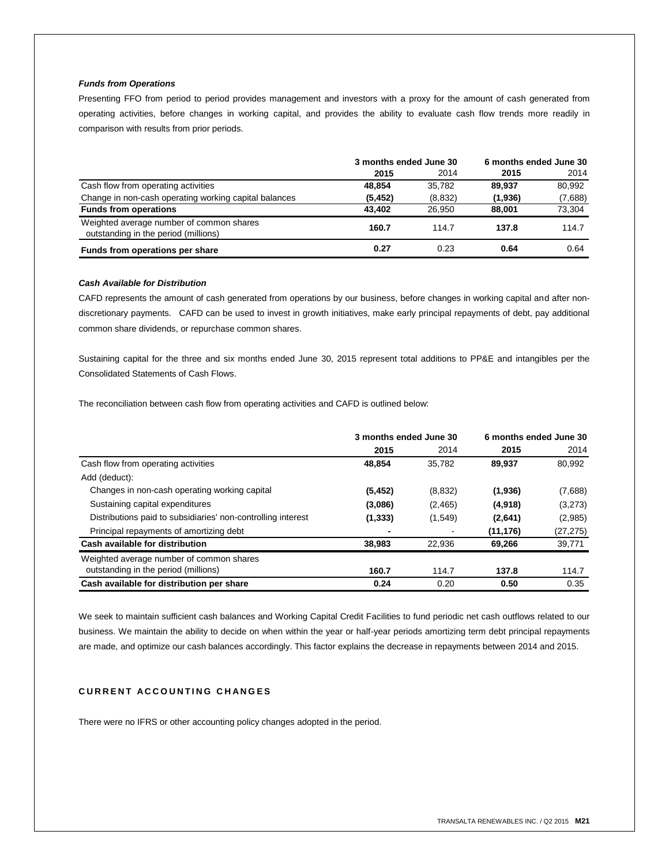# *Funds from Operations*

Presenting FFO from period to period provides management and investors with a proxy for the amount of cash generated from operating activities, before changes in working capital, and provides the ability to evaluate cash flow trends more readily in comparison with results from prior periods.

|                                                                                  | 3 months ended June 30 |         | 6 months ended June 30 |         |
|----------------------------------------------------------------------------------|------------------------|---------|------------------------|---------|
|                                                                                  | 2015                   | 2014    | 2015                   | 2014    |
| Cash flow from operating activities                                              | 48.854                 | 35.782  | 89.937                 | 80.992  |
| Change in non-cash operating working capital balances                            | (5, 452)               | (8,832) | (1,936)                | (7,688) |
| <b>Funds from operations</b>                                                     | 43.402                 | 26.950  | 88,001                 | 73,304  |
| Weighted average number of common shares<br>outstanding in the period (millions) | 160.7                  | 114.7   | 137.8                  | 114.7   |
| Funds from operations per share                                                  | 0.27                   | 0.23    | 0.64                   | 0.64    |

# *Cash Available for Distribution*

CAFD represents the amount of cash generated from operations by our business, before changes in working capital and after nondiscretionary payments. CAFD can be used to invest in growth initiatives, make early principal repayments of debt, pay additional common share dividends, or repurchase common shares.

Sustaining capital for the three and six months ended June 30, 2015 represent total additions to PP&E and intangibles per the Consolidated Statements of Cash Flows.

The reconciliation between cash flow from operating activities and CAFD is outlined below:

|                                                              | 3 months ended June 30 |         | 6 months ended June 30 |           |
|--------------------------------------------------------------|------------------------|---------|------------------------|-----------|
|                                                              | 2015                   | 2014    | 2015                   | 2014      |
| Cash flow from operating activities                          | 48.854                 | 35.782  | 89,937                 | 80.992    |
| Add (deduct):                                                |                        |         |                        |           |
| Changes in non-cash operating working capital                | (5, 452)               | (8,832) | (1,936)                | (7,688)   |
| Sustaining capital expenditures                              | (3,086)                | (2,465) | (4,918)                | (3,273)   |
| Distributions paid to subsidiaries' non-controlling interest | (1, 333)               | (1,549) | (2,641)                | (2,985)   |
| Principal repayments of amortizing debt                      |                        |         | (11, 176)              | (27, 275) |
| Cash available for distribution                              | 38,983                 | 22,936  | 69,266                 | 39,771    |
| Weighted average number of common shares                     |                        |         |                        |           |
| outstanding in the period (millions)                         | 160.7                  | 114.7   | 137.8                  | 114.7     |
| Cash available for distribution per share                    | 0.24                   | 0.20    | 0.50                   | 0.35      |

We seek to maintain sufficient cash balances and Working Capital Credit Facilities to fund periodic net cash outflows related to our business. We maintain the ability to decide on when within the year or half-year periods amortizing term debt principal repayments are made, and optimize our cash balances accordingly. This factor explains the decrease in repayments between 2014 and 2015.

# **C U R R E N T A C C O U N T I N G C H A N G E S**

There were no IFRS or other accounting policy changes adopted in the period.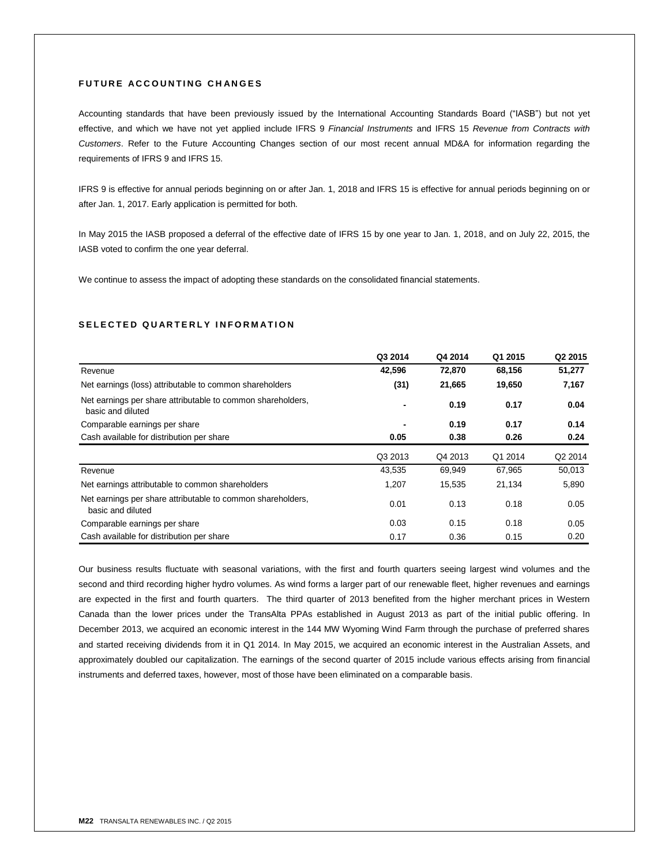# **FUTURE ACCOUNTING CHANGES**

Accounting standards that have been previously issued by the International Accounting Standards Board ("IASB") but not yet effective, and which we have not yet applied include IFRS 9 *Financial Instruments* and IFRS 15 *Revenue from Contracts with Customers*. Refer to the Future Accounting Changes section of our most recent annual MD&A for information regarding the requirements of IFRS 9 and IFRS 15.

IFRS 9 is effective for annual periods beginning on or after Jan. 1, 2018 and IFRS 15 is effective for annual periods beginning on or after Jan. 1, 2017. Early application is permitted for both.

In May 2015 the IASB proposed a deferral of the effective date of IFRS 15 by one year to Jan. 1, 2018, and on July 22, 2015, the IASB voted to confirm the one year deferral.

We continue to assess the impact of adopting these standards on the consolidated financial statements.

# SELECTED QUARTERLY INFORMATION

|                                                                                  | Q3 2014 | Q4 2014 | Q1 2015 | Q <sub>2</sub> 2015 |
|----------------------------------------------------------------------------------|---------|---------|---------|---------------------|
| Revenue                                                                          | 42,596  | 72,870  | 68,156  | 51,277              |
| Net earnings (loss) attributable to common shareholders                          | (31)    | 21,665  | 19,650  | 7,167               |
| Net earnings per share attributable to common shareholders,<br>basic and diluted |         | 0.19    | 0.17    | 0.04                |
| Comparable earnings per share                                                    |         | 0.19    | 0.17    | 0.14                |
| Cash available for distribution per share                                        | 0.05    | 0.38    | 0.26    | 0.24                |
|                                                                                  | Q3 2013 | Q4 2013 | Q1 2014 | Q2 2014             |
| Revenue                                                                          | 43,535  | 69,949  | 67,965  | 50,013              |
| Net earnings attributable to common shareholders                                 | 1,207   | 15,535  | 21,134  | 5,890               |
| Net earnings per share attributable to common shareholders,<br>basic and diluted | 0.01    | 0.13    | 0.18    | 0.05                |
| Comparable earnings per share                                                    | 0.03    | 0.15    | 0.18    | 0.05                |
| Cash available for distribution per share                                        | 0.17    | 0.36    | 0.15    | 0.20                |

Our business results fluctuate with seasonal variations, with the first and fourth quarters seeing largest wind volumes and the second and third recording higher hydro volumes. As wind forms a larger part of our renewable fleet, higher revenues and earnings are expected in the first and fourth quarters. The third quarter of 2013 benefited from the higher merchant prices in Western Canada than the lower prices under the TransAlta PPAs established in August 2013 as part of the initial public offering. In December 2013, we acquired an economic interest in the 144 MW Wyoming Wind Farm through the purchase of preferred shares and started receiving dividends from it in Q1 2014. In May 2015, we acquired an economic interest in the Australian Assets, and approximately doubled our capitalization. The earnings of the second quarter of 2015 include various effects arising from financial instruments and deferred taxes, however, most of those have been eliminated on a comparable basis.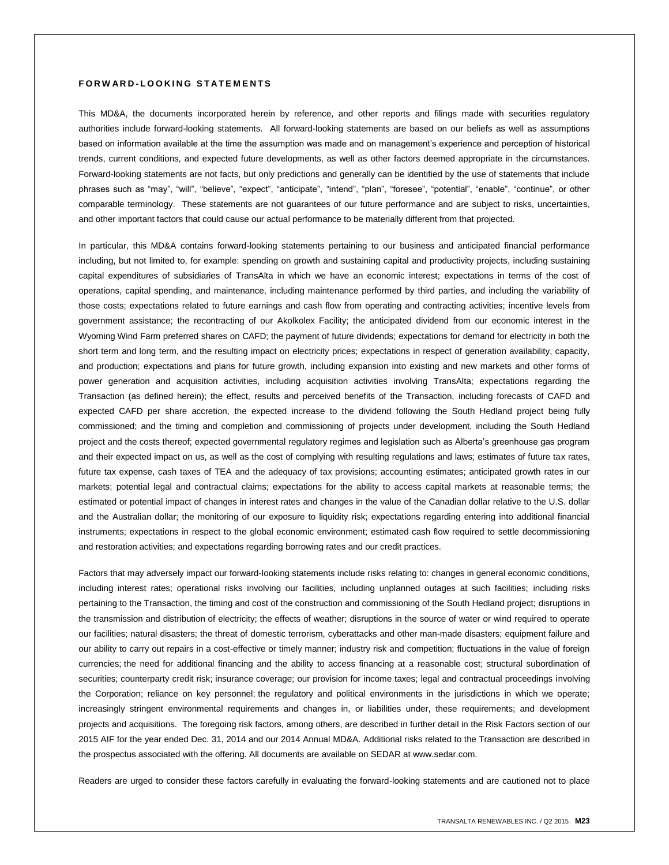## **F O R W A R D - L O O K I N G S T A T E M E N T S**

This MD&A, the documents incorporated herein by reference, and other reports and filings made with securities regulatory authorities include forward-looking statements. All forward-looking statements are based on our beliefs as well as assumptions based on information available at the time the assumption was made and on management's experience and perception of historical trends, current conditions, and expected future developments, as well as other factors deemed appropriate in the circumstances. Forward-looking statements are not facts, but only predictions and generally can be identified by the use of statements that include phrases such as "may", "will", "believe", "expect", "anticipate", "intend", "plan", "foresee", "potential", "enable", "continue", or other comparable terminology. These statements are not guarantees of our future performance and are subject to risks, uncertainties, and other important factors that could cause our actual performance to be materially different from that projected.

In particular, this MD&A contains forward-looking statements pertaining to our business and anticipated financial performance including, but not limited to, for example: spending on growth and sustaining capital and productivity projects, including sustaining capital expenditures of subsidiaries of TransAlta in which we have an economic interest; expectations in terms of the cost of operations, capital spending, and maintenance, including maintenance performed by third parties, and including the variability of those costs; expectations related to future earnings and cash flow from operating and contracting activities; incentive levels from government assistance; the recontracting of our Akolkolex Facility; the anticipated dividend from our economic interest in the Wyoming Wind Farm preferred shares on CAFD; the payment of future dividends; expectations for demand for electricity in both the short term and long term, and the resulting impact on electricity prices; expectations in respect of generation availability, capacity, and production; expectations and plans for future growth, including expansion into existing and new markets and other forms of power generation and acquisition activities, including acquisition activities involving TransAlta; expectations regarding the Transaction (as defined herein); the effect, results and perceived benefits of the Transaction, including forecasts of CAFD and expected CAFD per share accretion, the expected increase to the dividend following the South Hedland project being fully commissioned; and the timing and completion and commissioning of projects under development, including the South Hedland project and the costs thereof; expected governmental regulatory regimes and legislation such as Alberta's greenhouse gas program and their expected impact on us, as well as the cost of complying with resulting regulations and laws; estimates of future tax rates, future tax expense, cash taxes of TEA and the adequacy of tax provisions; accounting estimates; anticipated growth rates in our markets; potential legal and contractual claims; expectations for the ability to access capital markets at reasonable terms; the estimated or potential impact of changes in interest rates and changes in the value of the Canadian dollar relative to the U.S. dollar and the Australian dollar; the monitoring of our exposure to liquidity risk; expectations regarding entering into additional financial instruments; expectations in respect to the global economic environment; estimated cash flow required to settle decommissioning and restoration activities; and expectations regarding borrowing rates and our credit practices.

Factors that may adversely impact our forward-looking statements include risks relating to: changes in general economic conditions, including interest rates; operational risks involving our facilities, including unplanned outages at such facilities; including risks pertaining to the Transaction, the timing and cost of the construction and commissioning of the South Hedland project; disruptions in the transmission and distribution of electricity; the effects of weather; disruptions in the source of water or wind required to operate our facilities; natural disasters; the threat of domestic terrorism, cyberattacks and other man-made disasters; equipment failure and our ability to carry out repairs in a cost-effective or timely manner; industry risk and competition; fluctuations in the value of foreign currencies; the need for additional financing and the ability to access financing at a reasonable cost; structural subordination of securities; counterparty credit risk; insurance coverage; our provision for income taxes; legal and contractual proceedings involving the Corporation; reliance on key personnel; the regulatory and political environments in the jurisdictions in which we operate; increasingly stringent environmental requirements and changes in, or liabilities under, these requirements; and development projects and acquisitions. The foregoing risk factors, among others, are described in further detail in the Risk Factors section of our 2015 AIF for the year ended Dec. 31, 2014 and our 2014 Annual MD&A. Additional risks related to the Transaction are described in the prospectus associated with the offering. All documents are available on SEDAR at www.sedar.com.

Readers are urged to consider these factors carefully in evaluating the forward-looking statements and are cautioned not to place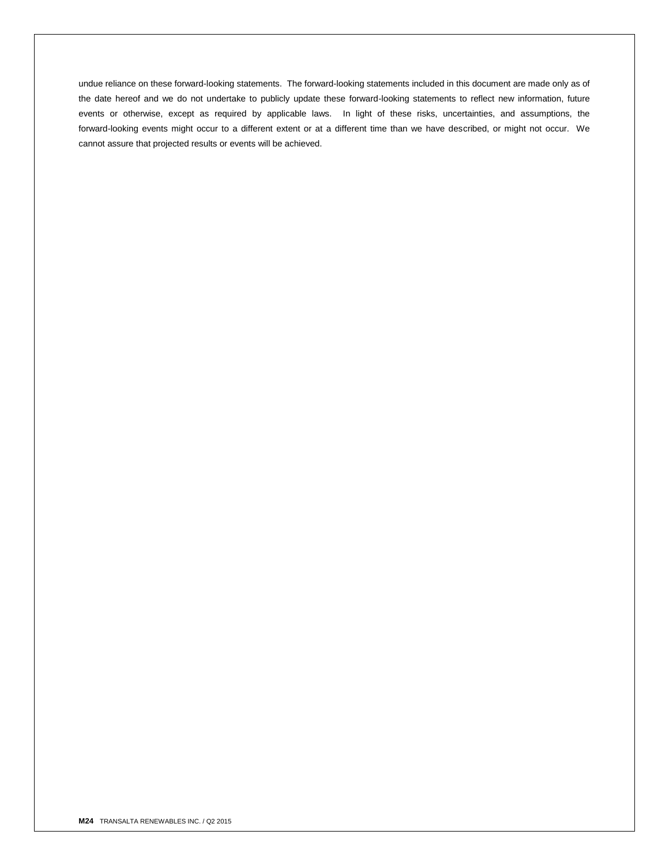undue reliance on these forward-looking statements. The forward-looking statements included in this document are made only as of the date hereof and we do not undertake to publicly update these forward-looking statements to reflect new information, future events or otherwise, except as required by applicable laws. In light of these risks, uncertainties, and assumptions, the forward-looking events might occur to a different extent or at a different time than we have described, or might not occur. We cannot assure that projected results or events will be achieved.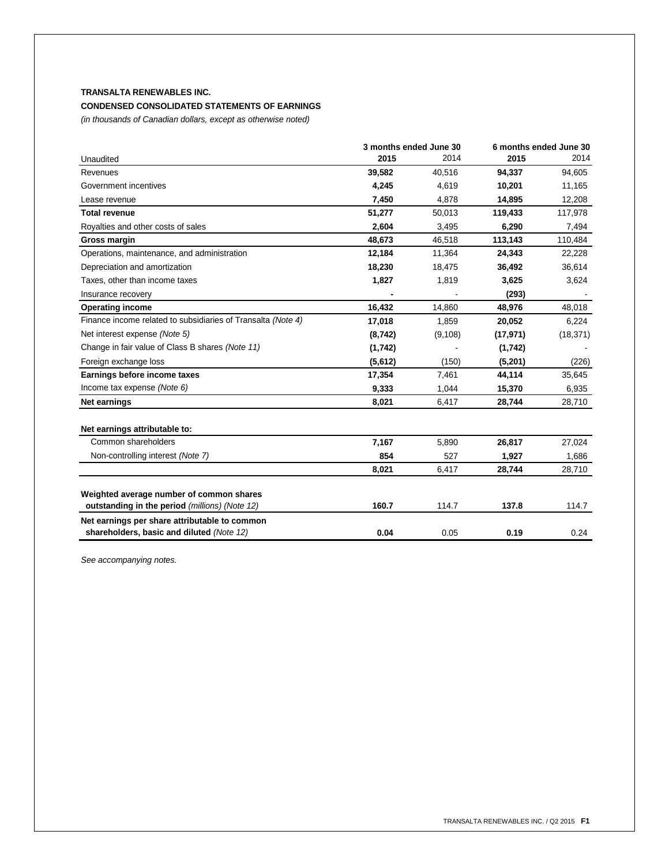# **TRANSALTA RENEWABLES INC.**

# **CONDENSED CONSOLIDATED STATEMENTS OF EARNINGS**

*(in thousands of Canadian dollars, except as otherwise noted)*

|                                                              | 3 months ended June 30 |          | 6 months ended June 30 |           |
|--------------------------------------------------------------|------------------------|----------|------------------------|-----------|
| Unaudited                                                    | 2015                   | 2014     | 2015                   | 2014      |
| Revenues                                                     | 39,582                 | 40,516   | 94,337                 | 94,605    |
| Government incentives                                        | 4,245                  | 4.619    | 10,201                 | 11,165    |
| Lease revenue                                                | 7,450                  | 4,878    | 14,895                 | 12,208    |
| <b>Total revenue</b>                                         | 51,277                 | 50,013   | 119,433                | 117,978   |
| Royalties and other costs of sales                           | 2,604                  | 3,495    | 6,290                  | 7,494     |
| Gross margin                                                 | 48,673                 | 46,518   | 113,143                | 110,484   |
| Operations, maintenance, and administration                  | 12,184                 | 11,364   | 24,343                 | 22,228    |
| Depreciation and amortization                                | 18,230                 | 18,475   | 36,492                 | 36,614    |
| Taxes, other than income taxes                               | 1,827                  | 1,819    | 3,625                  | 3,624     |
| Insurance recovery                                           |                        |          | (293)                  |           |
| <b>Operating income</b>                                      | 16,432                 | 14,860   | 48,976                 | 48,018    |
| Finance income related to subsidiaries of Transalta (Note 4) | 17,018                 | 1,859    | 20,052                 | 6,224     |
| Net interest expense (Note 5)                                | (8, 742)               | (9, 108) | (17, 971)              | (18, 371) |
| Change in fair value of Class B shares (Note 11)             | (1,742)                |          | (1,742)                |           |
| Foreign exchange loss                                        | (5,612)                | (150)    | (5,201)                | (226)     |
| Earnings before income taxes                                 | 17,354                 | 7,461    | 44,114                 | 35,645    |
| Income tax expense (Note 6)                                  | 9,333                  | 1,044    | 15,370                 | 6,935     |
| <b>Net earnings</b>                                          | 8,021                  | 6,417    | 28,744                 | 28,710    |
| Net earnings attributable to:                                |                        |          |                        |           |
| Common shareholders                                          | 7,167                  | 5,890    | 26,817                 | 27,024    |
| Non-controlling interest (Note 7)                            | 854                    | 527      | 1,927                  | 1,686     |
|                                                              | 8,021                  | 6,417    | 28,744                 | 28,710    |
| Weighted average number of common shares                     |                        |          |                        |           |
| outstanding in the period (millions) (Note 12)               | 160.7                  | 114.7    | 137.8                  | 114.7     |
| Net earnings per share attributable to common                |                        |          |                        |           |
| shareholders, basic and diluted (Note 12)                    | 0.04                   | 0.05     | 0.19                   | 0.24      |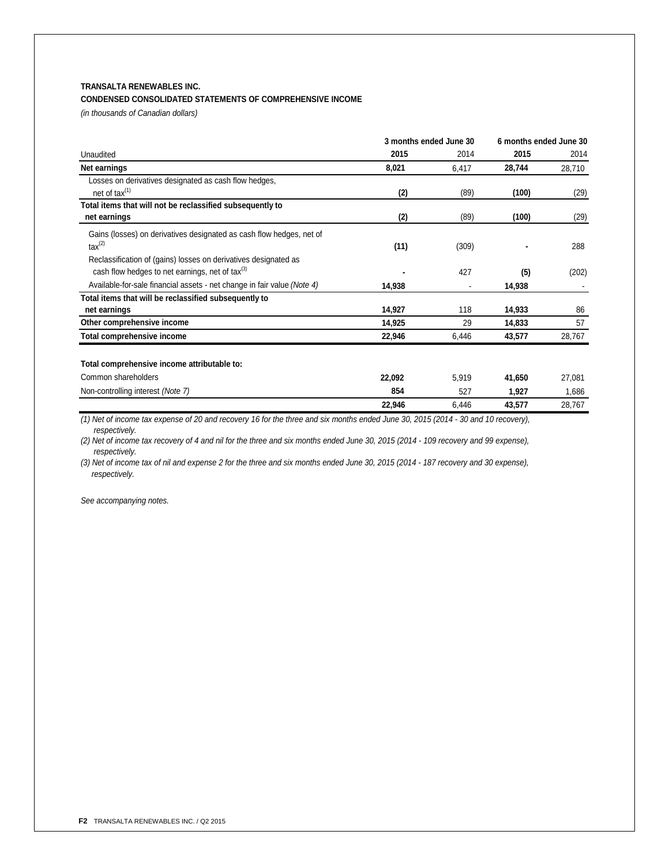# **TRANSALTA RENEWABLES INC.**

# **CONDENSED CONSOLIDATED STATEMENTS OF COMPREHENSIVE INCOME**

*(in thousands of Canadian dollars)*

|                                                                         |        | 3 months ended June 30 | 6 months ended June 30 |        |
|-------------------------------------------------------------------------|--------|------------------------|------------------------|--------|
| Unaudited                                                               | 2015   | 2014                   | 2015                   | 2014   |
| Net earnings                                                            | 8,021  | 6,417                  | 28,744                 | 28,710 |
| Losses on derivatives designated as cash flow hedges,                   |        |                        |                        |        |
| net of $tax^{(1)}$                                                      | (2)    | (89)                   | (100)                  | (29)   |
| Total items that will not be reclassified subsequently to               |        |                        |                        |        |
| net earnings                                                            | (2)    | (89)                   | (100)                  | (29)   |
| Gains (losses) on derivatives designated as cash flow hedges, net of    |        |                        |                        |        |
| $\text{tax}^{(2)}$                                                      | (11)   | (309)                  |                        | 288    |
| Reclassification of (gains) losses on derivatives designated as         |        |                        |                        |        |
| cash flow hedges to net earnings, net of $\text{tax}^{(3)}$             |        | 427                    | (5)                    | (202)  |
| Available-for-sale financial assets - net change in fair value (Note 4) | 14,938 |                        | 14,938                 |        |
| Total items that will be reclassified subsequently to                   |        |                        |                        |        |
| net earnings                                                            | 14,927 | 118                    | 14,933                 | 86     |
| Other comprehensive income                                              | 14,925 | 29                     | 14,833                 | 57     |
| Total comprehensive income                                              | 22,946 | 6,446                  | 43,577                 | 28,767 |
| Total comprehensive income attributable to:                             |        |                        |                        |        |
| Common shareholders                                                     | 22,092 | 5,919                  | 41,650                 | 27,081 |
| Non-controlling interest (Note 7)                                       | 854    | 527                    | 1,927                  | 1,686  |
|                                                                         | 22,946 | 6,446                  | 43,577                 | 28,767 |

*(1) Net of income tax expense of 20 and recovery 16 for the three and six months ended June 30, 2015 (2014 - 30 and 10 recovery), respectively.*

*(2) Net of income tax recovery of 4 and nil for the three and six months ended June 30, 2015 (2014 - 109 recovery and 99 expense), respectively.*

*(3) Net of income tax of nil and expense 2 for the three and six months ended June 30, 2015 (2014 - 187 recovery and 30 expense), respectively.*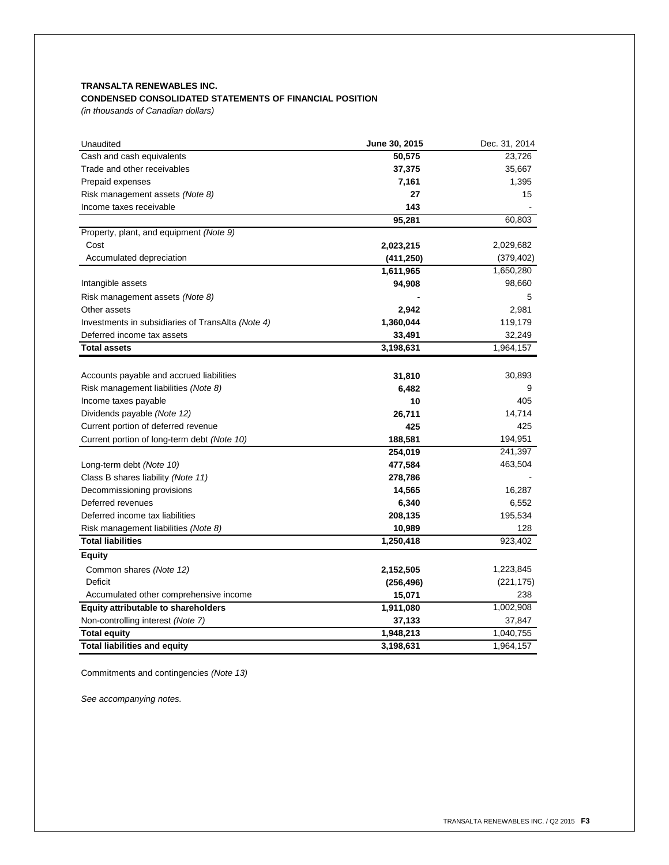# **TRANSALTA RENEWABLES INC. CONDENSED CONSOLIDATED STATEMENTS OF FINANCIAL POSITION**

*(in thousands of Canadian dollars)*

| Unaudited                                         | June 30, 2015 | Dec. 31, 2014 |
|---------------------------------------------------|---------------|---------------|
| Cash and cash equivalents                         | 50,575        | 23,726        |
| Trade and other receivables                       | 37,375        | 35,667        |
| Prepaid expenses                                  | 7,161         | 1,395         |
| Risk management assets (Note 8)                   | 27            | 15            |
| Income taxes receivable                           | 143           |               |
|                                                   | 95,281        | 60,803        |
| Property, plant, and equipment (Note 9)           |               |               |
| Cost                                              | 2,023,215     | 2,029,682     |
| Accumulated depreciation                          | (411, 250)    | (379, 402)    |
|                                                   | 1,611,965     | 1,650,280     |
| Intangible assets                                 | 94,908        | 98,660        |
| Risk management assets (Note 8)                   |               | 5             |
| Other assets                                      | 2,942         | 2,981         |
| Investments in subsidiaries of TransAlta (Note 4) | 1,360,044     | 119,179       |
| Deferred income tax assets                        | 33,491        | 32,249        |
| <b>Total assets</b>                               | 3,198,631     | 1,964,157     |
|                                                   |               |               |
| Accounts payable and accrued liabilities          | 31,810        | 30,893        |
| Risk management liabilities (Note 8)              | 6,482         | 9             |
| Income taxes payable                              | 10            | 405           |
| Dividends payable (Note 12)                       | 26,711        | 14,714        |
| Current portion of deferred revenue               | 425           | 425           |
| Current portion of long-term debt (Note 10)       | 188,581       | 194,951       |
|                                                   | 254,019       | 241,397       |
| Long-term debt (Note 10)                          | 477,584       | 463,504       |
| Class B shares liability (Note 11)                | 278,786       |               |
| Decommissioning provisions                        | 14,565        | 16,287        |
| Deferred revenues                                 | 6,340         | 6,552         |
| Deferred income tax liabilities                   | 208,135       | 195,534       |
| Risk management liabilities (Note 8)              | 10,989        | 128           |
| <b>Total liabilities</b>                          | 1,250,418     | 923,402       |
| <b>Equity</b>                                     |               |               |
| Common shares (Note 12)                           | 2,152,505     | 1,223,845     |
| Deficit                                           | (256, 496)    | (221, 175)    |
| Accumulated other comprehensive income            | 15,071        | 238           |
| Equity attributable to shareholders               | 1,911,080     | 1,002,908     |
| Non-controlling interest (Note 7)                 | 37,133        | 37,847        |
| <b>Total equity</b>                               | 1,948,213     | 1,040,755     |
| <b>Total liabilities and equity</b>               | 3,198,631     | 1,964,157     |

Commitments and contingencies *(Note 13)*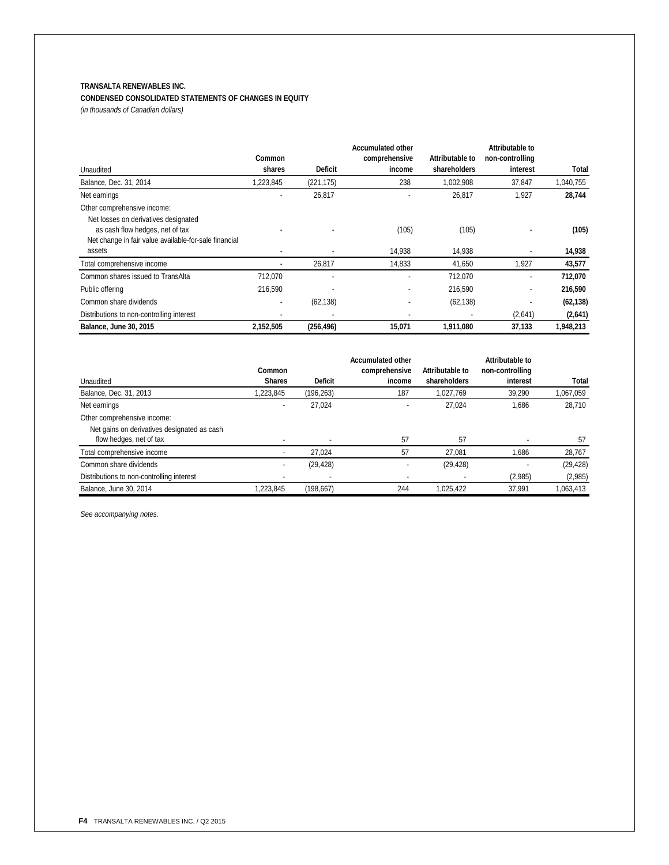# **TRANSALTA RENEWABLES INC.**

# **CONDENSED CONSOLIDATED STATEMENTS OF CHANGES IN EQUITY**

*(in thousands of Canadian dollars)*

|                                                                                                                                  |           |                | <b>Accumulated other</b> |                 | Attributable to |           |
|----------------------------------------------------------------------------------------------------------------------------------|-----------|----------------|--------------------------|-----------------|-----------------|-----------|
|                                                                                                                                  | Common    |                | comprehensive            | Attributable to | non-controlling |           |
| Unaudited                                                                                                                        | shares    | <b>Deficit</b> | income                   | shareholders    | interest        | Total     |
| Balance, Dec. 31, 2014                                                                                                           | 1,223,845 | (221, 175)     | 238                      | 1,002,908       | 37,847          | 1,040,755 |
| Net earnings                                                                                                                     |           | 26,817         |                          | 26.817          | 1,927           | 28,744    |
| Other comprehensive income:                                                                                                      |           |                |                          |                 |                 |           |
| Net losses on derivatives designated<br>as cash flow hedges, net of tax<br>Net change in fair value available-for-sale financial |           |                | (105)                    | (105)           |                 | (105)     |
| assets                                                                                                                           |           |                | 14,938                   | 14,938          |                 | 14,938    |
| Total comprehensive income                                                                                                       |           | 26.817         | 14,833                   | 41,650          | 1,927           | 43,577    |
| Common shares issued to TransAlta                                                                                                | 712,070   |                | ٠                        | 712,070         | ٠               | 712,070   |
| Public offering                                                                                                                  | 216,590   |                |                          | 216,590         |                 | 216,590   |
| Common share dividends                                                                                                           |           | (62, 138)      | ٠                        | (62, 138)       |                 | (62, 138) |
| Distributions to non-controlling interest                                                                                        |           |                |                          |                 | (2,641)         | (2,641)   |
| Balance, June 30, 2015                                                                                                           | 2,152,505 | (256, 496)     | 15,071                   | 1,911,080       | 37,133          | 1,948,213 |

|                                             |               |                | <b>Accumulated other</b> |                 | Attributable to |           |
|---------------------------------------------|---------------|----------------|--------------------------|-----------------|-----------------|-----------|
|                                             | Common        |                | comprehensive            | Attributable to | non-controlling |           |
| Unaudited                                   | <b>Shares</b> | <b>Deficit</b> | income                   | shareholders    | interest        | Total     |
| Balance, Dec. 31, 2013                      | 1.223.845     | (196, 263)     | 187                      | 1.027.769       | 39,290          | 1,067,059 |
| Net earnings                                |               | 27.024         |                          | 27.024          | 1,686           | 28,710    |
| Other comprehensive income:                 |               |                |                          |                 |                 |           |
| Net gains on derivatives designated as cash |               |                |                          |                 |                 |           |
| flow hedges, net of tax                     |               |                | 57                       | 57              |                 | 57        |
| Total comprehensive income                  |               | 27.024         | 57                       | 27.081          | .686            | 28,767    |
| Common share dividends                      |               | (29, 428)      |                          | (29, 428)       |                 | (29, 428) |
| Distributions to non-controlling interest   |               |                |                          |                 | (2,985)         | (2,985)   |
| Balance, June 30, 2014                      | 1.223.845     | (198, 667)     | 244                      | 1.025.422       | 37.991          | 1.063.413 |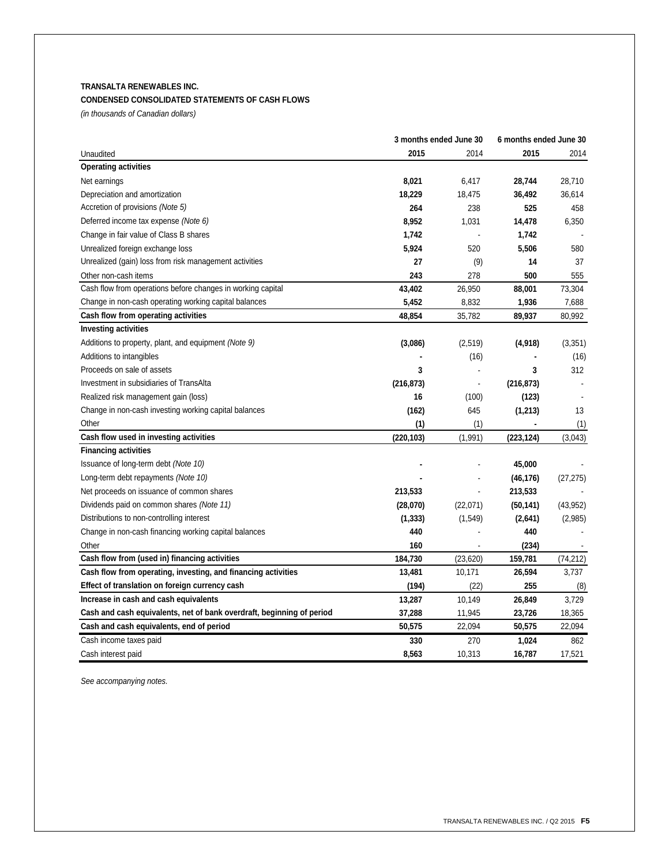# **TRANSALTA RENEWABLES INC.**

# **CONDENSED CONSOLIDATED STATEMENTS OF CASH FLOWS**

*(in thousands of Canadian dollars)*

|                                                                       | 3 months ended June 30 |                | 6 months ended June 30 |           |  |
|-----------------------------------------------------------------------|------------------------|----------------|------------------------|-----------|--|
| Unaudited                                                             | 2015                   | 2014           | 2015                   | 2014      |  |
| <b>Operating activities</b>                                           |                        |                |                        |           |  |
| Net earnings                                                          | 8,021                  | 6,417          | 28,744                 | 28,710    |  |
| Depreciation and amortization                                         | 18,229                 | 18,475         | 36,492                 | 36,614    |  |
| Accretion of provisions (Note 5)                                      | 264                    | 238            | 525                    | 458       |  |
| Deferred income tax expense (Note 6)                                  | 8,952                  | 1,031          | 14,478                 | 6,350     |  |
| Change in fair value of Class B shares                                | 1,742                  |                | 1,742                  |           |  |
| Unrealized foreign exchange loss                                      | 5,924                  | 520            | 5,506                  | 580       |  |
| Unrealized (gain) loss from risk management activities                | 27                     | (9)            | 14                     | 37        |  |
| Other non-cash items                                                  | 243                    | 278            | 500                    | 555       |  |
| Cash flow from operations before changes in working capital           | 43,402                 | 26,950         | 88,001                 | 73,304    |  |
| Change in non-cash operating working capital balances                 | 5,452                  | 8,832          | 1,936                  | 7,688     |  |
| Cash flow from operating activities                                   | 48,854                 | 35,782         | 89,937                 | 80,992    |  |
| <b>Investing activities</b>                                           |                        |                |                        |           |  |
| Additions to property, plant, and equipment (Note 9)                  | (3,086)                | (2,519)        | (4,918)                | (3, 351)  |  |
| Additions to intangibles                                              |                        | (16)           |                        | (16)      |  |
| Proceeds on sale of assets                                            | 3                      |                | 3                      | 312       |  |
| Investment in subsidiaries of TransAlta                               | (216, 873)             | $\blacksquare$ | (216, 873)             |           |  |
| Realized risk management gain (loss)                                  | 16                     | (100)          | (123)                  |           |  |
| Change in non-cash investing working capital balances                 | (162)                  | 645            | (1, 213)               | 13        |  |
| Other                                                                 | (1)                    | (1)            |                        | (1)       |  |
| Cash flow used in investing activities                                | (220, 103)             | (1,991)        | (223, 124)             | (3,043)   |  |
| <b>Financing activities</b>                                           |                        |                |                        |           |  |
| Issuance of long-term debt (Note 10)                                  |                        |                | 45,000                 |           |  |
| Long-term debt repayments (Note 10)                                   |                        |                | (46, 176)              | (27, 275) |  |
| Net proceeds on issuance of common shares                             | 213,533                |                | 213,533                |           |  |
| Dividends paid on common shares (Note 11)                             | (28,070)               | (22,071)       | (50, 141)              | (43, 952) |  |
| Distributions to non-controlling interest                             | (1, 333)               | (1, 549)       | (2,641)                | (2,985)   |  |
| Change in non-cash financing working capital balances                 | 440                    |                | 440                    |           |  |
| Other                                                                 | 160                    | ä,             | (234)                  |           |  |
| Cash flow from (used in) financing activities                         | 184,730                | (23, 620)      | 159,781                | (74, 212) |  |
| Cash flow from operating, investing, and financing activities         | 13,481                 | 10,171         | 26,594                 | 3,737     |  |
| Effect of translation on foreign currency cash                        | (194)                  | (22)           | 255                    | (8)       |  |
| Increase in cash and cash equivalents                                 | 13,287                 | 10,149         | 26,849                 | 3,729     |  |
| Cash and cash equivalents, net of bank overdraft, beginning of period | 37,288                 | 11,945         | 23,726                 | 18,365    |  |
| Cash and cash equivalents, end of period                              | 50,575                 | 22,094         | 50,575                 | 22,094    |  |
| Cash income taxes paid                                                | 330                    | 270            | 1,024                  | 862       |  |
| Cash interest paid                                                    | 8,563                  | 10,313         | 16,787                 | 17,521    |  |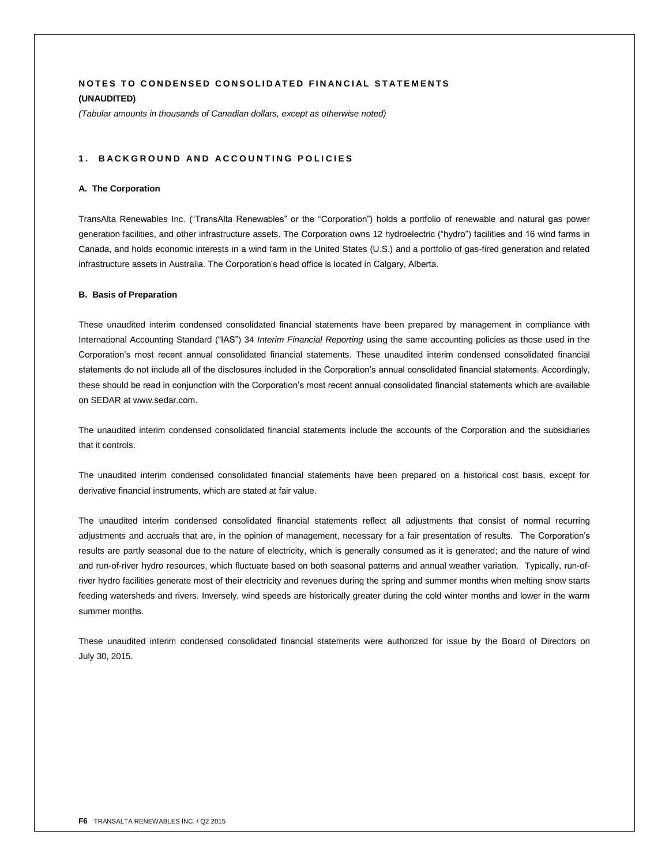# **NOTES TO CONDENSED CONSOLIDATED FINANCIAL STATEMENTS (UNAUDITED)**

*(Tabular amounts in thousands of Canadian dollars, except as otherwise noted)*

# 1. BACKGROUND AND ACCOUNTING POLICIES

## **A. The Corporation**

TransAlta Renewables Inc. ("TransAlta Renewables" or the "Corporation") holds a portfolio of renewable and natural gas power generation facilities, and other infrastructure assets. The Corporation owns 12 hydroelectric ("hydro") facilities and 16 wind farms in Canada, and holds economic interests in a wind farm in the United States (U.S.) and a portfolio of gas-fired generation and related infrastructure assets in Australia. The Corporation's head office is located in Calgary, Alberta.

## **B. Basis of Preparation**

These unaudited interim condensed consolidated financial statements have been prepared by management in compliance with International Accounting Standard ("IAS") 34 *Interim Financial Reporting* using the same accounting policies as those used in the Corporation's most recent annual consolidated financial statements. These unaudited interim condensed consolidated financial statements do not include all of the disclosures included in the Corporation's annual consolidated financial statements. Accordingly, these should be read in conjunction with the Corporation's most recent annual consolidated financial statements which are available on SEDAR at www.sedar.com.

The unaudited interim condensed consolidated financial statements include the accounts of the Corporation and the subsidiaries that it controls.

The unaudited interim condensed consolidated financial statements have been prepared on a historical cost basis, except for derivative financial instruments, which are stated at fair value.

The unaudited interim condensed consolidated financial statements reflect all adjustments that consist of normal recurring adjustments and accruals that are, in the opinion of management, necessary for a fair presentation of results. The Corporation's results are partly seasonal due to the nature of electricity, which is generally consumed as it is generated; and the nature of wind and run-of-river hydro resources, which fluctuate based on both seasonal patterns and annual weather variation. Typically, run-ofriver hydro facilities generate most of their electricity and revenues during the spring and summer months when melting snow starts feeding watersheds and rivers. Inversely, wind speeds are historically greater during the cold winter months and lower in the warm summer months.

These unaudited interim condensed consolidated financial statements were authorized for issue by the Board of Directors on July 30, 2015.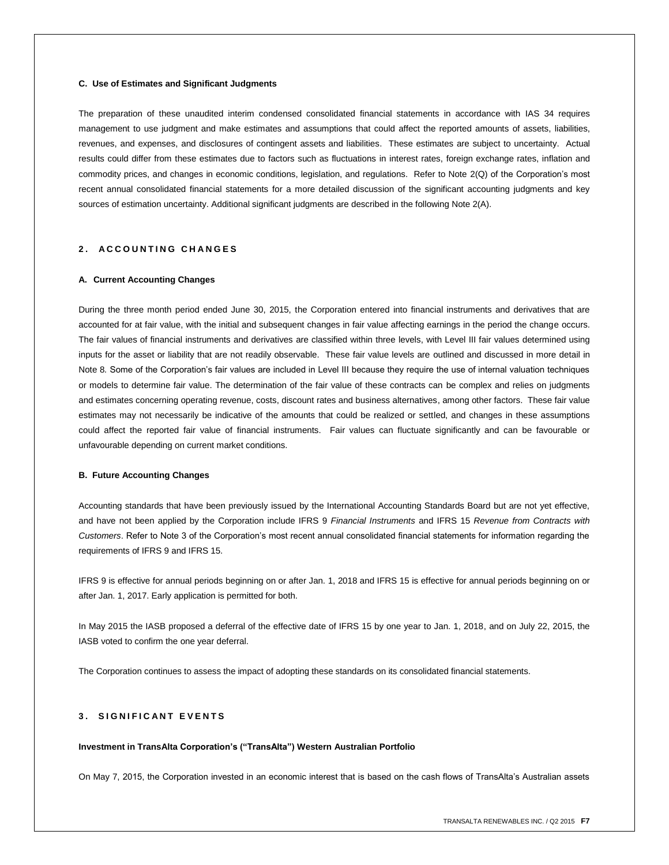## **C. Use of Estimates and Significant Judgments**

The preparation of these unaudited interim condensed consolidated financial statements in accordance with IAS 34 requires management to use judgment and make estimates and assumptions that could affect the reported amounts of assets, liabilities, revenues, and expenses, and disclosures of contingent assets and liabilities. These estimates are subject to uncertainty. Actual results could differ from these estimates due to factors such as fluctuations in interest rates, foreign exchange rates, inflation and commodity prices, and changes in economic conditions, legislation, and regulations. Refer to Note 2(Q) of the Corporation's most recent annual consolidated financial statements for a more detailed discussion of the significant accounting judgments and key sources of estimation uncertainty. Additional significant judgments are described in the following Note 2(A).

# **2 . A C C O U N T I N G C H A N G E S**

## **A. Current Accounting Changes**

During the three month period ended June 30, 2015, the Corporation entered into financial instruments and derivatives that are accounted for at fair value, with the initial and subsequent changes in fair value affecting earnings in the period the change occurs. The fair values of financial instruments and derivatives are classified within three levels, with Level III fair values determined using inputs for the asset or liability that are not readily observable. These fair value levels are outlined and discussed in more detail in Note 8*.* Some of the Corporation's fair values are included in Level III because they require the use of internal valuation techniques or models to determine fair value. The determination of the fair value of these contracts can be complex and relies on judgments and estimates concerning operating revenue, costs, discount rates and business alternatives, among other factors. These fair value estimates may not necessarily be indicative of the amounts that could be realized or settled, and changes in these assumptions could affect the reported fair value of financial instruments. Fair values can fluctuate significantly and can be favourable or unfavourable depending on current market conditions.

## **B. Future Accounting Changes**

Accounting standards that have been previously issued by the International Accounting Standards Board but are not yet effective, and have not been applied by the Corporation include IFRS 9 *Financial Instruments* and IFRS 15 *Revenue from Contracts with Customers*. Refer to Note 3 of the Corporation's most recent annual consolidated financial statements for information regarding the requirements of IFRS 9 and IFRS 15.

IFRS 9 is effective for annual periods beginning on or after Jan. 1, 2018 and IFRS 15 is effective for annual periods beginning on or after Jan. 1, 2017. Early application is permitted for both.

In May 2015 the IASB proposed a deferral of the effective date of IFRS 15 by one year to Jan. 1, 2018, and on July 22, 2015, the IASB voted to confirm the one year deferral.

The Corporation continues to assess the impact of adopting these standards on its consolidated financial statements.

# **3. SIGNIFICANT EVENTS**

#### **Investment in TransAlta Corporation's ("TransAlta") Western Australian Portfolio**

On May 7, 2015, the Corporation invested in an economic interest that is based on the cash flows of TransAlta's Australian assets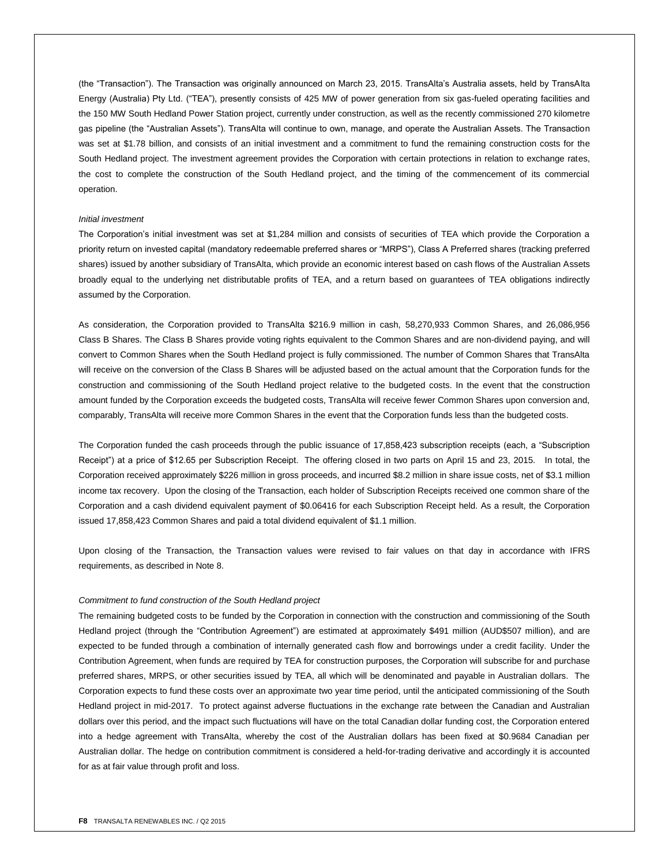(the "Transaction"). The Transaction was originally announced on March 23, 2015. TransAlta's Australia assets, held by TransAlta Energy (Australia) Pty Ltd. ("TEA"), presently consists of 425 MW of power generation from six gas-fueled operating facilities and the 150 MW South Hedland Power Station project, currently under construction, as well as the recently commissioned 270 kilometre gas pipeline (the "Australian Assets"). TransAlta will continue to own, manage, and operate the Australian Assets. The Transaction was set at \$1.78 billion, and consists of an initial investment and a commitment to fund the remaining construction costs for the South Hedland project. The investment agreement provides the Corporation with certain protections in relation to exchange rates, the cost to complete the construction of the South Hedland project, and the timing of the commencement of its commercial operation.

## *Initial investment*

The Corporation's initial investment was set at \$1,284 million and consists of securities of TEA which provide the Corporation a priority return on invested capital (mandatory redeemable preferred shares or "MRPS"), Class A Preferred shares (tracking preferred shares) issued by another subsidiary of TransAlta, which provide an economic interest based on cash flows of the Australian Assets broadly equal to the underlying net distributable profits of TEA, and a return based on guarantees of TEA obligations indirectly assumed by the Corporation.

As consideration, the Corporation provided to TransAlta \$216.9 million in cash, 58,270,933 Common Shares, and 26,086,956 Class B Shares. The Class B Shares provide voting rights equivalent to the Common Shares and are non-dividend paying, and will convert to Common Shares when the South Hedland project is fully commissioned. The number of Common Shares that TransAlta will receive on the conversion of the Class B Shares will be adjusted based on the actual amount that the Corporation funds for the construction and commissioning of the South Hedland project relative to the budgeted costs. In the event that the construction amount funded by the Corporation exceeds the budgeted costs, TransAlta will receive fewer Common Shares upon conversion and, comparably, TransAlta will receive more Common Shares in the event that the Corporation funds less than the budgeted costs.

The Corporation funded the cash proceeds through the public issuance of 17,858,423 subscription receipts (each, a "Subscription Receipt") at a price of \$12.65 per Subscription Receipt. The offering closed in two parts on April 15 and 23, 2015. In total, the Corporation received approximately \$226 million in gross proceeds, and incurred \$8.2 million in share issue costs, net of \$3.1 million income tax recovery. Upon the closing of the Transaction, each holder of Subscription Receipts received one common share of the Corporation and a cash dividend equivalent payment of \$0.06416 for each Subscription Receipt held. As a result, the Corporation issued 17,858,423 Common Shares and paid a total dividend equivalent of \$1.1 million.

Upon closing of the Transaction, the Transaction values were revised to fair values on that day in accordance with IFRS requirements, as described in Note 8.

## *Commitment to fund construction of the South Hedland project*

The remaining budgeted costs to be funded by the Corporation in connection with the construction and commissioning of the South Hedland project (through the "Contribution Agreement") are estimated at approximately \$491 million (AUD\$507 million), and are expected to be funded through a combination of internally generated cash flow and borrowings under a credit facility. Under the Contribution Agreement, when funds are required by TEA for construction purposes, the Corporation will subscribe for and purchase preferred shares, MRPS, or other securities issued by TEA, all which will be denominated and payable in Australian dollars. The Corporation expects to fund these costs over an approximate two year time period, until the anticipated commissioning of the South Hedland project in mid-2017. To protect against adverse fluctuations in the exchange rate between the Canadian and Australian dollars over this period, and the impact such fluctuations will have on the total Canadian dollar funding cost, the Corporation entered into a hedge agreement with TransAlta, whereby the cost of the Australian dollars has been fixed at \$0.9684 Canadian per Australian dollar. The hedge on contribution commitment is considered a held-for-trading derivative and accordingly it is accounted for as at fair value through profit and loss.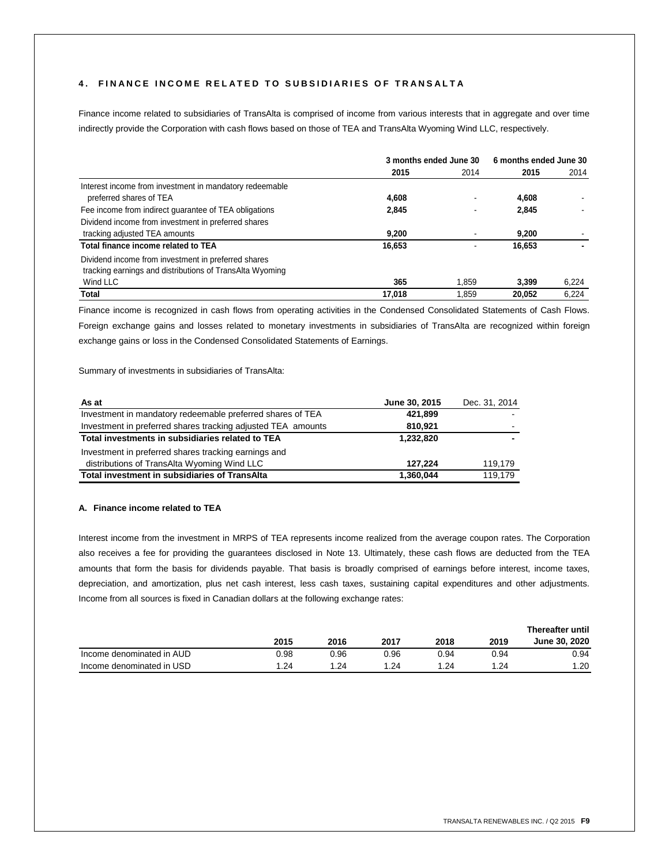# **4 . F I N A N C E I N C O M E R E L A T E D T O S U B S I D I A R I E S O F T R A N S A L T A**

Finance income related to subsidiaries of TransAlta is comprised of income from various interests that in aggregate and over time indirectly provide the Corporation with cash flows based on those of TEA and TransAlta Wyoming Wind LLC, respectively.

|                                                          | 3 months ended June 30 |       | 6 months ended June 30 |       |
|----------------------------------------------------------|------------------------|-------|------------------------|-------|
|                                                          | 2015                   | 2014  | 2015                   | 2014  |
| Interest income from investment in mandatory redeemable  |                        |       |                        |       |
| preferred shares of TEA                                  | 4,608                  |       | 4,608                  |       |
| Fee income from indirect guarantee of TEA obligations    | 2,845                  |       | 2,845                  |       |
| Dividend income from investment in preferred shares      |                        |       |                        |       |
| tracking adjusted TEA amounts                            | 9.200                  |       | 9.200                  |       |
| Total finance income related to TEA                      | 16,653                 |       | 16,653                 |       |
| Dividend income from investment in preferred shares      |                        |       |                        |       |
| tracking earnings and distributions of TransAlta Wyoming |                        |       |                        |       |
| Wind LLC                                                 | 365                    | 1.859 | 3.399                  | 6,224 |
| Total                                                    | 17.018                 | 1.859 | 20.052                 | 6.224 |

Finance income is recognized in cash flows from operating activities in the Condensed Consolidated Statements of Cash Flows. Foreign exchange gains and losses related to monetary investments in subsidiaries of TransAlta are recognized within foreign exchange gains or loss in the Condensed Consolidated Statements of Earnings.

Summary of investments in subsidiaries of TransAlta:

| As at                                                        | June 30, 2015 | Dec. 31, 2014 |
|--------------------------------------------------------------|---------------|---------------|
| Investment in mandatory redeemable preferred shares of TEA   | 421,899       |               |
| Investment in preferred shares tracking adjusted TEA amounts | 810,921       |               |
| Total investments in subsidiaries related to TEA             | 1,232,820     |               |
| Investment in preferred shares tracking earnings and         |               |               |
| distributions of TransAlta Wyoming Wind LLC                  | 127.224       | 119.179       |
| <b>Total investment in subsidiaries of TransAlta</b>         | 1,360,044     | 119.179       |

# **A. Finance income related to TEA**

Interest income from the investment in MRPS of TEA represents income realized from the average coupon rates. The Corporation also receives a fee for providing the guarantees disclosed in Note 13. Ultimately, these cash flows are deducted from the TEA amounts that form the basis for dividends payable. That basis is broadly comprised of earnings before interest, income taxes, depreciation, and amortization, plus net cash interest, less cash taxes, sustaining capital expenditures and other adjustments. Income from all sources is fixed in Canadian dollars at the following exchange rates:

|                           |      |      |      |      |      | Thereafter until     |
|---------------------------|------|------|------|------|------|----------------------|
|                           | 2015 | 2016 | 2017 | 2018 | 2019 | <b>June 30, 2020</b> |
| Income denominated in AUD | 0.98 | 0.96 | 0.96 | 0.94 | 0.94 | 0.94                 |
| Income denominated in USD | .24  | 1.24 | 1.24 | .24  | 1.24 | .20                  |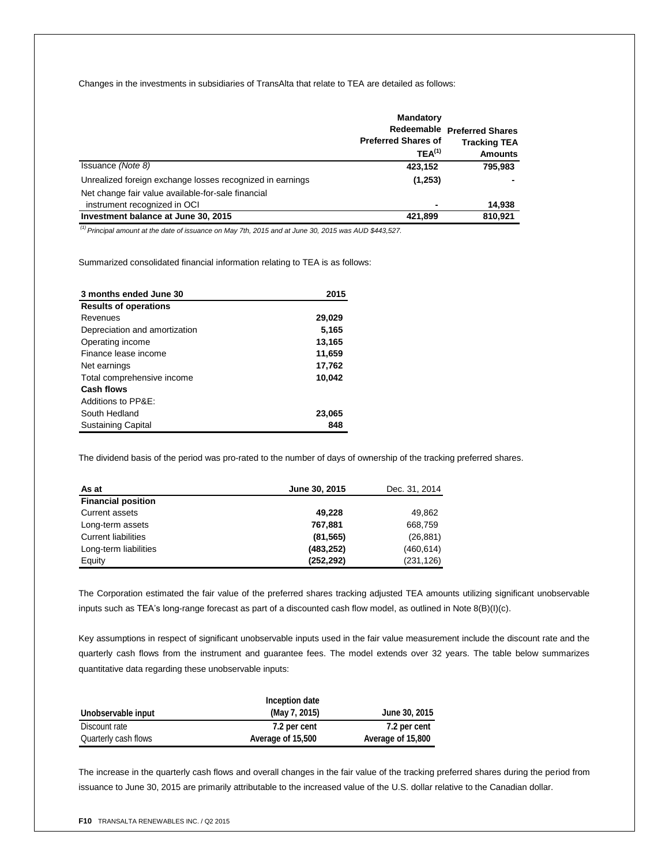Changes in the investments in subsidiaries of TransAlta that relate to TEA are detailed as follows:

|                                                                                    | <b>Mandatory</b><br><b>Preferred Shares of</b><br>$TEA^{(1)}$ | Redeemable Preferred Shares<br><b>Tracking TEA</b><br><b>Amounts</b> |
|------------------------------------------------------------------------------------|---------------------------------------------------------------|----------------------------------------------------------------------|
| Issuance (Note 8)                                                                  | 423,152                                                       | 795.983                                                              |
| Unrealized foreign exchange losses recognized in earnings                          | (1,253)                                                       |                                                                      |
| Net change fair value available-for-sale financial<br>instrument recognized in OCI |                                                               | 14,938                                                               |
| Investment balance at June 30, 2015                                                | 421.899                                                       | 810.921                                                              |

*(1)Principal amount at the date of issuance on May 7th, 2015 and at June 30, 2015 was AUD \$443,527.*

Summarized consolidated financial information relating to TEA is as follows:

| 3 months ended June 30        | 2015   |
|-------------------------------|--------|
| <b>Results of operations</b>  |        |
| Revenues                      | 29,029 |
| Depreciation and amortization | 5,165  |
| Operating income              | 13,165 |
| Finance lease income          | 11,659 |
| Net earnings                  | 17,762 |
| Total comprehensive income    | 10,042 |
| Cash flows                    |        |
| Additions to PP&E:            |        |
| South Hedland                 | 23,065 |
| <b>Sustaining Capital</b>     | 848    |

The dividend basis of the period was pro-rated to the number of days of ownership of the tracking preferred shares.

| As at                      | June 30, 2015 | Dec. 31, 2014 |
|----------------------------|---------------|---------------|
| <b>Financial position</b>  |               |               |
| <b>Current assets</b>      | 49.228        | 49,862        |
| Long-term assets           | 767,881       | 668,759       |
| <b>Current liabilities</b> | (81, 565)     | (26, 881)     |
| Long-term liabilities      | (483, 252)    | (460, 614)    |
| Equity                     | (252, 292)    | (231, 126)    |

The Corporation estimated the fair value of the preferred shares tracking adjusted TEA amounts utilizing significant unobservable inputs such as TEA's long-range forecast as part of a discounted cash flow model, as outlined in Note 8(B)(I)(c).

Key assumptions in respect of significant unobservable inputs used in the fair value measurement include the discount rate and the quarterly cash flows from the instrument and guarantee fees. The model extends over 32 years. The table below summarizes quantitative data regarding these unobservable inputs:

|                      | Inception date    |                   |
|----------------------|-------------------|-------------------|
| Unobservable input   | (May 7, 2015)     | June 30, 2015     |
| Discount rate        | 7.2 per cent      | 7.2 per cent      |
| Quarterly cash flows | Average of 15,500 | Average of 15,800 |

The increase in the quarterly cash flows and overall changes in the fair value of the tracking preferred shares during the period from issuance to June 30, 2015 are primarily attributable to the increased value of the U.S. dollar relative to the Canadian dollar.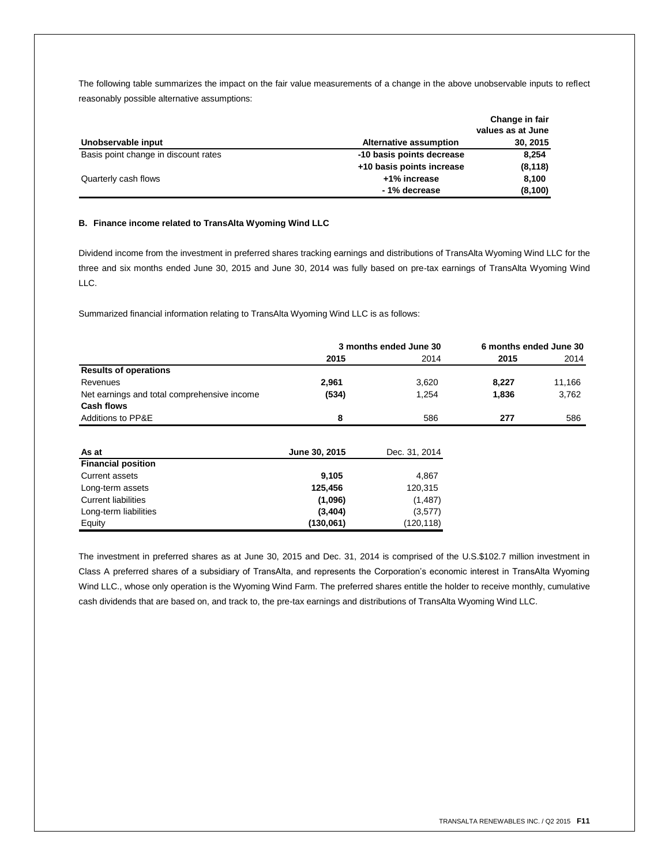The following table summarizes the impact on the fair value measurements of a change in the above unobservable inputs to reflect reasonably possible alternative assumptions:

|                                      |                           | Change in fair    |
|--------------------------------------|---------------------------|-------------------|
|                                      |                           | values as at June |
| Unobservable input                   | Alternative assumption    | 30, 2015          |
| Basis point change in discount rates | -10 basis points decrease | 8,254             |
|                                      | +10 basis points increase | (8, 118)          |
| Quarterly cash flows                 | +1% increase              | 8.100             |
|                                      | -1% decrease              | (8, 100)          |

# **B. Finance income related to TransAlta Wyoming Wind LLC**

Dividend income from the investment in preferred shares tracking earnings and distributions of TransAlta Wyoming Wind LLC for the three and six months ended June 30, 2015 and June 30, 2014 was fully based on pre-tax earnings of TransAlta Wyoming Wind LLC.

Summarized financial information relating to TransAlta Wyoming Wind LLC is as follows:

|                                             | 3 months ended June 30 |               | 6 months ended June 30 |        |
|---------------------------------------------|------------------------|---------------|------------------------|--------|
|                                             | 2015                   | 2014          | 2015                   | 2014   |
| <b>Results of operations</b>                |                        |               |                        |        |
| Revenues                                    | 2,961                  | 3,620         | 8,227                  | 11,166 |
| Net earnings and total comprehensive income | (534)                  | 1,254         | 1,836                  | 3,762  |
| <b>Cash flows</b>                           |                        |               |                        |        |
| <b>Additions to PP&amp;E</b>                | 8                      | 586           | 277                    | 586    |
| As at                                       | June 30, 2015          | Dec. 31, 2014 |                        |        |
| <b>Financial position</b>                   |                        |               |                        |        |
| Current assets                              | 9,105                  | 4,867         |                        |        |
| Long-term assets                            | 125,456                | 120,315       |                        |        |
| <b>Current liabilities</b>                  | (1,096)                | (1, 487)      |                        |        |
| Long-term liabilities                       | (3,404)                | (3,577)       |                        |        |
| Equity                                      | (130,061)              | (120,118)     |                        |        |
|                                             |                        |               |                        |        |

The investment in preferred shares as at June 30, 2015 and Dec. 31, 2014 is comprised of the U.S.\$102.7 million investment in Class A preferred shares of a subsidiary of TransAlta, and represents the Corporation's economic interest in TransAlta Wyoming Wind LLC., whose only operation is the Wyoming Wind Farm. The preferred shares entitle the holder to receive monthly, cumulative cash dividends that are based on, and track to, the pre-tax earnings and distributions of TransAlta Wyoming Wind LLC.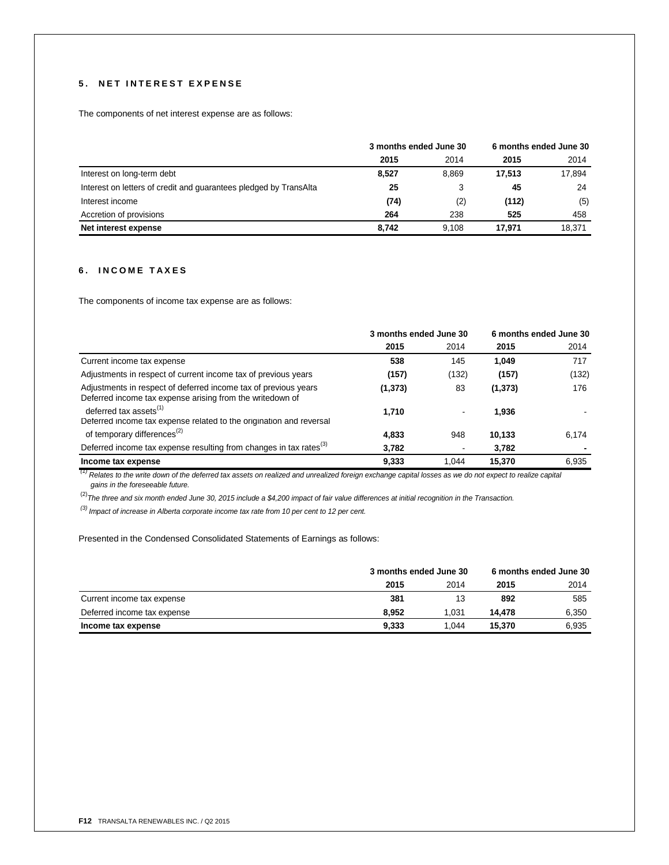# **5 . N E T I N T E R E S T E X P E N S E**

The components of net interest expense are as follows:

|                                                                   | 3 months ended June 30 |       | 6 months ended June 30 |        |
|-------------------------------------------------------------------|------------------------|-------|------------------------|--------|
|                                                                   | 2015                   | 2014  | 2015                   | 2014   |
| Interest on long-term debt                                        | 8.527                  | 8.869 | 17.513                 | 17.894 |
| Interest on letters of credit and guarantees pledged by TransAlta | 25                     | 3     | 45                     | 24     |
| Interest income                                                   | (74)                   | (2)   | (112)                  | (5)    |
| Accretion of provisions                                           | 264                    | 238   | 525                    | 458    |
| Net interest expense                                              | 8.742                  | 9.108 | 17.971                 | 18.371 |

# **6 . I N C O M E T A X E S**

The components of income tax expense are as follows:

|                                                                                                                              | 3 months ended June 30 |       | 6 months ended June 30 |       |
|------------------------------------------------------------------------------------------------------------------------------|------------------------|-------|------------------------|-------|
|                                                                                                                              | 2015                   | 2014  | 2015                   | 2014  |
| Current income tax expense                                                                                                   | 538                    | 145   | 1.049                  | 717   |
| Adjustments in respect of current income tax of previous years                                                               | (157)                  | (132) | (157)                  | (132) |
| Adjustments in respect of deferred income tax of previous years<br>Deferred income tax expense arising from the writedown of | (1, 373)               | 83    | (1, 373)               | 176   |
| deferred tax assets $^{(1)}$<br>Deferred income tax expense related to the origination and reversal                          | 1.710                  |       | 1.936                  |       |
| of temporary differences <sup>(2)</sup>                                                                                      | 4,833                  | 948   | 10,133                 | 6,174 |
| Deferred income tax expense resulting from changes in tax rates <sup>(3)</sup>                                               | 3,782                  | -     | 3,782                  |       |
| Income tax expense                                                                                                           | 9.333                  | 1.044 | 15.370                 | 6,935 |

*(1) Relates to the write down of the deferred tax assets on realized and unrealized foreign exchange capital losses as we do not expect to realize capital gains in the foreseeable future.*

(2)*The three and six month ended June 30, 2015 include a \$4,200 impact of fair value differences at initial recognition in the Transaction.*

*(3) Impact of increase in Alberta corporate income tax rate from 10 per cent to 12 per cent.*

Presented in the Condensed Consolidated Statements of Earnings as follows:

|                             | 3 months ended June 30 |       | 6 months ended June 30 |       |
|-----------------------------|------------------------|-------|------------------------|-------|
|                             | 2015                   | 2014  | 2015                   | 2014  |
| Current income tax expense  | 381                    | 13    | 892                    | 585   |
| Deferred income tax expense | 8.952                  | 1.031 | 14.478                 | 6,350 |
| Income tax expense          | 9,333                  | 1.044 | 15.370                 | 6,935 |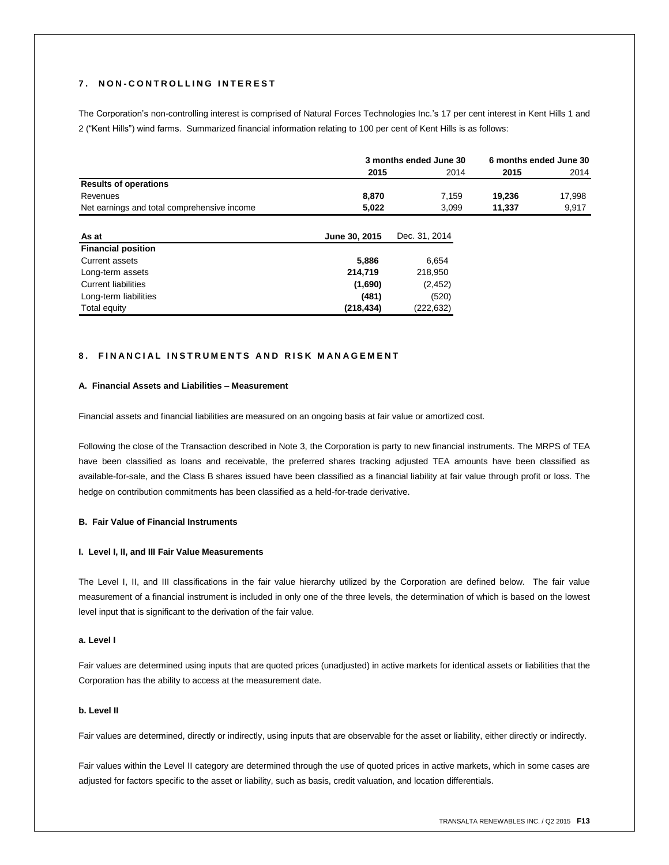# **7 . N O N - C O N T R O L L I N G I N T E R E S T**

The Corporation's non-controlling interest is comprised of Natural Forces Technologies Inc.'s 17 per cent interest in Kent Hills 1 and 2 ("Kent Hills") wind farms. Summarized financial information relating to 100 per cent of Kent Hills is as follows:

|                                                                                                                                                                                                                                       | 3 months ended June 30 | 6 months ended June 30      |        |        |
|---------------------------------------------------------------------------------------------------------------------------------------------------------------------------------------------------------------------------------------|------------------------|-----------------------------|--------|--------|
|                                                                                                                                                                                                                                       | 2015                   | 2014                        | 2015   | 2014   |
| <b>Results of operations</b>                                                                                                                                                                                                          |                        |                             |        |        |
| Revenues                                                                                                                                                                                                                              | 8,870                  | 7.159                       | 19.236 | 17,998 |
| Net earnings and total comprehensive income                                                                                                                                                                                           | 5,022                  | 3.099                       | 11.337 | 9,917  |
| As at                                                                                                                                                                                                                                 | June 30, 2015          | Dec. 31, 2014               |        |        |
| <b>Financial position</b>                                                                                                                                                                                                             |                        |                             |        |        |
| Current assets                                                                                                                                                                                                                        | 5,886                  | 6.654                       |        |        |
| $\blacksquare$ . The set of the set of the set of the set of the set of the set of the set of the set of the set of the set of the set of the set of the set of the set of the set of the set of the set of the set of the set of the | .                      | $\sim$ $\sim$ $\sim$ $\sim$ |        |        |

| Current assets        | 5.886      | b.b54      |
|-----------------------|------------|------------|
| Long-term assets      | 214.719    | 218,950    |
| Current liabilities   | (1.690)    | (2, 452)   |
| Long-term liabilities | (481)      | (520)      |
| Total equity          | (218, 434) | (222, 632) |

# **8. FINANCIAL INSTRUMENTS AND RISK MANAGEMENT**

## **A. Financial Assets and Liabilities – Measurement**

Financial assets and financial liabilities are measured on an ongoing basis at fair value or amortized cost.

Following the close of the Transaction described in Note 3, the Corporation is party to new financial instruments. The MRPS of TEA have been classified as loans and receivable, the preferred shares tracking adjusted TEA amounts have been classified as available-for-sale, and the Class B shares issued have been classified as a financial liability at fair value through profit or loss. The hedge on contribution commitments has been classified as a held-for-trade derivative.

## **B. Fair Value of Financial Instruments**

# **I. Level I, II, and III Fair Value Measurements**

The Level I, II, and III classifications in the fair value hierarchy utilized by the Corporation are defined below. The fair value measurement of a financial instrument is included in only one of the three levels, the determination of which is based on the lowest level input that is significant to the derivation of the fair value.

## **a. Level I**

Fair values are determined using inputs that are quoted prices (unadjusted) in active markets for identical assets or liabilities that the Corporation has the ability to access at the measurement date.

# **b. Level II**

Fair values are determined, directly or indirectly, using inputs that are observable for the asset or liability, either directly or indirectly.

Fair values within the Level II category are determined through the use of quoted prices in active markets, which in some cases are adjusted for factors specific to the asset or liability, such as basis, credit valuation, and location differentials.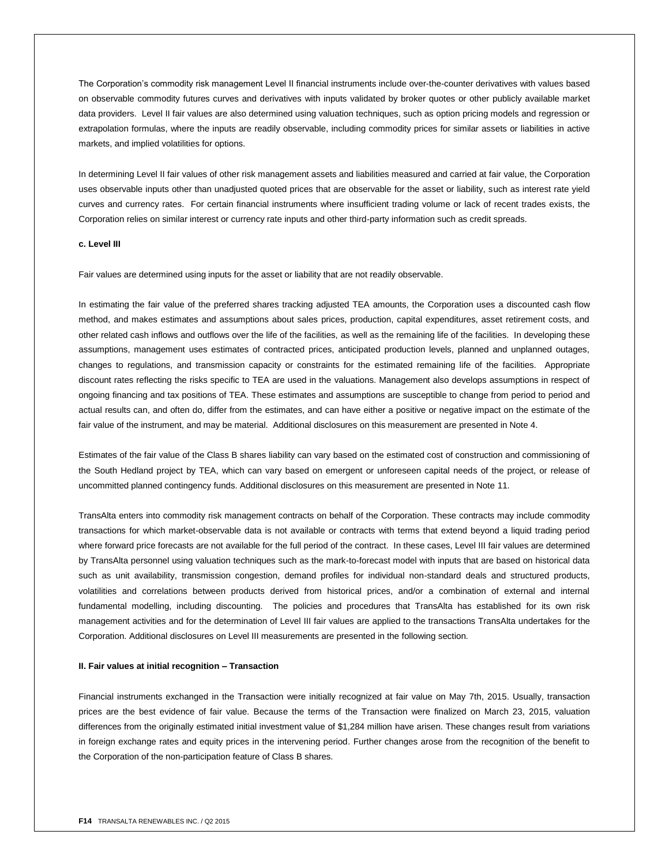The Corporation's commodity risk management Level II financial instruments include over-the-counter derivatives with values based on observable commodity futures curves and derivatives with inputs validated by broker quotes or other publicly available market data providers. Level II fair values are also determined using valuation techniques, such as option pricing models and regression or extrapolation formulas, where the inputs are readily observable, including commodity prices for similar assets or liabilities in active markets, and implied volatilities for options.

In determining Level II fair values of other risk management assets and liabilities measured and carried at fair value, the Corporation uses observable inputs other than unadjusted quoted prices that are observable for the asset or liability, such as interest rate yield curves and currency rates. For certain financial instruments where insufficient trading volume or lack of recent trades exists, the Corporation relies on similar interest or currency rate inputs and other third-party information such as credit spreads.

## **c. Level III**

Fair values are determined using inputs for the asset or liability that are not readily observable.

In estimating the fair value of the preferred shares tracking adjusted TEA amounts, the Corporation uses a discounted cash flow method, and makes estimates and assumptions about sales prices, production, capital expenditures, asset retirement costs, and other related cash inflows and outflows over the life of the facilities, as well as the remaining life of the facilities. In developing these assumptions, management uses estimates of contracted prices, anticipated production levels, planned and unplanned outages, changes to regulations, and transmission capacity or constraints for the estimated remaining life of the facilities. Appropriate discount rates reflecting the risks specific to TEA are used in the valuations. Management also develops assumptions in respect of ongoing financing and tax positions of TEA. These estimates and assumptions are susceptible to change from period to period and actual results can, and often do, differ from the estimates, and can have either a positive or negative impact on the estimate of the fair value of the instrument, and may be material. Additional disclosures on this measurement are presented in Note 4.

Estimates of the fair value of the Class B shares liability can vary based on the estimated cost of construction and commissioning of the South Hedland project by TEA, which can vary based on emergent or unforeseen capital needs of the project, or release of uncommitted planned contingency funds. Additional disclosures on this measurement are presented in Note 11.

TransAlta enters into commodity risk management contracts on behalf of the Corporation. These contracts may include commodity transactions for which market-observable data is not available or contracts with terms that extend beyond a liquid trading period where forward price forecasts are not available for the full period of the contract. In these cases, Level III fair values are determined by TransAlta personnel using valuation techniques such as the mark-to-forecast model with inputs that are based on historical data such as unit availability, transmission congestion, demand profiles for individual non-standard deals and structured products, volatilities and correlations between products derived from historical prices, and/or a combination of external and internal fundamental modelling, including discounting. The policies and procedures that TransAlta has established for its own risk management activities and for the determination of Level III fair values are applied to the transactions TransAlta undertakes for the Corporation. Additional disclosures on Level III measurements are presented in the following section.

## **II. Fair values at initial recognition – Transaction**

Financial instruments exchanged in the Transaction were initially recognized at fair value on May 7th, 2015. Usually, transaction prices are the best evidence of fair value. Because the terms of the Transaction were finalized on March 23, 2015, valuation differences from the originally estimated initial investment value of \$1,284 million have arisen. These changes result from variations in foreign exchange rates and equity prices in the intervening period. Further changes arose from the recognition of the benefit to the Corporation of the non-participation feature of Class B shares.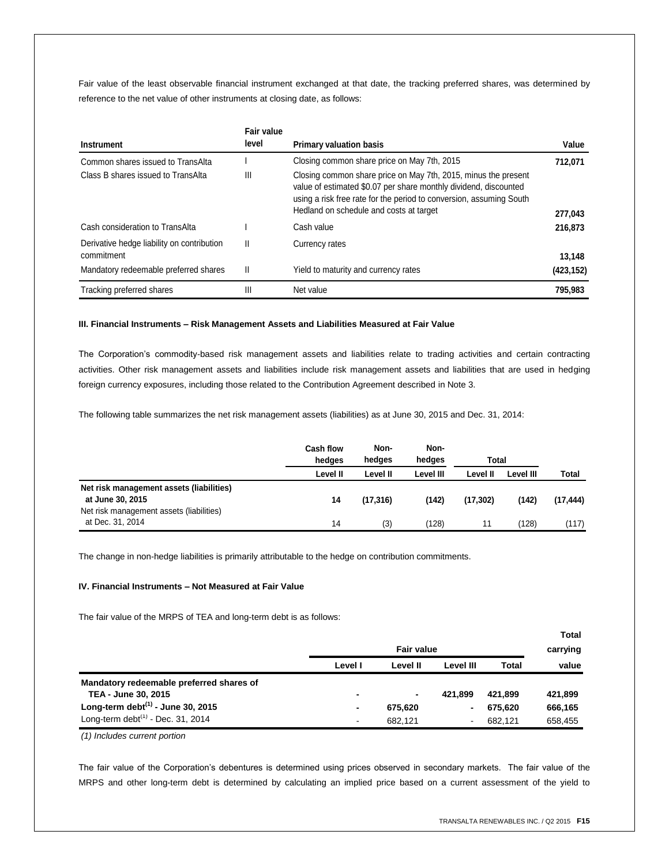Fair value of the least observable financial instrument exchanged at that date, the tracking preferred shares, was determined by reference to the net value of other instruments at closing date, as follows:

|                                                          | Fair value   |                                                                                                                                                                                                                                                      |            |
|----------------------------------------------------------|--------------|------------------------------------------------------------------------------------------------------------------------------------------------------------------------------------------------------------------------------------------------------|------------|
| <b>Instrument</b>                                        | level        | <b>Primary valuation basis</b>                                                                                                                                                                                                                       | Value      |
| Common shares issued to TransAlta                        |              | Closing common share price on May 7th, 2015                                                                                                                                                                                                          | 712,071    |
| Class B shares issued to TransAlta                       | Ш            | Closing common share price on May 7th, 2015, minus the present<br>value of estimated \$0.07 per share monthly dividend, discounted<br>using a risk free rate for the period to conversion, assuming South<br>Hedland on schedule and costs at target | 277,043    |
| Cash consideration to TransAlta                          |              | Cash value                                                                                                                                                                                                                                           | 216,873    |
| Derivative hedge liability on contribution<br>commitment | Ш            | Currency rates                                                                                                                                                                                                                                       | 13,148     |
| Mandatory redeemable preferred shares                    | $\mathsf{I}$ | Yield to maturity and currency rates                                                                                                                                                                                                                 | (423, 152) |
| Tracking preferred shares                                | Ш            | Net value                                                                                                                                                                                                                                            | 795,983    |

# **III. Financial Instruments – Risk Management Assets and Liabilities Measured at Fair Value**

The Corporation's commodity-based risk management assets and liabilities relate to trading activities and certain contracting activities. Other risk management assets and liabilities include risk management assets and liabilities that are used in hedging foreign currency exposures, including those related to the Contribution Agreement described in Note 3.

The following table summarizes the net risk management assets (liabilities) as at June 30, 2015 and Dec. 31, 2014:

|                                                                                                          | <b>Cash flow</b><br>hedaes | Non-<br>hedges | Non-<br>hedaes | Total     |           |              |
|----------------------------------------------------------------------------------------------------------|----------------------------|----------------|----------------|-----------|-----------|--------------|
|                                                                                                          | Level II                   | Level II       | Level III      | Level II  | Level III | <b>Total</b> |
| Net risk management assets (liabilities)<br>at June 30, 2015<br>Net risk management assets (liabilities) | 14                         | (17, 316)      | (142)          | (17, 302) | (142)     | (17, 444)    |
| at Dec. 31, 2014                                                                                         | 14                         | (3)            | (128)          | 11        | (128)     | (117)        |

The change in non-hedge liabilities is primarily attributable to the hedge on contribution commitments.

# **IV. Financial Instruments – Not Measured at Fair Value**

The fair value of the MRPS of TEA and long-term debt is as follows:

|                                          |                          |          |                          |         | <b>Total</b> |
|------------------------------------------|--------------------------|----------|--------------------------|---------|--------------|
|                                          |                          | carrying |                          |         |              |
|                                          | Level I                  | Level II | Level III                | Total   | value        |
| Mandatory redeemable preferred shares of |                          |          |                          |         |              |
| TEA - June 30, 2015                      | ۰                        | ٠        | 421.899                  | 421.899 | 421,899      |
| Long-term debt $^{(1)}$ - June 30, 2015  | ٠                        | 675.620  |                          | 675.620 | 666,165      |
| Long-term debt $(1)$ - Dec. 31, 2014     | $\overline{\phantom{a}}$ | 682.121  | $\overline{\phantom{0}}$ | 682.121 | 658,455      |

*(1) Includes current portion*

The fair value of the Corporation's debentures is determined using prices observed in secondary markets. The fair value of the MRPS and other long-term debt is determined by calculating an implied price based on a current assessment of the yield to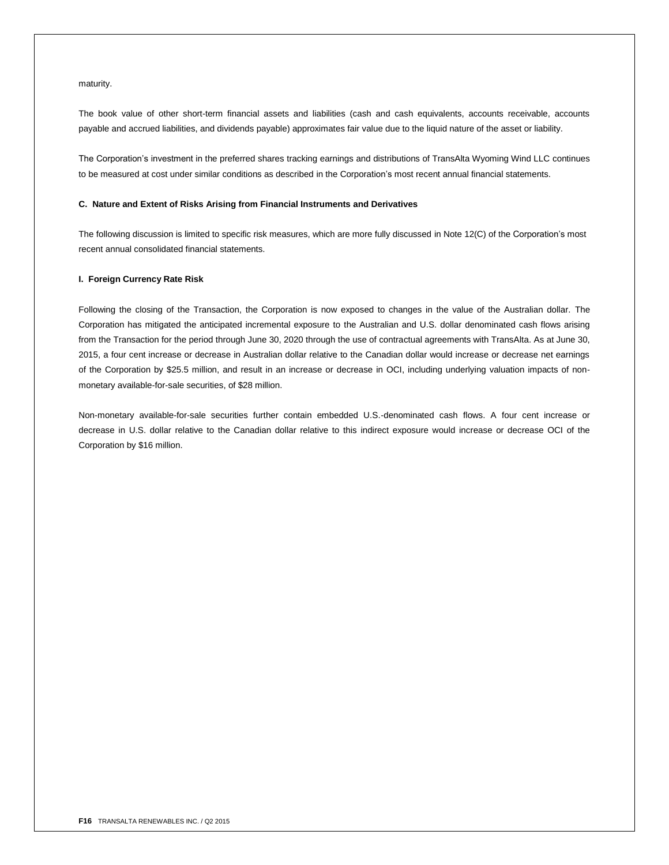## maturity.

The book value of other short-term financial assets and liabilities (cash and cash equivalents, accounts receivable, accounts payable and accrued liabilities, and dividends payable) approximates fair value due to the liquid nature of the asset or liability.

The Corporation's investment in the preferred shares tracking earnings and distributions of TransAlta Wyoming Wind LLC continues to be measured at cost under similar conditions as described in the Corporation's most recent annual financial statements.

## **C. Nature and Extent of Risks Arising from Financial Instruments and Derivatives**

The following discussion is limited to specific risk measures, which are more fully discussed in Note 12(C) of the Corporation's most recent annual consolidated financial statements.

## **I. Foreign Currency Rate Risk**

Following the closing of the Transaction, the Corporation is now exposed to changes in the value of the Australian dollar. The Corporation has mitigated the anticipated incremental exposure to the Australian and U.S. dollar denominated cash flows arising from the Transaction for the period through June 30, 2020 through the use of contractual agreements with TransAlta. As at June 30, 2015, a four cent increase or decrease in Australian dollar relative to the Canadian dollar would increase or decrease net earnings of the Corporation by \$25.5 million, and result in an increase or decrease in OCI, including underlying valuation impacts of nonmonetary available-for-sale securities, of \$28 million.

Non-monetary available-for-sale securities further contain embedded U.S.-denominated cash flows. A four cent increase or decrease in U.S. dollar relative to the Canadian dollar relative to this indirect exposure would increase or decrease OCI of the Corporation by \$16 million.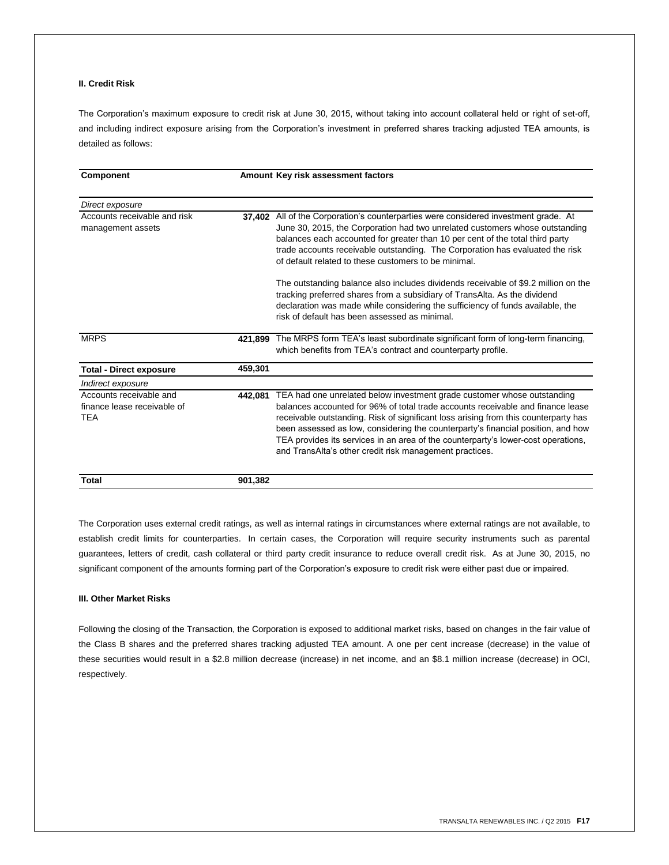# **II. Credit Risk**

The Corporation's maximum exposure to credit risk at June 30, 2015, without taking into account collateral held or right of set-off, and including indirect exposure arising from the Corporation's investment in preferred shares tracking adjusted TEA amounts, is detailed as follows:

| <b>Component</b>                                                     |         | Amount Key risk assessment factors                                                                                                                                                                                                                                                                                                                                                                                                                                                    |
|----------------------------------------------------------------------|---------|---------------------------------------------------------------------------------------------------------------------------------------------------------------------------------------------------------------------------------------------------------------------------------------------------------------------------------------------------------------------------------------------------------------------------------------------------------------------------------------|
| Direct exposure                                                      |         |                                                                                                                                                                                                                                                                                                                                                                                                                                                                                       |
| Accounts receivable and risk<br>management assets                    |         | 37,402 All of the Corporation's counterparties were considered investment grade. At<br>June 30, 2015, the Corporation had two unrelated customers whose outstanding<br>balances each accounted for greater than 10 per cent of the total third party<br>trade accounts receivable outstanding. The Corporation has evaluated the risk<br>of default related to these customers to be minimal.                                                                                         |
|                                                                      |         | The outstanding balance also includes dividends receivable of \$9.2 million on the<br>tracking preferred shares from a subsidiary of TransAlta. As the dividend<br>declaration was made while considering the sufficiency of funds available, the<br>risk of default has been assessed as minimal.                                                                                                                                                                                    |
| <b>MRPS</b>                                                          | 421.899 | The MRPS form TEA's least subordinate significant form of long-term financing,<br>which benefits from TEA's contract and counterparty profile.                                                                                                                                                                                                                                                                                                                                        |
| <b>Total - Direct exposure</b>                                       | 459,301 |                                                                                                                                                                                                                                                                                                                                                                                                                                                                                       |
| Indirect exposure                                                    |         |                                                                                                                                                                                                                                                                                                                                                                                                                                                                                       |
| Accounts receivable and<br>finance lease receivable of<br><b>TEA</b> | 442,081 | TEA had one unrelated below investment grade customer whose outstanding<br>balances accounted for 96% of total trade accounts receivable and finance lease<br>receivable outstanding. Risk of significant loss arising from this counterparty has<br>been assessed as low, considering the counterparty's financial position, and how<br>TEA provides its services in an area of the counterparty's lower-cost operations,<br>and TransAlta's other credit risk management practices. |
| Total                                                                | 901,382 |                                                                                                                                                                                                                                                                                                                                                                                                                                                                                       |

The Corporation uses external credit ratings, as well as internal ratings in circumstances where external ratings are not available, to establish credit limits for counterparties. In certain cases, the Corporation will require security instruments such as parental guarantees, letters of credit, cash collateral or third party credit insurance to reduce overall credit risk. As at June 30, 2015, no significant component of the amounts forming part of the Corporation's exposure to credit risk were either past due or impaired.

## **III. Other Market Risks**

Following the closing of the Transaction, the Corporation is exposed to additional market risks, based on changes in the fair value of the Class B shares and the preferred shares tracking adjusted TEA amount. A one per cent increase (decrease) in the value of these securities would result in a \$2.8 million decrease (increase) in net income, and an \$8.1 million increase (decrease) in OCI, respectively.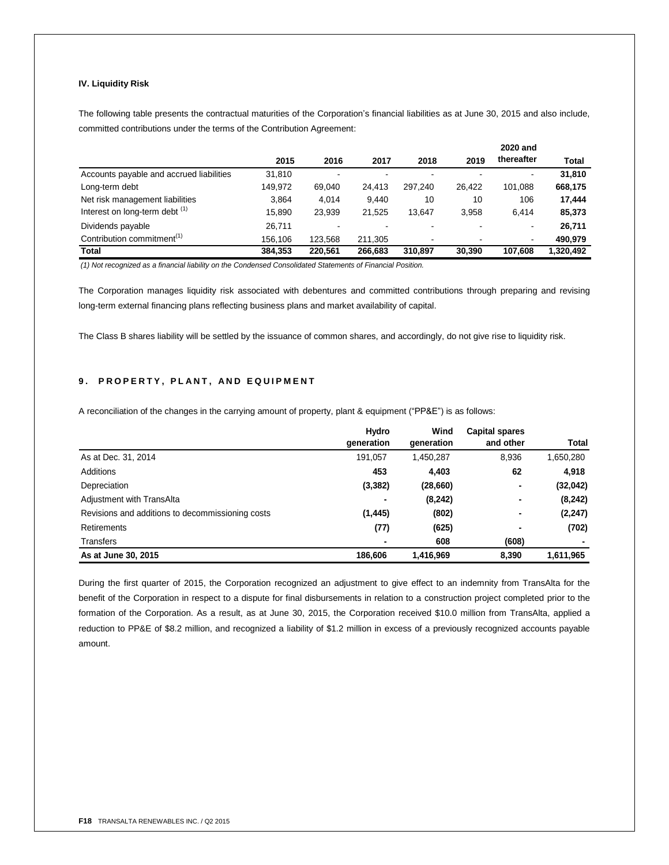# **IV. Liquidity Risk**

The following table presents the contractual maturities of the Corporation's financial liabilities as at June 30, 2015 and also include, committed contributions under the terms of the Contribution Agreement:

|                                           |         |         |                          |                          |        | 2020 and       |              |
|-------------------------------------------|---------|---------|--------------------------|--------------------------|--------|----------------|--------------|
|                                           | 2015    | 2016    | 2017                     | 2018                     | 2019   | thereafter     | <b>Total</b> |
| Accounts payable and accrued liabilities  | 31,810  | -       | $\overline{\phantom{0}}$ | -                        |        | $\blacksquare$ | 31,810       |
| Long-term debt                            | 149,972 | 69,040  | 24.413                   | 297.240                  | 26.422 | 101.088        | 668,175      |
| Net risk management liabilities           | 3,864   | 4,014   | 9.440                    | 10                       | 10     | 106            | 17,444       |
| Interest on long-term debt <sup>(1)</sup> | 15,890  | 23,939  | 21,525                   | 13.647                   | 3,958  | 6,414          | 85,373       |
| Dividends payable                         | 26,711  |         |                          |                          |        | ٠              | 26,711       |
| Contribution commitment <sup>(1)</sup>    | 156.106 | 123.568 | 211.305                  | $\overline{\phantom{a}}$ |        | $\blacksquare$ | 490,979      |
| Total                                     | 384,353 | 220.561 | 266.683                  | 310.897                  | 30,390 | 107.608        | 1,320,492    |

*(1) Not recognized as a financial liability on the Condensed Consolidated Statements of Financial Position.*

The Corporation manages liquidity risk associated with debentures and committed contributions through preparing and revising long-term external financing plans reflecting business plans and market availability of capital.

The Class B shares liability will be settled by the issuance of common shares, and accordingly, do not give rise to liquidity risk.

# **9. PROPERTY, PLANT, AND EQUIPMENT**

A reconciliation of the changes in the carrying amount of property, plant & equipment ("PP&E") is as follows:

|                                                  | Hydro      | Wind       | <b>Capital spares</b> |           |
|--------------------------------------------------|------------|------------|-----------------------|-----------|
|                                                  | generation | generation | and other             | Total     |
| As at Dec. 31, 2014                              | 191.057    | 1,450,287  | 8,936                 | 1,650,280 |
| Additions                                        | 453        | 4,403      | 62                    | 4,918     |
| Depreciation                                     | (3, 382)   | (28, 660)  | ٠                     | (32,042)  |
| Adjustment with TransAlta                        |            | (8, 242)   | ٠                     | (8, 242)  |
| Revisions and additions to decommissioning costs | (1, 445)   | (802)      | ۰                     | (2, 247)  |
| <b>Retirements</b>                               | (77)       | (625)      | ٠                     | (702)     |
| <b>Transfers</b>                                 |            | 608        | (608)                 |           |
| As at June 30, 2015                              | 186,606    | 1,416,969  | 8,390                 | 1,611,965 |

During the first quarter of 2015, the Corporation recognized an adjustment to give effect to an indemnity from TransAlta for the benefit of the Corporation in respect to a dispute for final disbursements in relation to a construction project completed prior to the formation of the Corporation. As a result, as at June 30, 2015, the Corporation received \$10.0 million from TransAlta, applied a reduction to PP&E of \$8.2 million, and recognized a liability of \$1.2 million in excess of a previously recognized accounts payable amount.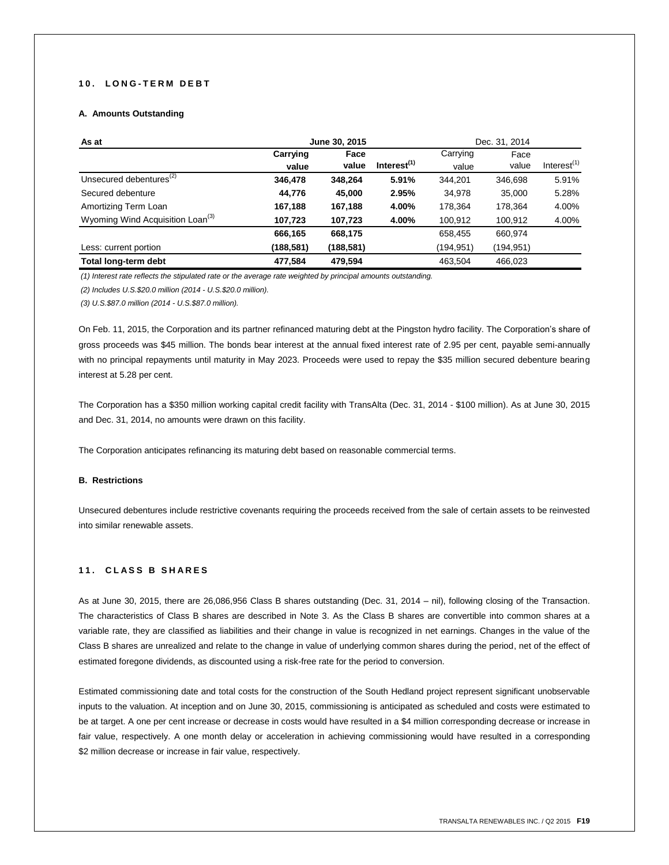# **1 0 . L O N G - T E R M D E B T**

# **A. Amounts Outstanding**

| As at                                        | June 30, 2015 |            |                | Dec. 31, 2014 |            |                |
|----------------------------------------------|---------------|------------|----------------|---------------|------------|----------------|
|                                              | Carrying      | Face       |                | Carrying      | Face       |                |
|                                              | value         | value      | Interest $(1)$ | value         | value      | Interest $(1)$ |
| Unsecured debentures <sup>(2)</sup>          | 346,478       | 348.264    | 5.91%          | 344,201       | 346,698    | 5.91%          |
| Secured debenture                            | 44,776        | 45,000     | 2.95%          | 34.978        | 35.000     | 5.28%          |
| Amortizing Term Loan                         | 167,188       | 167,188    | 4.00%          | 178,364       | 178,364    | 4.00%          |
| Wyoming Wind Acquisition Loan <sup>(3)</sup> | 107,723       | 107,723    | 4.00%          | 100,912       | 100,912    | 4.00%          |
|                                              | 666,165       | 668,175    |                | 658,455       | 660.974    |                |
| Less: current portion                        | (188, 581)    | (188, 581) |                | (194, 951)    | (194, 951) |                |
| Total long-term debt                         | 477.584       | 479.594    |                | 463.504       | 466.023    |                |

*(1) Interest rate reflects the stipulated rate or the average rate weighted by principal amounts outstanding.*

*(2) Includes U.S.\$20.0 million (2014 - U.S.\$20.0 million).*

*(3) U.S.\$87.0 million (2014 - U.S.\$87.0 million).*

On Feb. 11, 2015, the Corporation and its partner refinanced maturing debt at the Pingston hydro facility. The Corporation's share of gross proceeds was \$45 million. The bonds bear interest at the annual fixed interest rate of 2.95 per cent, payable semi-annually with no principal repayments until maturity in May 2023. Proceeds were used to repay the \$35 million secured debenture bearing interest at 5.28 per cent.

The Corporation has a \$350 million working capital credit facility with TransAlta (Dec. 31, 2014 - \$100 million). As at June 30, 2015 and Dec. 31, 2014, no amounts were drawn on this facility.

The Corporation anticipates refinancing its maturing debt based on reasonable commercial terms.

## **B. Restrictions**

Unsecured debentures include restrictive covenants requiring the proceeds received from the sale of certain assets to be reinvested into similar renewable assets.

# **1 1 . C L A S S B S H A R E S**

As at June 30, 2015, there are 26,086,956 Class B shares outstanding (Dec. 31, 2014 – nil), following closing of the Transaction. The characteristics of Class B shares are described in Note 3. As the Class B shares are convertible into common shares at a variable rate, they are classified as liabilities and their change in value is recognized in net earnings. Changes in the value of the Class B shares are unrealized and relate to the change in value of underlying common shares during the period, net of the effect of estimated foregone dividends, as discounted using a risk-free rate for the period to conversion.

Estimated commissioning date and total costs for the construction of the South Hedland project represent significant unobservable inputs to the valuation. At inception and on June 30, 2015, commissioning is anticipated as scheduled and costs were estimated to be at target. A one per cent increase or decrease in costs would have resulted in a \$4 million corresponding decrease or increase in fair value, respectively. A one month delay or acceleration in achieving commissioning would have resulted in a corresponding \$2 million decrease or increase in fair value, respectively.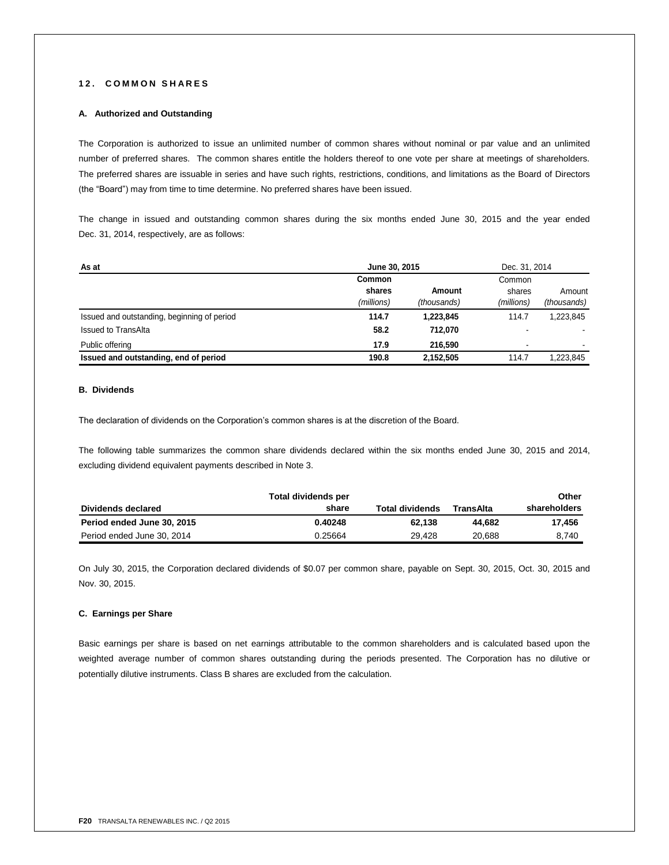# **1 2 . C O M M O N S H A R E S**

# **A. Authorized and Outstanding**

The Corporation is authorized to issue an unlimited number of common shares without nominal or par value and an unlimited number of preferred shares. The common shares entitle the holders thereof to one vote per share at meetings of shareholders. The preferred shares are issuable in series and have such rights, restrictions, conditions, and limitations as the Board of Directors (the "Board") may from time to time determine. No preferred shares have been issued.

The change in issued and outstanding common shares during the six months ended June 30, 2015 and the year ended Dec. 31, 2014, respectively, are as follows:

| As at                                       | June 30, 2015                  | Dec. 31, 2014         |                                |                       |
|---------------------------------------------|--------------------------------|-----------------------|--------------------------------|-----------------------|
|                                             | Common<br>shares<br>(millions) | Amount<br>(thousands) | Common<br>shares<br>(millions) | Amount<br>(thousands) |
| Issued and outstanding, beginning of period | 114.7                          | 1.223.845             | 114.7                          | 1,223,845             |
| <b>Issued to TransAlta</b>                  | 58.2                           | 712.070               | $\overline{\phantom{a}}$       |                       |
| Public offering                             | 17.9                           | 216.590               | $\overline{\phantom{0}}$       |                       |
| Issued and outstanding, end of period       | 190.8                          | 2,152,505             | 114.7                          | 1.223.845             |

# **B. Dividends**

The declaration of dividends on the Corporation's common shares is at the discretion of the Board.

The following table summarizes the common share dividends declared within the six months ended June 30, 2015 and 2014, excluding dividend equivalent payments described in Note 3.

|                            | Total dividends per |                        |           | Other        |
|----------------------------|---------------------|------------------------|-----------|--------------|
| Dividends declared         | share               | <b>Total dividends</b> | TransAlta | shareholders |
| Period ended June 30, 2015 | 0.40248             | 62.138                 | 44.682    | 17.456       |
| Period ended June 30, 2014 | 0.25664             | 29.428                 | 20.688    | 8.740        |

On July 30, 2015, the Corporation declared dividends of \$0.07 per common share, payable on Sept. 30, 2015, Oct. 30, 2015 and Nov. 30, 2015.

## **C. Earnings per Share**

Basic earnings per share is based on net earnings attributable to the common shareholders and is calculated based upon the weighted average number of common shares outstanding during the periods presented. The Corporation has no dilutive or potentially dilutive instruments. Class B shares are excluded from the calculation.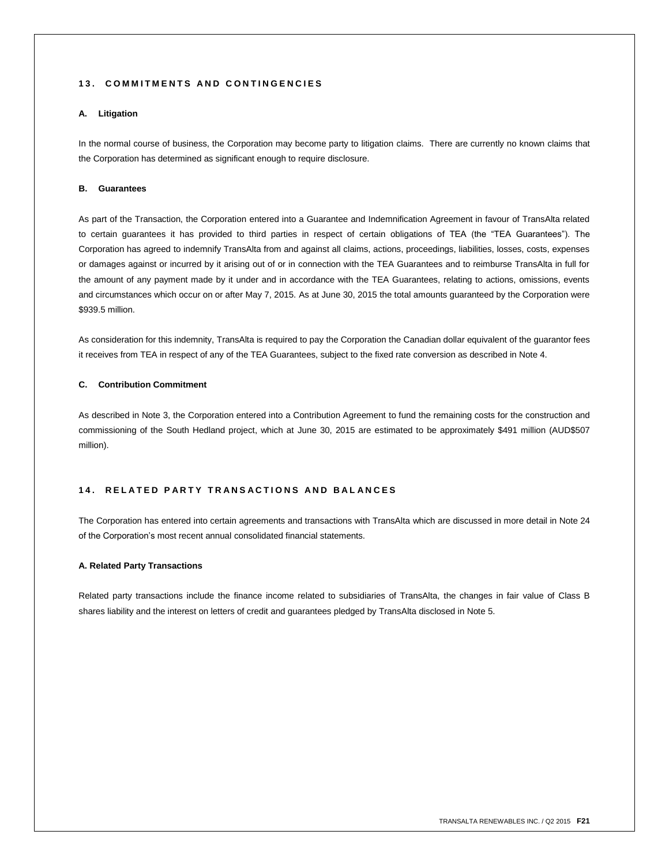# **13. COMMITMENTS AND CONTINGENCIES**

## **A. Litigation**

In the normal course of business, the Corporation may become party to litigation claims. There are currently no known claims that the Corporation has determined as significant enough to require disclosure.

## **B. Guarantees**

As part of the Transaction, the Corporation entered into a Guarantee and Indemnification Agreement in favour of TransAlta related to certain guarantees it has provided to third parties in respect of certain obligations of TEA (the "TEA Guarantees"). The Corporation has agreed to indemnify TransAlta from and against all claims, actions, proceedings, liabilities, losses, costs, expenses or damages against or incurred by it arising out of or in connection with the TEA Guarantees and to reimburse TransAlta in full for the amount of any payment made by it under and in accordance with the TEA Guarantees, relating to actions, omissions, events and circumstances which occur on or after May 7, 2015. As at June 30, 2015 the total amounts guaranteed by the Corporation were \$939.5 million.

As consideration for this indemnity, TransAlta is required to pay the Corporation the Canadian dollar equivalent of the guarantor fees it receives from TEA in respect of any of the TEA Guarantees, subject to the fixed rate conversion as described in Note 4.

# **C. Contribution Commitment**

As described in Note 3, the Corporation entered into a Contribution Agreement to fund the remaining costs for the construction and commissioning of the South Hedland project, which at June 30, 2015 are estimated to be approximately \$491 million (AUD\$507 million).

## **1 4 . R E L A T E D P A R T Y T R A N S A C T I O N S A N D B A L A N C E S**

The Corporation has entered into certain agreements and transactions with TransAlta which are discussed in more detail in Note 24 of the Corporation's most recent annual consolidated financial statements.

## **A. Related Party Transactions**

Related party transactions include the finance income related to subsidiaries of TransAlta, the changes in fair value of Class B shares liability and the interest on letters of credit and guarantees pledged by TransAlta disclosed in Note 5.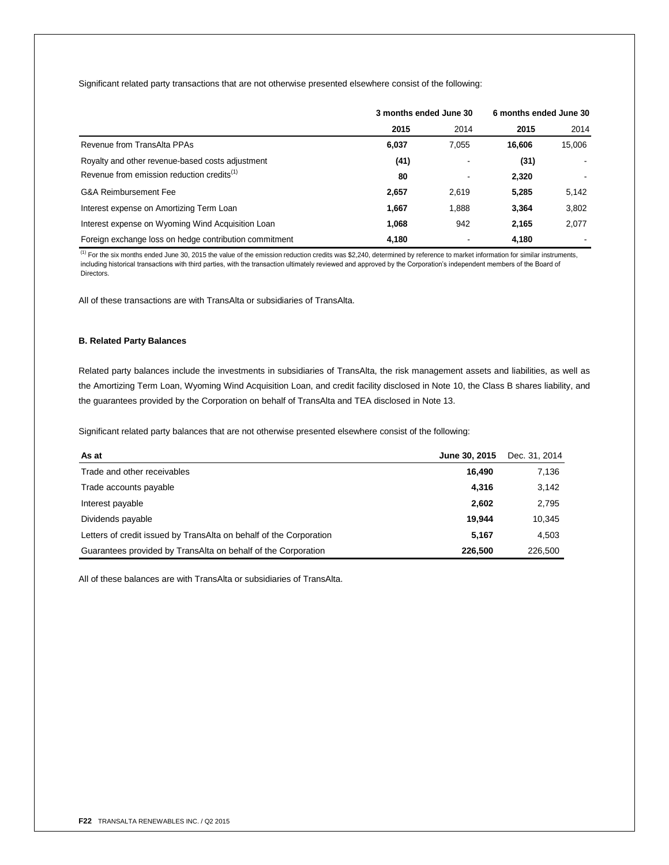Significant related party transactions that are not otherwise presented elsewhere consist of the following:

|                                                        | 3 months ended June 30 |       | 6 months ended June 30 |        |
|--------------------------------------------------------|------------------------|-------|------------------------|--------|
|                                                        | 2015                   | 2014  | 2015                   | 2014   |
| Revenue from TransAlta PPAs                            | 6,037                  | 7.055 | 16.606                 | 15.006 |
| Royalty and other revenue-based costs adjustment       | (41)                   |       | (31)                   |        |
| Revenue from emission reduction credits <sup>(1)</sup> | 80                     |       | 2,320                  |        |
| G&A Reimbursement Fee                                  | 2,657                  | 2.619 | 5.285                  | 5,142  |
| Interest expense on Amortizing Term Loan               | 1.667                  | 1.888 | 3.364                  | 3,802  |
| Interest expense on Wyoming Wind Acquisition Loan      | 1.068                  | 942   | 2,165                  | 2,077  |
| Foreign exchange loss on hedge contribution commitment | 4,180                  |       | 4,180                  |        |

 $<sup>(1)</sup>$  For the six months ended June 30, 2015 the value of the emission reduction credits was \$2,240, determined by reference to market information for similar instruments,</sup> including historical transactions with third parties, with the transaction ultimately reviewed and approved by the Corporation's independent members of the Board of Directors.

All of these transactions are with TransAlta or subsidiaries of TransAlta.

# **B. Related Party Balances**

Related party balances include the investments in subsidiaries of TransAlta, the risk management assets and liabilities, as well as the Amortizing Term Loan, Wyoming Wind Acquisition Loan, and credit facility disclosed in Note 10, the Class B shares liability, and the guarantees provided by the Corporation on behalf of TransAlta and TEA disclosed in Note 13.

Significant related party balances that are not otherwise presented elsewhere consist of the following:

| As at                                                              | June 30, 2015 | Dec. 31, 2014 |
|--------------------------------------------------------------------|---------------|---------------|
| Trade and other receivables                                        | 16.490        | 7,136         |
| Trade accounts payable                                             | 4.316         | 3,142         |
| Interest payable                                                   | 2,602         | 2,795         |
| Dividends payable                                                  | 19.944        | 10,345        |
| Letters of credit issued by TransAlta on behalf of the Corporation | 5,167         | 4,503         |
| Guarantees provided by TransAlta on behalf of the Corporation      | 226,500       | 226,500       |

All of these balances are with TransAlta or subsidiaries of TransAlta.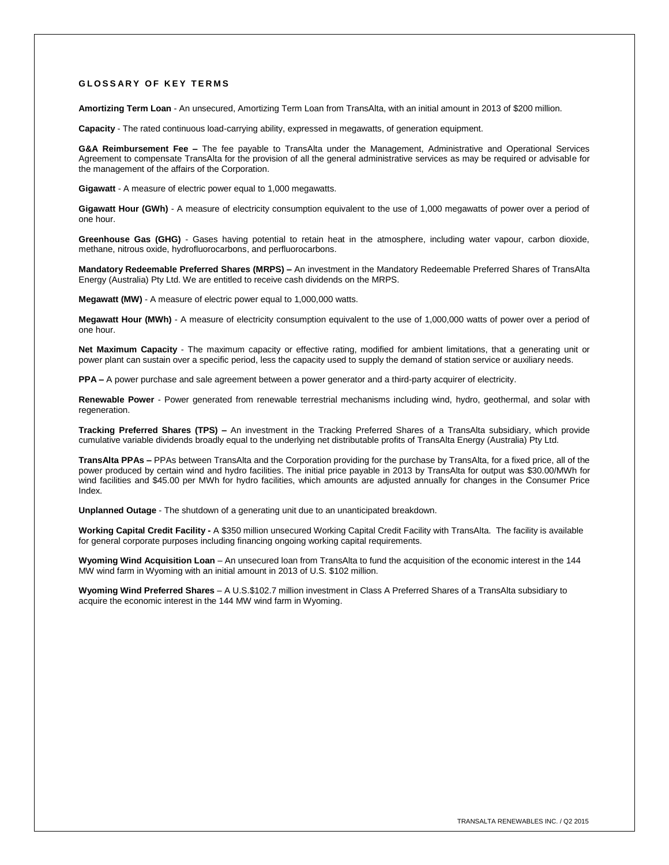## **GLOSSARY OF KEY TERMS**

**Amortizing Term Loan** - An unsecured, Amortizing Term Loan from TransAlta, with an initial amount in 2013 of \$200 million.

**Capacity** - The rated continuous load-carrying ability, expressed in megawatts, of generation equipment.

**G&A Reimbursement Fee –** The fee payable to TransAlta under the Management, Administrative and Operational Services Agreement to compensate TransAlta for the provision of all the general administrative services as may be required or advisable for the management of the affairs of the Corporation.

**Gigawatt** - A measure of electric power equal to 1,000 megawatts.

**Gigawatt Hour (GWh)** - A measure of electricity consumption equivalent to the use of 1,000 megawatts of power over a period of one hour.

**Greenhouse Gas (GHG)** - Gases having potential to retain heat in the atmosphere, including water vapour, carbon dioxide, methane, nitrous oxide, hydrofluorocarbons, and perfluorocarbons.

**Mandatory Redeemable Preferred Shares (MRPS) –** An investment in the Mandatory Redeemable Preferred Shares of TransAlta Energy (Australia) Pty Ltd. We are entitled to receive cash dividends on the MRPS.

**Megawatt (MW)** - A measure of electric power equal to 1,000,000 watts.

**Megawatt Hour (MWh)** - A measure of electricity consumption equivalent to the use of 1,000,000 watts of power over a period of one hour.

**Net Maximum Capacity** - The maximum capacity or effective rating, modified for ambient limitations, that a generating unit or power plant can sustain over a specific period, less the capacity used to supply the demand of station service or auxiliary needs.

**PPA –** A power purchase and sale agreement between a power generator and a third-party acquirer of electricity.

**Renewable Power** - Power generated from renewable terrestrial mechanisms including wind, hydro, geothermal, and solar with regeneration.

**Tracking Preferred Shares (TPS) –** An investment in the Tracking Preferred Shares of a TransAlta subsidiary, which provide cumulative variable dividends broadly equal to the underlying net distributable profits of TransAlta Energy (Australia) Pty Ltd.

**TransAlta PPAs –** PPAs between TransAlta and the Corporation providing for the purchase by TransAlta, for a fixed price, all of the power produced by certain wind and hydro facilities. The initial price payable in 2013 by TransAlta for output was \$30.00/MWh for wind facilities and \$45.00 per MWh for hydro facilities, which amounts are adjusted annually for changes in the Consumer Price Index.

**Unplanned Outage** - The shutdown of a generating unit due to an unanticipated breakdown.

**Working Capital Credit Facility -** A \$350 million unsecured Working Capital Credit Facility with TransAlta. The facility is available for general corporate purposes including financing ongoing working capital requirements.

**Wyoming Wind Acquisition Loan** – An unsecured loan from TransAlta to fund the acquisition of the economic interest in the 144 MW wind farm in Wyoming with an initial amount in 2013 of U.S. \$102 million.

**Wyoming Wind Preferred Shares** – A U.S.\$102.7 million investment in Class A Preferred Shares of a TransAlta subsidiary to acquire the economic interest in the 144 MW wind farm in Wyoming.